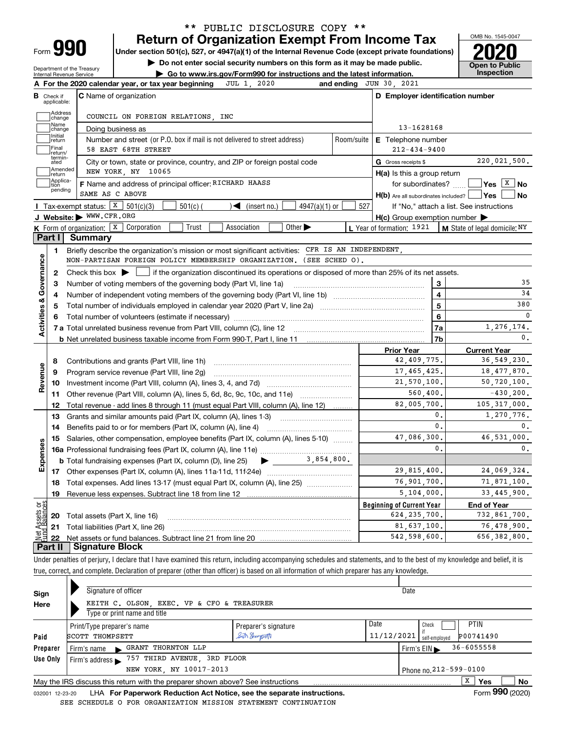| Form |  |  |
|------|--|--|
|      |  |  |

# **Return of Organization Exempt From Income Tax** \*\* PUBLIC DISCLOSURE COPY \*\*

**Under section 501(c), 527, or 4947(a)(1) of the Internal Revenue Code (except private foundations) 2020**

**| Do not enter social security numbers on this form as it may be made public.**

Department of the Treasury Internal Revenue Service

**| Go to www.irs.gov/Form990 for instructions and the latest information. Inspection**



|                              | JUL 1, 2020<br>A For the 2020 calendar year, or tax year beginning                                                                          | and ending JUN 30, 2021                             |                                                    |
|------------------------------|---------------------------------------------------------------------------------------------------------------------------------------------|-----------------------------------------------------|----------------------------------------------------|
| В<br>Check if<br>applicable: | <b>C</b> Name of organization                                                                                                               | D Employer identification number                    |                                                    |
|                              | Address<br>COUNCIL ON FOREIGN RELATIONS, INC<br>change                                                                                      |                                                     |                                                    |
| Name                         | Doing business as<br>change                                                                                                                 | 13-1628168                                          |                                                    |
| Initial<br>return            | Number and street (or P.O. box if mail is not delivered to street address)<br>Room/suite                                                    | <b>E</b> Telephone number                           |                                                    |
| Final                        | 58 EAST 68TH STREET<br>return/                                                                                                              | $212 - 434 - 9400$                                  |                                                    |
| ated                         | termin-<br>City or town, state or province, country, and ZIP or foreign postal code                                                         | G Gross receipts \$                                 | 220.021.500.                                       |
| return                       | Amended<br>NEW YORK, NY 10065                                                                                                               | $H(a)$ is this a group return                       |                                                    |
| tion                         | Applica-<br>F Name and address of principal officer: RICHARD HAASS                                                                          |                                                     | for subordinates? $\frac{1}{2}$ Yes $\boxed{X}$ No |
|                              | pending<br>SAME AS C ABOVE                                                                                                                  | $H(b)$ Are all subordinates included? $\Box$ Yes    | No                                                 |
|                              | Tax-exempt status: $X$ 501(c)(3)<br>$501(c)$ (<br>$\leq$ (insert no.)<br>$4947(a)(1)$ or                                                    | 527<br>If "No," attach a list. See instructions     |                                                    |
|                              | J Website: WWW.CFR.ORG                                                                                                                      | $H(c)$ Group exemption number $\blacktriangleright$ |                                                    |
|                              | K Form of organization: $X$ Corporation<br>Trust<br>Other $\blacktriangleright$<br>Association                                              | L Year of formation: 1921                           | M State of legal domicile: NY                      |
| Part I                       | Summary                                                                                                                                     |                                                     |                                                    |
| 1.                           | Briefly describe the organization's mission or most significant activities: CFR IS AN INDEPENDENT,                                          |                                                     |                                                    |
|                              | NON-PARTISAN FOREIGN POLICY MEMBERSHIP ORGANIZATION. (SEE SCHED O).                                                                         |                                                     |                                                    |
| $\mathbf{2}$                 | Check this box $\blacktriangleright$ $\Box$ if the organization discontinued its operations or disposed of more than 25% of its net assets. |                                                     |                                                    |
| Activities & Governance<br>3 | Number of voting members of the governing body (Part VI, line 1a)                                                                           | 3                                                   | 35                                                 |
| 4                            |                                                                                                                                             | $\overline{\mathbf{4}}$                             | 34                                                 |
| 5                            | Total number of individuals employed in calendar year 2020 (Part V, line 2a)                                                                | 5                                                   | 380                                                |
|                              |                                                                                                                                             | 6                                                   | 0                                                  |
|                              |                                                                                                                                             | 7a                                                  | 1,276,174.                                         |
|                              |                                                                                                                                             | 7b                                                  | $\mathbf{0}$ .                                     |
|                              |                                                                                                                                             | <b>Prior Year</b>                                   | <b>Current Year</b>                                |
| 8                            | Contributions and grants (Part VIII, line 1h)                                                                                               | 42,409,775.                                         | 36, 549, 230.                                      |
| 9                            | Program service revenue (Part VIII, line 2g)                                                                                                | 17,465,425.                                         | 18,477,870.                                        |
| Revenue<br>10                |                                                                                                                                             | 21,570,100.                                         | 50,720,100.                                        |
| 11                           | Other revenue (Part VIII, column (A), lines 5, 6d, 8c, 9c, 10c, and 11e)                                                                    | 560,400.                                            | $-430, 200.$                                       |
| 12                           | Total revenue - add lines 8 through 11 (must equal Part VIII, column (A), line 12)                                                          | 82,005,700.                                         | 105, 317, 000.                                     |
| 13                           | Grants and similar amounts paid (Part IX, column (A), lines 1-3)                                                                            | 0.                                                  | 1,270,776.                                         |
| 14                           |                                                                                                                                             | $\mathbf{0}$ .                                      | 0.                                                 |
| 15                           | Salaries, other compensation, employee benefits (Part IX, column (A), lines 5-10)                                                           | 47.086.300.                                         | 46,531,000.                                        |
| Expenses                     |                                                                                                                                             | $\mathbf{0}$ .                                      | 0.                                                 |
|                              |                                                                                                                                             |                                                     |                                                    |
|                              |                                                                                                                                             | 29,815,400.                                         | 24,069,324.                                        |
| 18                           | Total expenses. Add lines 13-17 (must equal Part IX, column (A), line 25) [                                                                 | 76,901,700.                                         | 71,871,100.                                        |
|                              |                                                                                                                                             | 5,104,000.                                          | 33,445,900.                                        |
| 19                           |                                                                                                                                             | <b>Beginning of Current Year</b>                    | <b>End of Year</b>                                 |
|                              |                                                                                                                                             |                                                     |                                                    |
| ទន្ទ័<br>S,                  | 20 Total assets (Part X, line 16)                                                                                                           | 624, 235, 700.                                      |                                                    |
|                              | 21 Total liabilities (Part X, line 26)                                                                                                      | 81,637,100.<br>542,598,600.                         | 732,861,700.<br>76,478,900.<br>656, 382, 800.      |

Under penalties of perjury, I declare that I have examined this return, including accompanying schedules and statements, and to the best of my knowledge and belief, it is true, correct, and complete. Declaration of preparer (other than officer) is based on all information of which preparer has any knowledge.

| Sign                                                                                        | Signature of officer                                                   |                      |            | Date          |                 |  |  |  |  |  |  |
|---------------------------------------------------------------------------------------------|------------------------------------------------------------------------|----------------------|------------|---------------|-----------------|--|--|--|--|--|--|
| Here                                                                                        | KEITH C. OLSON, EXEC. VP & CFO & TREASURER                             |                      |            |               |                 |  |  |  |  |  |  |
|                                                                                             | Type or print name and title                                           |                      |            |               |                 |  |  |  |  |  |  |
|                                                                                             | Print/Type preparer's name                                             | Preparer's signature | Date       | Check         | <b>PTIN</b>     |  |  |  |  |  |  |
| Paid                                                                                        | SCOTT THOMPSETT                                                        | Seth Shompton        | 11/12/2021 | self-emploved | P00741490       |  |  |  |  |  |  |
| Preparer                                                                                    | <b>GRANT THORNTON LLP</b><br>Firm's name                               |                      |            | Firm's EIN    | $36 - 6055558$  |  |  |  |  |  |  |
| Use Only                                                                                    | 757 THIRD AVENUE, 3RD FLOOR<br>Firm's address $\blacktriangleright$    |                      |            |               |                 |  |  |  |  |  |  |
|                                                                                             | NEW YORK, NY 10017-2013<br>Phone no. 212-599-0100                      |                      |            |               |                 |  |  |  |  |  |  |
| X<br>Yes<br>May the IRS discuss this return with the preparer shown above? See instructions |                                                                        |                      |            |               |                 |  |  |  |  |  |  |
| 032001 12-23-20                                                                             | LHA For Paperwork Reduction Act Notice, see the separate instructions. |                      |            |               | Form 990 (2020) |  |  |  |  |  |  |

SEE SCHEDULE O FOR ORGANIZATION MISSION STATEMENT CONTINUATION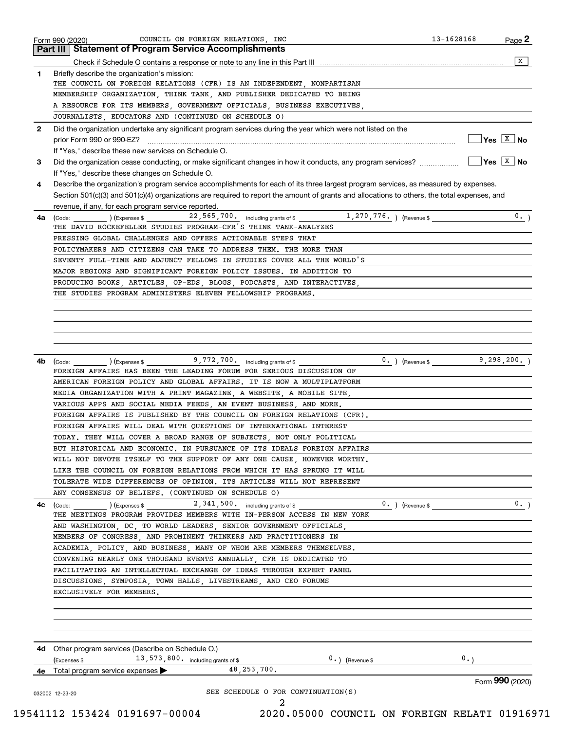|    | <b>Part III Statement of Program Service Accomplishments</b><br>X                                                                                                                                                                                                                                                                                                                                                                                                     |
|----|-----------------------------------------------------------------------------------------------------------------------------------------------------------------------------------------------------------------------------------------------------------------------------------------------------------------------------------------------------------------------------------------------------------------------------------------------------------------------|
| 1  |                                                                                                                                                                                                                                                                                                                                                                                                                                                                       |
|    | Briefly describe the organization's mission:<br>THE COUNCIL ON FOREIGN RELATIONS (CFR) IS AN INDEPENDENT, NONPARTISAN                                                                                                                                                                                                                                                                                                                                                 |
|    | MEMBERSHIP ORGANIZATION, THINK TANK, AND PUBLISHER DEDICATED TO BEING                                                                                                                                                                                                                                                                                                                                                                                                 |
|    | A RESOURCE FOR ITS MEMBERS, GOVERNMENT OFFICIALS, BUSINESS EXECUTIVES,<br>JOURNALISTS, EDUCATORS AND (CONTINUED ON SCHEDULE O)                                                                                                                                                                                                                                                                                                                                        |
|    |                                                                                                                                                                                                                                                                                                                                                                                                                                                                       |
| 2  | Did the organization undertake any significant program services during the year which were not listed on the<br>$\sqrt{\mathsf{Yes} \mid \mathsf{X} \mid \mathsf{No}}$<br>prior Form 990 or 990-EZ?                                                                                                                                                                                                                                                                   |
|    | If "Yes," describe these new services on Schedule O.<br>$\overline{Y}$ es $\overline{X}$ No                                                                                                                                                                                                                                                                                                                                                                           |
| 3  | If "Yes," describe these changes on Schedule O.                                                                                                                                                                                                                                                                                                                                                                                                                       |
| 4  | Describe the organization's program service accomplishments for each of its three largest program services, as measured by expenses.                                                                                                                                                                                                                                                                                                                                  |
|    | Section 501(c)(3) and 501(c)(4) organizations are required to report the amount of grants and allocations to others, the total expenses, and                                                                                                                                                                                                                                                                                                                          |
|    | revenue, if any, for each program service reported.<br>0.                                                                                                                                                                                                                                                                                                                                                                                                             |
| 4a | THE DAVID ROCKEFELLER STUDIES PROGRAM-CFR'S THINK TANK-ANALYZES                                                                                                                                                                                                                                                                                                                                                                                                       |
|    | PRESSING GLOBAL CHALLENGES AND OFFERS ACTIONABLE STEPS THAT                                                                                                                                                                                                                                                                                                                                                                                                           |
|    | POLICYMAKERS AND CITIZENS CAN TAKE TO ADDRESS THEM. THE MORE THAN                                                                                                                                                                                                                                                                                                                                                                                                     |
|    | SEVENTY FULL-TIME AND ADJUNCT FELLOWS IN STUDIES COVER ALL THE WORLD'S                                                                                                                                                                                                                                                                                                                                                                                                |
|    | MAJOR REGIONS AND SIGNIFICANT FOREIGN POLICY ISSUES. IN ADDITION TO                                                                                                                                                                                                                                                                                                                                                                                                   |
|    | PRODUCING BOOKS, ARTICLES, OP-EDS, BLOGS, PODCASTS, AND INTERACTIVES,                                                                                                                                                                                                                                                                                                                                                                                                 |
|    | THE STUDIES PROGRAM ADMINISTERS ELEVEN FELLOWSHIP PROGRAMS.                                                                                                                                                                                                                                                                                                                                                                                                           |
|    |                                                                                                                                                                                                                                                                                                                                                                                                                                                                       |
|    |                                                                                                                                                                                                                                                                                                                                                                                                                                                                       |
|    |                                                                                                                                                                                                                                                                                                                                                                                                                                                                       |
|    |                                                                                                                                                                                                                                                                                                                                                                                                                                                                       |
|    |                                                                                                                                                                                                                                                                                                                                                                                                                                                                       |
| 4b | $0.$ ) (Revenue \$ 9, 298, 200.)<br>$\left(\text{Code:}\right)$ $\left(\text{Expenses $}\right)$ $\left(\text{Expenses $}\right)$ $\left(\text{2.1:}\right)$ $\left(\text{2.2:}\right)$ $\left(\text{2.3:}\right)$ $\left(\text{2.4:}\right)$ $\left(\text{2.5:}\right)$ $\left(\text{2.5:}\right)$ $\left(\text{2.5:}\right)$ $\left(\text{2.5:}\right)$ $\left(\text{2.5:}\right)$ $\left(\text{2.5:}\right)$ $\left(\text{2.5:}\right)$ $\left(\text{2.5:}\right)$ |
|    | FOREIGN AFFAIRS HAS BEEN THE LEADING FORUM FOR SERIOUS DISCUSSION OF                                                                                                                                                                                                                                                                                                                                                                                                  |
|    | AMERICAN FOREIGN POLICY AND GLOBAL AFFAIRS. IT IS NOW A MULTIPLATFORM                                                                                                                                                                                                                                                                                                                                                                                                 |
|    |                                                                                                                                                                                                                                                                                                                                                                                                                                                                       |
|    | MEDIA ORGANIZATION WITH A PRINT MAGAZINE, A WEBSITE, A MOBILE SITE,                                                                                                                                                                                                                                                                                                                                                                                                   |
|    | VARIOUS APPS AND SOCIAL MEDIA FEEDS, AN EVENT BUSINESS, AND MORE.                                                                                                                                                                                                                                                                                                                                                                                                     |
|    | FOREIGN AFFAIRS IS PUBLISHED BY THE COUNCIL ON FOREIGN RELATIONS (CFR).                                                                                                                                                                                                                                                                                                                                                                                               |
|    | FOREIGN AFFAIRS WILL DEAL WITH QUESTIONS OF INTERNATIONAL INTEREST                                                                                                                                                                                                                                                                                                                                                                                                    |
|    | TODAY. THEY WILL COVER A BROAD RANGE OF SUBJECTS NOT ONLY POLITICAL                                                                                                                                                                                                                                                                                                                                                                                                   |
|    | BUT HISTORICAL AND ECONOMIC. IN PURSUANCE OF ITS IDEALS FOREIGN AFFAIRS                                                                                                                                                                                                                                                                                                                                                                                               |
|    | WILL NOT DEVOTE ITSELF TO THE SUPPORT OF ANY ONE CAUSE, HOWEVER WORTHY.                                                                                                                                                                                                                                                                                                                                                                                               |
|    | LIKE THE COUNCIL ON FOREIGN RELATIONS FROM WHICH IT HAS SPRUNG IT WILL                                                                                                                                                                                                                                                                                                                                                                                                |
|    | TOLERATE WIDE DIFFERENCES OF OPINION. ITS ARTICLES WILL NOT REPRESENT                                                                                                                                                                                                                                                                                                                                                                                                 |
|    | ANY CONSENSUS OF BELIEFS. (CONTINUED ON SCHEDULE O)                                                                                                                                                                                                                                                                                                                                                                                                                   |
| 4c | 0.<br>$2,341,500$ including grants of \$<br>$0.$ ) (Revenue \$<br>(Code: ) (Expenses \$                                                                                                                                                                                                                                                                                                                                                                               |
|    | THE MEETINGS PROGRAM PROVIDES MEMBERS WITH IN-PERSON ACCESS IN NEW YORK                                                                                                                                                                                                                                                                                                                                                                                               |
|    | AND WASHINGTON, DC, TO WORLD LEADERS, SENIOR GOVERNMENT OFFICIALS,                                                                                                                                                                                                                                                                                                                                                                                                    |
|    | MEMBERS OF CONGRESS, AND PROMINENT THINKERS AND PRACTITIONERS IN                                                                                                                                                                                                                                                                                                                                                                                                      |
|    | ACADEMIA, POLICY, AND BUSINESS, MANY OF WHOM ARE MEMBERS THEMSELVES.                                                                                                                                                                                                                                                                                                                                                                                                  |
|    | CONVENING NEARLY ONE THOUSAND EVENTS ANNUALLY, CFR IS DEDICATED TO                                                                                                                                                                                                                                                                                                                                                                                                    |
|    | FACILITATING AN INTELLECTUAL EXCHANGE OF IDEAS THROUGH EXPERT PANEL                                                                                                                                                                                                                                                                                                                                                                                                   |
|    | DISCUSSIONS, SYMPOSIA, TOWN HALLS, LIVESTREAMS, AND CEO FORUMS                                                                                                                                                                                                                                                                                                                                                                                                        |
|    | EXCLUSIVELY FOR MEMBERS.                                                                                                                                                                                                                                                                                                                                                                                                                                              |
|    |                                                                                                                                                                                                                                                                                                                                                                                                                                                                       |
|    |                                                                                                                                                                                                                                                                                                                                                                                                                                                                       |
|    |                                                                                                                                                                                                                                                                                                                                                                                                                                                                       |
|    | 4d Other program services (Describe on Schedule O.)                                                                                                                                                                                                                                                                                                                                                                                                                   |
|    | 13, 573, 800. including grants of \$<br>$0$ . ) (Revenue \$<br>(Expenses \$                                                                                                                                                                                                                                                                                                                                                                                           |
|    | 48, 253, 700.<br>4e Total program service expenses ><br>Form 990 (2020)                                                                                                                                                                                                                                                                                                                                                                                               |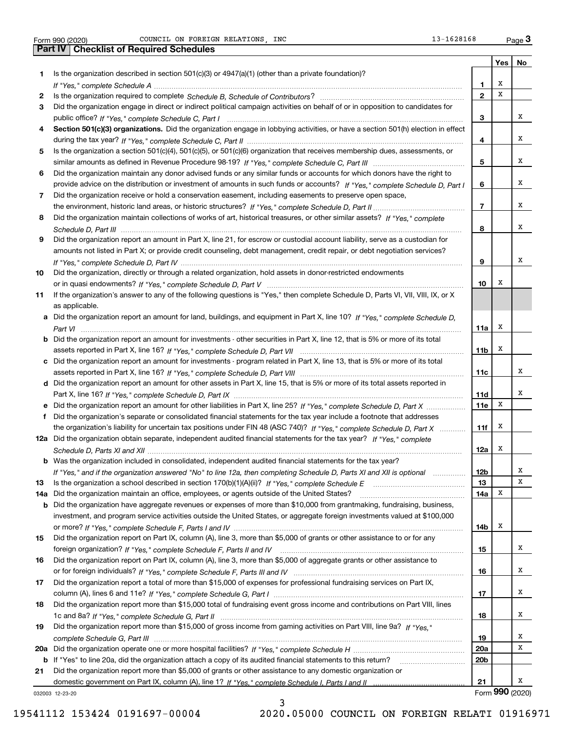Form 990 (2020) Page COUNCIL ON FOREIGN RELATIONS, INC 13-1628168

**Yes No 1** Is the organization described in section 501(c)(3) or 4947(a)(1) (other than a private foundation)? **2345678** Did the organization maintain collections of works of art, historical treasures, or other similar assets? If "Yes," complete **9** Did the organization report an amount in Part X, line 21, for escrow or custodial account liability, serve as a custodian for **101112a** Did the organization obtain separate, independent audited financial statements for the tax year? If "Yes," complete **1314a** Did the organization maintain an office, employees, or agents outside of the United States? www.communicalli **151617181912345678910Section 501(c)(3) organizations.** Did the organization engage in lobbying activities, or have a section 501(h) election in effect **a** Did the organization report an amount for land, buildings, and equipment in Part X, line 10? If "Yes," complete Schedule D, **bcd** Did the organization report an amount for other assets in Part X, line 15, that is 5% or more of its total assets reported in **efb** Was the organization included in consolidated, independent audited financial statements for the tax year? **11a11b11c11d11e11f12a12b1314a14b151617181920a20bb20 a** *If "Yes," complete Schedule H* Did the organization operate one or more hospital facilities? ~~~~~~~~~~~~~~~~~ **21b** If "Yes" to line 20a, did the organization attach a copy of its audited financial statements to this return? \_\_\_\_\_\_\_\_\_\_\_\_\_\_\_\_\_\_\_\_\_\_ *If "Yes," complete Schedule A* ~~~~~~~~~~~~~~~~~~~~~~~~~~~~~~~~~~~~~~~~~~~~~~~ Is the organization required to complete Schedule B, Schedule of Contributors? …………………………………………………… *If "Yes," complete Schedule C, Part I* public office? ~~~~~~~~~~~~~~~~~~~~~~~~~~~~~~~~~~~~ *If "Yes," complete Schedule C, Part II* during the tax year? ~~~~~~~~~~~~~~~~~~~~~~~~~~~~~~~~~ *If "Yes," complete Schedule C, Part III* similar amounts as defined in Revenue Procedure 98-19? ~~~~~~~~~~~~~~ *If "Yes," complete Schedule D, Part I* provide advice on the distribution or investment of amounts in such funds or accounts? *If "Yes," complete Schedule D, Part II* the environment, historic land areas, or historic structures? ~~~~~~~~~~~~~~ *Schedule D, Part III* ~~~~~~~~~~~~~~~~~~~~~~~~~~~~~~~~~~~~~~~~~~~~~~~~~~~~ *If "Yes," complete Schedule D, Part IV* ~~~~~~~~~~~~~~~~~~~~~~~~~~~~~~~~~~~~~~~~~~~ or in quasi endowments? If "Yes," c*omplete Schedule D, Part V* ………………………………………………………………………… *Part VI* ~~~~~~~~~~~~~~~~~~~~~~~~~~~~~~~~~~~~~~~~~~~~~~~~~~~~~~~~~~ *If "Yes," complete Schedule D, Part VII* assets reported in Part X, line 16? ~~~~~~~~~~~~~~~~~~~~~~~~~ assets reported in Part X, line 16? If "Yes," c*omplete Schedule D, Part VIII* ……………………………………………………………… Part X, line 16? *If "Yes," complete Schedule D, Part IX ………………………………………………………………………*……… Did the organization report an amount for other liabilities in Part X, line 25? If "Yes," c*omplete Schedule D, Part X* ……………… the organization's liability for uncertain tax positions under FIN 48 (ASC 740)? If "Yes," complete Schedule D, Part X ............ *Schedule D, Parts XI and XII* ~~~~~~~~~~~~~~~~~~~~~~~~~~~~~~~~~~~~~~~~~~~~~~~~ If "Yes," and if the organization answered "No" to line 12a, then completing Schedule D, Parts XI and XII is optional *www.* ls the organization a school described in section 170(b)(1)(A)(ii)? *If "Yes," complete Schedule E* \_\_\_\_\_\_\_\_\_\_\_\_\_\_\_\_\_\_\_\_\_\_\_\_\_\_\_\_\_\_\_\_\_ or more? *If "Yes," complete Schedule F, Parts I and IV ……………………………………………………………………*…………………… foreign organization? *If "Yes," complete Schedule F, Parts II and IV ………………………………………………………………*…… *If "Yes," complete Schedule F, Parts III and IV* or for foreign individuals? ~~~~~~~~~~~~~~~~~~~~~~~~~~ column (A), lines 6 and 11e? *If "Yes," complete Schedule G, Part I* ………………………………………………………………………… *If "Yes," complete Schedule G, Part II* 1c and 8a? ~~~~~~~~~~~~~~~~~~~~~~~~~~~~~~~~~~~~~ Did the organization report more than \$15,000 of gross income from gaming activities on Part VIII, line 9a? If "Yes," *complete Schedule G, Part III* ~~~~~~~~~~~~~~~~~~~~~~~~~~~~~~~~~~~~~~~~~~~~~~~ Did the organization engage in direct or indirect political campaign activities on behalf of or in opposition to candidates for Is the organization a section 501(c)(4), 501(c)(5), or 501(c)(6) organization that receives membership dues, assessments, or Did the organization maintain any donor advised funds or any similar funds or accounts for which donors have the right to Did the organization receive or hold a conservation easement, including easements to preserve open space, amounts not listed in Part X; or provide credit counseling, debt management, credit repair, or debt negotiation services? Did the organization, directly or through a related organization, hold assets in donor-restricted endowments If the organization's answer to any of the following questions is "Yes," then complete Schedule D, Parts VI, VII, VIII, IX, or X as applicable. Did the organization report an amount for investments - other securities in Part X, line 12, that is 5% or more of its total Did the organization report an amount for investments - program related in Part X, line 13, that is 5% or more of its total Did the organization's separate or consolidated financial statements for the tax year include a footnote that addresses Did the organization have aggregate revenues or expenses of more than \$10,000 from grantmaking, fundraising, business, investment, and program service activities outside the United States, or aggregate foreign investments valued at \$100,000 Did the organization report on Part IX, column (A), line 3, more than \$5,000 of grants or other assistance to or for any Did the organization report on Part IX, column (A), line 3, more than \$5,000 of aggregate grants or other assistance to Did the organization report a total of more than \$15,000 of expenses for professional fundraising services on Part IX, Did the organization report more than \$15,000 total of fundraising event gross income and contributions on Part VIII, lines Did the organization report more than \$5,000 of grants or other assistance to any domestic organization or Form 990 (2020) COUNCIL ON FOREIGN RELATIONS,INC 13-1628168 <sub>Page</sub> 3<br>Part IV | Checklist of Required Schedules XXXXXXXXXXXXXXXXXXXXXXXXXXX

domestic government on Part IX, column (A), line 1? If "Yes," complete Schedule I, Parts I and II …………………………………… 

032003 12-23-20

19541112 153424 0191697-00004 2020.05000 COUNCIL ON FOREIGN RELATI 01916971

**21**

Form (2020) **990**

X

3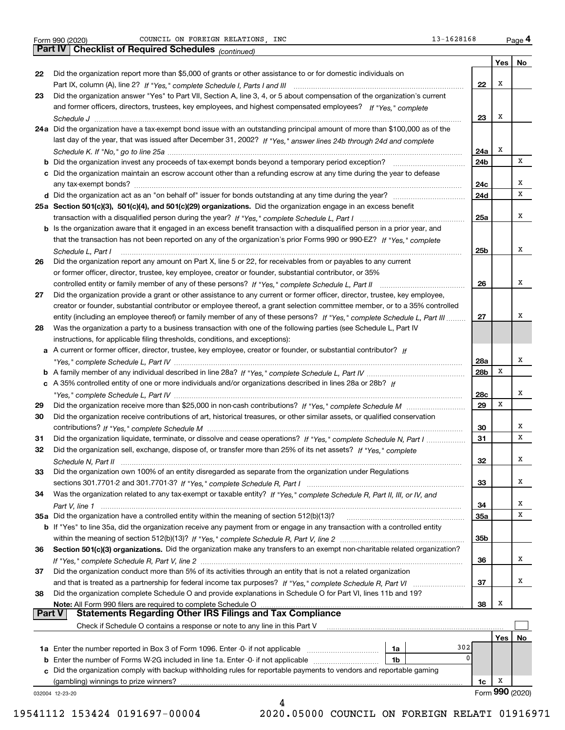|               |                                                                                                                                    |            | Yes             | No |
|---------------|------------------------------------------------------------------------------------------------------------------------------------|------------|-----------------|----|
| 22            | Did the organization report more than \$5,000 of grants or other assistance to or for domestic individuals on                      |            |                 |    |
|               |                                                                                                                                    | 22         | X               |    |
| 23            | Did the organization answer "Yes" to Part VII, Section A, line 3, 4, or 5 about compensation of the organization's current         |            |                 |    |
|               | and former officers, directors, trustees, key employees, and highest compensated employees? If "Yes," complete                     |            |                 |    |
|               |                                                                                                                                    | 23         | X               |    |
|               | 24a Did the organization have a tax-exempt bond issue with an outstanding principal amount of more than \$100,000 as of the        |            |                 |    |
|               | last day of the year, that was issued after December 31, 2002? If "Yes," answer lines 24b through 24d and complete                 |            |                 |    |
|               |                                                                                                                                    | 24a        | х               |    |
|               | <b>b</b> Did the organization invest any proceeds of tax-exempt bonds beyond a temporary period exception?                         | 24b        |                 | х  |
|               | c Did the organization maintain an escrow account other than a refunding escrow at any time during the year to defease             |            |                 | X  |
|               |                                                                                                                                    | 24c<br>24d |                 | х  |
|               |                                                                                                                                    |            |                 |    |
|               | 25a Section 501(c)(3), 501(c)(4), and 501(c)(29) organizations. Did the organization engage in an excess benefit                   | 25a        |                 | х  |
|               | b Is the organization aware that it engaged in an excess benefit transaction with a disqualified person in a prior year, and       |            |                 |    |
|               | that the transaction has not been reported on any of the organization's prior Forms 990 or 990-EZ? If "Yes," complete              |            |                 |    |
|               | Schedule L. Part I                                                                                                                 | 25b        |                 | X  |
| 26            | Did the organization report any amount on Part X, line 5 or 22, for receivables from or payables to any current                    |            |                 |    |
|               | or former officer, director, trustee, key employee, creator or founder, substantial contributor, or 35%                            |            |                 |    |
|               |                                                                                                                                    | 26         |                 | X  |
| 27            | Did the organization provide a grant or other assistance to any current or former officer, director, trustee, key employee,        |            |                 |    |
|               | creator or founder, substantial contributor or employee thereof, a grant selection committee member, or to a 35% controlled        |            |                 |    |
|               | entity (including an employee thereof) or family member of any of these persons? If "Yes," complete Schedule L, Part III           | 27         |                 | X  |
| 28            | Was the organization a party to a business transaction with one of the following parties (see Schedule L, Part IV                  |            |                 |    |
|               | instructions, for applicable filing thresholds, conditions, and exceptions):                                                       |            |                 |    |
|               | a A current or former officer, director, trustee, key employee, creator or founder, or substantial contributor? If                 |            |                 |    |
|               |                                                                                                                                    | 28a        |                 | X  |
|               |                                                                                                                                    | 28b        | х               |    |
|               | c A 35% controlled entity of one or more individuals and/or organizations described in lines 28a or 28b? If                        |            |                 |    |
|               |                                                                                                                                    | 28c        |                 | X  |
| 29            |                                                                                                                                    | 29         | х               |    |
| 30            | Did the organization receive contributions of art, historical treasures, or other similar assets, or qualified conservation        |            |                 |    |
|               |                                                                                                                                    | 30         |                 | X  |
| 31            | Did the organization liquidate, terminate, or dissolve and cease operations? If "Yes," complete Schedule N, Part I                 | 31         |                 | х  |
| 32            | Did the organization sell, exchange, dispose of, or transfer more than 25% of its net assets? If "Yes," complete                   |            |                 |    |
|               | Schedule N, Part II                                                                                                                | 32         |                 | х  |
| 33            | Did the organization own 100% of an entity disregarded as separate from the organization under Regulations                         |            |                 |    |
|               |                                                                                                                                    | 33         |                 | X  |
| 34            | Was the organization related to any tax-exempt or taxable entity? If "Yes," complete Schedule R, Part II, III, or IV, and          |            |                 | x  |
|               | 35a Did the organization have a controlled entity within the meaning of section 512(b)(13)?                                        | 34<br>35a  |                 | х  |
|               | <b>b</b> If "Yes" to line 35a, did the organization receive any payment from or engage in any transaction with a controlled entity |            |                 |    |
|               |                                                                                                                                    | 35b        |                 |    |
| 36            | Section 501(c)(3) organizations. Did the organization make any transfers to an exempt non-charitable related organization?         |            |                 |    |
|               |                                                                                                                                    | 36         |                 | х  |
| 37            | Did the organization conduct more than 5% of its activities through an entity that is not a related organization                   |            |                 |    |
|               | and that is treated as a partnership for federal income tax purposes? If "Yes," complete Schedule R, Part VI                       | 37         |                 | х  |
| 38            | Did the organization complete Schedule O and provide explanations in Schedule O for Part VI, lines 11b and 19?                     |            |                 |    |
|               | Note: All Form 990 filers are required to complete Schedule O                                                                      | 38         | x               |    |
| <b>Part V</b> | <b>Statements Regarding Other IRS Filings and Tax Compliance</b>                                                                   |            |                 |    |
|               | Check if Schedule O contains a response or note to any line in this Part V                                                         |            |                 |    |
|               |                                                                                                                                    |            | Yes             | No |
|               | 302<br>1a                                                                                                                          |            |                 |    |
|               | 0<br>1b                                                                                                                            |            |                 |    |
|               | c Did the organization comply with backup withholding rules for reportable payments to vendors and reportable gaming               |            |                 |    |
|               | (gambling) winnings to prize winners?                                                                                              | 1c         | x               |    |
|               | 032004 12-23-20                                                                                                                    |            | Form 990 (2020) |    |
|               |                                                                                                                                    |            |                 |    |

 <sup>19541112 153424 0191697-00004 2020.05000</sup> COUNCIL ON FOREIGN RELATI 01916971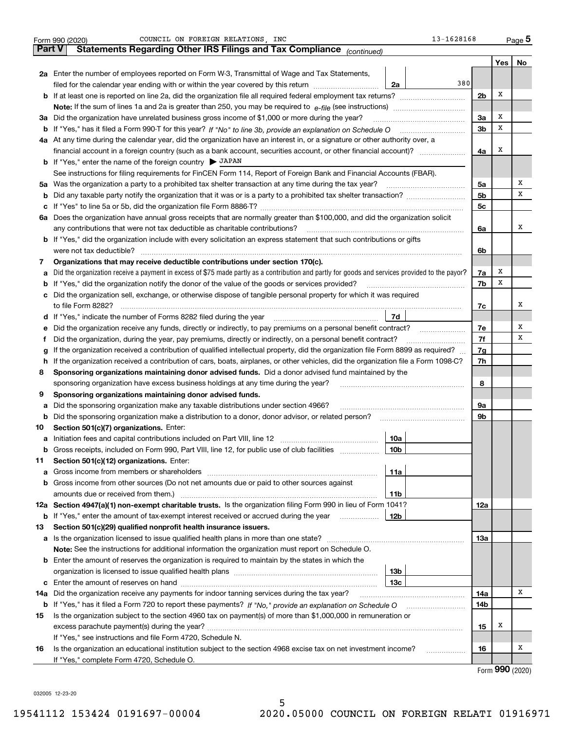|        | 13-1628168<br>COUNCIL ON FOREIGN RELATIONS, INC<br>Form 990 (2020)                                                                                                                                                                    |                |                   | <u>Page</u> 5 |
|--------|---------------------------------------------------------------------------------------------------------------------------------------------------------------------------------------------------------------------------------------|----------------|-------------------|---------------|
| Part V | Statements Regarding Other IRS Filings and Tax Compliance (continued)                                                                                                                                                                 |                |                   |               |
|        |                                                                                                                                                                                                                                       |                | Yes               | No            |
|        | 2a Enter the number of employees reported on Form W-3, Transmittal of Wage and Tax Statements,                                                                                                                                        |                |                   |               |
|        | 380<br>filed for the calendar year ending with or within the year covered by this return<br>2a                                                                                                                                        |                |                   |               |
|        |                                                                                                                                                                                                                                       | 2 <sub>b</sub> | Х                 |               |
|        | Note: If the sum of lines 1a and 2a is greater than 250, you may be required to $e$ -file (see instructions) $\ldots$                                                                                                                 |                |                   |               |
|        | 3a Did the organization have unrelated business gross income of \$1,000 or more during the year?                                                                                                                                      | 3a             | х                 |               |
|        | b If "Yes," has it filed a Form 990-T for this year? If "No" to line 3b, provide an explanation on Schedule O                                                                                                                         | 3 <sub>b</sub> | х                 |               |
|        | 4a At any time during the calendar year, did the organization have an interest in, or a signature or other authority over, a                                                                                                          |                |                   |               |
|        |                                                                                                                                                                                                                                       | 4a             | х                 |               |
|        | <b>b</b> If "Yes," enter the name of the foreign country $\triangleright$ JAPAN                                                                                                                                                       |                |                   |               |
|        | See instructions for filing requirements for FinCEN Form 114, Report of Foreign Bank and Financial Accounts (FBAR).                                                                                                                   |                |                   |               |
|        | 5a Was the organization a party to a prohibited tax shelter transaction at any time during the tax year?                                                                                                                              | 5a             |                   | х             |
|        |                                                                                                                                                                                                                                       | 5 <sub>b</sub> |                   | х             |
|        |                                                                                                                                                                                                                                       | 5c             |                   |               |
|        | 6a Does the organization have annual gross receipts that are normally greater than \$100,000, and did the organization solicit                                                                                                        |                |                   |               |
|        | any contributions that were not tax deductible as charitable contributions?                                                                                                                                                           | 6a             |                   | х             |
|        | <b>b</b> If "Yes," did the organization include with every solicitation an express statement that such contributions or gifts                                                                                                         |                |                   |               |
|        | were not tax deductible?                                                                                                                                                                                                              | 6b             |                   |               |
| 7      | Organizations that may receive deductible contributions under section 170(c).                                                                                                                                                         |                |                   |               |
| а      | Did the organization receive a payment in excess of \$75 made partly as a contribution and partly for goods and services provided to the payor?                                                                                       | 7a             | х                 |               |
| b      | If "Yes," did the organization notify the donor of the value of the goods or services provided?                                                                                                                                       | 7b             | х                 |               |
|        | c Did the organization sell, exchange, or otherwise dispose of tangible personal property for which it was required                                                                                                                   |                |                   |               |
|        | to file Form 8282?                                                                                                                                                                                                                    | 7c             |                   | х             |
|        | 7d<br><b>d</b> If "Yes," indicate the number of Forms 8282 filed during the year                                                                                                                                                      |                |                   |               |
| е      | Did the organization receive any funds, directly or indirectly, to pay premiums on a personal benefit contract?                                                                                                                       | 7e             |                   | Х             |
| Ť.     | Did the organization, during the year, pay premiums, directly or indirectly, on a personal benefit contract?                                                                                                                          | 7f             |                   | х             |
| g      | If the organization received a contribution of qualified intellectual property, did the organization file Form 8899 as required?                                                                                                      | 7g             |                   |               |
| h.     | If the organization received a contribution of cars, boats, airplanes, or other vehicles, did the organization file a Form 1098-C?                                                                                                    | 7h             |                   |               |
| 8      | Sponsoring organizations maintaining donor advised funds. Did a donor advised fund maintained by the                                                                                                                                  |                |                   |               |
|        | sponsoring organization have excess business holdings at any time during the year?                                                                                                                                                    | 8              |                   |               |
| 9      | Sponsoring organizations maintaining donor advised funds.                                                                                                                                                                             |                |                   |               |
| а      | Did the sponsoring organization make any taxable distributions under section 4966?                                                                                                                                                    | 9а             |                   |               |
| b      | Did the sponsoring organization make a distribution to a donor, donor advisor, or related person?                                                                                                                                     | 9b             |                   |               |
| 10     | Section 501(c)(7) organizations. Enter:                                                                                                                                                                                               |                |                   |               |
|        | 10a                                                                                                                                                                                                                                   |                |                   |               |
| b      | Gross receipts, included on Form 990, Part VIII, line 12, for public use of club facilities<br>10b                                                                                                                                    |                |                   |               |
| 11     | Section 501(c)(12) organizations. Enter:                                                                                                                                                                                              |                |                   |               |
| а      | 11a<br>Gross income from members or shareholders [11] matter content in the state of the state of the state of the state of the state of the state of the state of the state of the state of the state of the state of the state of t |                |                   |               |
| b      | Gross income from other sources (Do not net amounts due or paid to other sources against                                                                                                                                              |                |                   |               |
|        | amounts due or received from them.)<br>11b                                                                                                                                                                                            |                |                   |               |
|        | 12a Section 4947(a)(1) non-exempt charitable trusts. Is the organization filing Form 990 in lieu of Form 1041?                                                                                                                        | 12a            |                   |               |
| b      | If "Yes," enter the amount of tax-exempt interest received or accrued during the year<br>12b                                                                                                                                          |                |                   |               |
| 13     | Section 501(c)(29) qualified nonprofit health insurance issuers.                                                                                                                                                                      |                |                   |               |
|        |                                                                                                                                                                                                                                       | 13а            |                   |               |
|        | Note: See the instructions for additional information the organization must report on Schedule O.                                                                                                                                     |                |                   |               |
|        | <b>b</b> Enter the amount of reserves the organization is required to maintain by the states in which the                                                                                                                             |                |                   |               |
|        | 13 <sub>b</sub>                                                                                                                                                                                                                       |                |                   |               |
|        | 13с                                                                                                                                                                                                                                   |                |                   |               |
| 14a    | Did the organization receive any payments for indoor tanning services during the tax year?                                                                                                                                            | 14a            |                   | х             |
| b      |                                                                                                                                                                                                                                       | 14b            |                   |               |
| 15     | Is the organization subject to the section 4960 tax on payment(s) of more than \$1,000,000 in remuneration or                                                                                                                         |                |                   |               |
|        |                                                                                                                                                                                                                                       | 15             | х                 |               |
|        | If "Yes," see instructions and file Form 4720, Schedule N.                                                                                                                                                                            |                |                   |               |
| 16     | Is the organization an educational institution subject to the section 4968 excise tax on net investment income?<br>.                                                                                                                  | 16             |                   | х             |
|        | If "Yes," complete Form 4720, Schedule O.                                                                                                                                                                                             |                | nnn <sub>is</sub> |               |

Form (2020) **990**

032005 12-23-20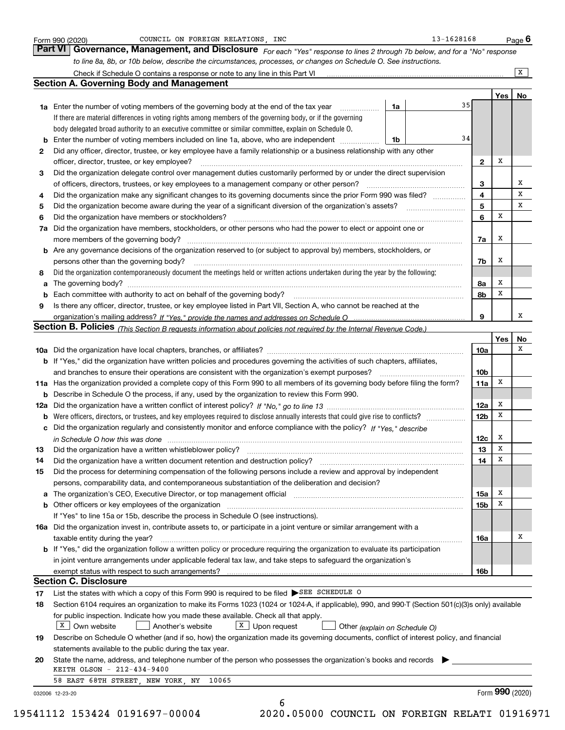|    |                                                                                                                                                                                                                                |    |    |                 |     | $\overline{X}$  |
|----|--------------------------------------------------------------------------------------------------------------------------------------------------------------------------------------------------------------------------------|----|----|-----------------|-----|-----------------|
|    | <b>Section A. Governing Body and Management</b>                                                                                                                                                                                |    |    |                 |     |                 |
|    |                                                                                                                                                                                                                                |    |    |                 | Yes | No              |
|    | 1a Enter the number of voting members of the governing body at the end of the tax year                                                                                                                                         | 1a | 35 |                 |     |                 |
|    | If there are material differences in voting rights among members of the governing body, or if the governing                                                                                                                    |    |    |                 |     |                 |
|    | body delegated broad authority to an executive committee or similar committee, explain on Schedule O.                                                                                                                          |    |    |                 |     |                 |
| b  | Enter the number of voting members included on line 1a, above, who are independent                                                                                                                                             | 1b | 34 |                 |     |                 |
| 2  | Did any officer, director, trustee, or key employee have a family relationship or a business relationship with any other                                                                                                       |    |    |                 |     |                 |
|    | officer, director, trustee, or key employee?                                                                                                                                                                                   |    |    | $\mathbf{2}$    | х   |                 |
| 3  | Did the organization delegate control over management duties customarily performed by or under the direct supervision                                                                                                          |    |    |                 |     |                 |
|    | of officers, directors, trustees, or key employees to a management company or other person?                                                                                                                                    |    |    | 3               |     | x               |
| 4  | Did the organization make any significant changes to its governing documents since the prior Form 990 was filed?                                                                                                               |    |    | 4               |     | $\mathbf X$     |
| 5  |                                                                                                                                                                                                                                |    |    | 5               |     | x               |
| 6  | Did the organization have members or stockholders?                                                                                                                                                                             |    |    | 6               | x   |                 |
| 7a | Did the organization have members, stockholders, or other persons who had the power to elect or appoint one or                                                                                                                 |    |    |                 |     |                 |
|    |                                                                                                                                                                                                                                |    |    | 7a              | x   |                 |
| b  | Are any governance decisions of the organization reserved to (or subject to approval by) members, stockholders, or                                                                                                             |    |    |                 |     |                 |
|    | persons other than the governing body?                                                                                                                                                                                         |    |    | 7b              | х   |                 |
| 8  | Did the organization contemporaneously document the meetings held or written actions undertaken during the year by the following:                                                                                              |    |    |                 |     |                 |
| а  |                                                                                                                                                                                                                                |    |    | 8а              | X   |                 |
|    | Each committee with authority to act on behalf of the governing body? [11] manufacture manufacture with authority to act on behalf of the governing body? [11] manufacture manufacture with authority of the state with an int |    |    | 8b              | x   |                 |
| 9  | Is there any officer, director, trustee, or key employee listed in Part VII, Section A, who cannot be reached at the                                                                                                           |    |    |                 |     |                 |
|    |                                                                                                                                                                                                                                |    |    | 9               |     | х               |
|    | Section B. Policies (This Section B requests information about policies not required by the Internal Revenue Code.)                                                                                                            |    |    |                 |     |                 |
|    |                                                                                                                                                                                                                                |    |    |                 | Yes | No              |
|    |                                                                                                                                                                                                                                |    |    | 10a             |     | x               |
|    | b If "Yes," did the organization have written policies and procedures governing the activities of such chapters, affiliates,                                                                                                   |    |    |                 |     |                 |
|    | and branches to ensure their operations are consistent with the organization's exempt purposes?                                                                                                                                |    |    | 10 <sub>b</sub> |     |                 |
|    | 11a Has the organization provided a complete copy of this Form 990 to all members of its governing body before filing the form?                                                                                                |    |    | 11a             | х   |                 |
| b  | Describe in Schedule O the process, if any, used by the organization to review this Form 990.                                                                                                                                  |    |    |                 |     |                 |
|    |                                                                                                                                                                                                                                |    |    | 12a             | X   |                 |
| b  |                                                                                                                                                                                                                                |    |    | 12 <sub>b</sub> | x   |                 |
|    | c Did the organization regularly and consistently monitor and enforce compliance with the policy? If "Yes," describe                                                                                                           |    |    |                 |     |                 |
|    | in Schedule O how this was done manufactured and continuum and contact the state of the state of the state of t                                                                                                                |    |    | 12c             | х   |                 |
| 13 |                                                                                                                                                                                                                                |    |    | 13              | X   |                 |
| 14 | Did the organization have a written document retention and destruction policy? manufactured and the organization have a written document retention and destruction policy?                                                     |    |    | 14              | х   |                 |
| 15 | Did the process for determining compensation of the following persons include a review and approval by independent                                                                                                             |    |    |                 |     |                 |
|    | persons, comparability data, and contemporaneous substantiation of the deliberation and decision?                                                                                                                              |    |    |                 |     |                 |
|    |                                                                                                                                                                                                                                |    |    | 15a             | x   |                 |
|    |                                                                                                                                                                                                                                |    |    | 15b             | Х   |                 |
|    | If "Yes" to line 15a or 15b, describe the process in Schedule O (see instructions).                                                                                                                                            |    |    |                 |     |                 |
|    | 16a Did the organization invest in, contribute assets to, or participate in a joint venture or similar arrangement with a                                                                                                      |    |    |                 |     |                 |
|    | taxable entity during the year?                                                                                                                                                                                                |    |    | 16a             |     | х               |
|    | b If "Yes," did the organization follow a written policy or procedure requiring the organization to evaluate its participation                                                                                                 |    |    |                 |     |                 |
|    | in joint venture arrangements under applicable federal tax law, and take steps to safeguard the organization's                                                                                                                 |    |    |                 |     |                 |
|    |                                                                                                                                                                                                                                |    |    | 16b             |     |                 |
|    | <b>Section C. Disclosure</b>                                                                                                                                                                                                   |    |    |                 |     |                 |
| 17 | List the states with which a copy of this Form 990 is required to be filed SEE SCHEDULE O                                                                                                                                      |    |    |                 |     |                 |
| 18 | Section 6104 requires an organization to make its Forms 1023 (1024 or 1024-A, if applicable), 990, and 990-T (Section 501(c)(3)s only) available                                                                               |    |    |                 |     |                 |
|    | for public inspection. Indicate how you made these available. Check all that apply.                                                                                                                                            |    |    |                 |     |                 |
|    | $X$ Own website<br>$\boxed{\text{X}}$ Upon request<br>Another's website<br>Other (explain on Schedule O)                                                                                                                       |    |    |                 |     |                 |
| 19 | Describe on Schedule O whether (and if so, how) the organization made its governing documents, conflict of interest policy, and financial                                                                                      |    |    |                 |     |                 |
|    | statements available to the public during the tax year.                                                                                                                                                                        |    |    |                 |     |                 |
| 20 | State the name, address, and telephone number of the person who possesses the organization's books and records                                                                                                                 |    |    |                 |     |                 |
|    | KEITH OLSON - 212-434-9400                                                                                                                                                                                                     |    |    |                 |     |                 |
|    | 58 EAST 68TH STREET, NEW YORK, NY 10065                                                                                                                                                                                        |    |    |                 |     | Form 990 (2020) |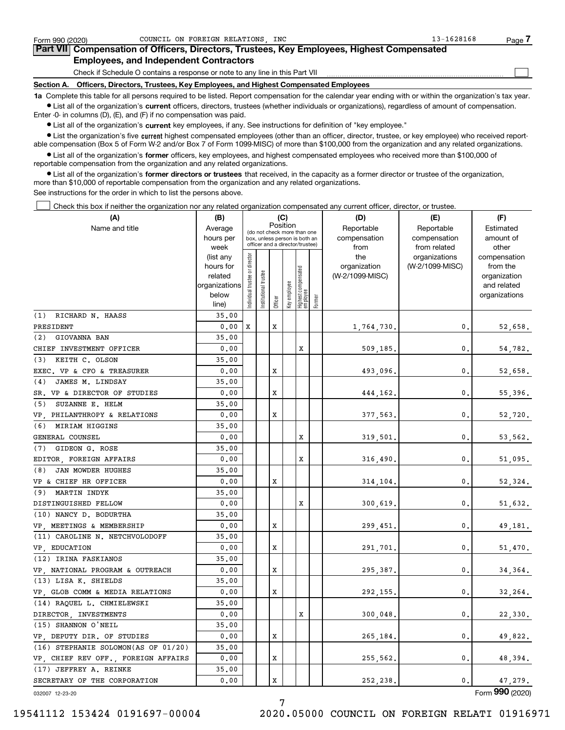| Form 990 (2020) | COUNCIL ON FOREIGN RELATIONS INC                                                                                                                           | $13 - 1628168$<br>Page |
|-----------------|------------------------------------------------------------------------------------------------------------------------------------------------------------|------------------------|
|                 | Part VII Compensation of Officers, Directors, Trustees, Key Employees, Highest Compensated                                                                 |                        |
|                 | <b>Employees, and Independent Contractors</b>                                                                                                              |                        |
|                 | Check if Schedule O contains a response or note to any line in this Part VII                                                                               |                        |
|                 | Section A. Officers, Directors, Trustees, Key Employees, and Highest Compensated Employees                                                                 |                        |
|                 | 1a Complete this table for all persons required to be listed. Report compensation for the calendar year ending with or within the organization's tax year. |                        |

**•** List all of the organization's current officers, directors, trustees (whether individuals or organizations), regardless of amount of compensation. Enter -0- in columns (D), (E), and (F) if no compensation was paid.

 $\bullet$  List all of the organization's  $\,$ current key employees, if any. See instructions for definition of "key employee."

**•** List the organization's five current highest compensated employees (other than an officer, director, trustee, or key employee) who received reportable compensation (Box 5 of Form W-2 and/or Box 7 of Form 1099-MISC) of more than \$100,000 from the organization and any related organizations.

**•** List all of the organization's former officers, key employees, and highest compensated employees who received more than \$100,000 of reportable compensation from the organization and any related organizations.

**former directors or trustees**  ¥ List all of the organization's that received, in the capacity as a former director or trustee of the organization, more than \$10,000 of reportable compensation from the organization and any related organizations.

See instructions for the order in which to list the persons above.

Check this box if neither the organization nor any related organization compensated any current officer, director, or trustee.  $\mathcal{L}^{\text{max}}$ 

| Position<br>Reportable<br>Reportable<br>Name and title<br>Estimated<br>Average<br>(do not check more than one<br>hours per<br>compensation<br>compensation<br>amount of<br>box, unless person is both an<br>officer and a director/trustee)<br>from related<br>other<br>week<br>from<br>Individual trustee or director<br>the<br>organizations<br>compensation<br>(list any<br>(W-2/1099-MISC)<br>hours for<br>organization<br>from the<br>  Highest compensated<br>  employee<br>(W-2/1099-MISC)<br>related<br>organization<br>Key employee<br>organizations<br>and related<br>Institutional t<br>below<br>organizations<br>Former<br>Officer<br>line)<br>(1) RICHARD N. HAASS<br>35.00<br>0.00<br>X<br>PRESIDENT<br>x<br>1,764,730.<br>$\mathbf{0}$ .<br>52,658.<br>(2) GIOVANNA BAN<br>35.00<br>X<br>CHIEF INVESTMENT OFFICER<br>0.00<br>0.<br>509,185.<br>54,782.<br>(3) KEITH C. OLSON<br>35.00<br>0.00<br>X<br>0.<br>EXEC. VP & CFO & TREASURER<br>493,096.<br>52,658.<br>JAMES M. LINDSAY<br>35.00<br>(4)<br>x<br>0.<br>SR. VP & DIRECTOR OF STUDIES<br>0.00<br>55,396.<br>444,162.<br>(5) SUZANNE E. HELM<br>35.00<br>VP, PHILANTHROPY & RELATIONS<br>0.00<br>x<br>$\mathbf{0}$ .<br>377,563.<br>52,720.<br>(6) MIRIAM HIGGINS<br>35.00<br>X<br>GENERAL COUNSEL<br>0.00<br>0.<br>319,501.<br>53,562.<br>(7) GIDEON G. ROSE<br>35.00<br>X<br>EDITOR, FOREIGN AFFAIRS<br>0.00<br>$\mathbf{0}$ .<br>51,095.<br>316,490.<br>JAN MOWDER HUGHES<br>(8)<br>35.00<br>X<br>VP & CHIEF HR OFFICER<br>0.00<br>0.<br>314,104.<br>52,324.<br>(9) MARTIN INDYK<br>35.00<br>X<br>DISTINGUISHED FELLOW<br>0.00<br>$\mathbf{0}$ .<br>300,619.<br>51,632.<br>(10) NANCY D. BODURTHA<br>35.00<br>0.<br>VP, MEETINGS & MEMBERSHIP<br>0.00<br>x<br>299,451.<br>49,181.<br>(11) CAROLINE N. NETCHVOLODOFF<br>35.00<br>X<br>0.<br>VP EDUCATION<br>0.00<br>291,701.<br>51,470.<br>(12) IRINA FASKIANOS<br>35.00<br>X<br>0.<br>VP NATIONAL PROGRAM & OUTREACH<br>0.00<br>295,387.<br>34,364.<br>(13) LISA K. SHIELDS<br>35.00<br>X<br>0.<br>VP. GLOB COMM & MEDIA RELATIONS<br>0.00<br>32,264.<br>292,155.<br>(14) RAQUEL L. CHMIELEWSKI<br>35,00<br>X<br>$\mathbf 0$ .<br>DIRECTOR . INVESTMENTS<br>0.00<br>300,048.<br>22,330.<br>(15) SHANNON O'NEIL<br>35,00<br>VP DEPUTY DIR. OF STUDIES<br>0.00<br>X<br>0.<br>265,184.<br>49,822.<br>(16) STEPHANIE SOLOMON(AS OF 01/20)<br>35.00<br>VP, CHIEF REV OFF., FOREIGN AFFAIRS<br>X<br>0.<br>0.00<br>255,562.<br>48,394.<br>(17) JEFFREY A. REINKE<br>35.00<br>$\mathbf x$<br>SECRETARY OF THE CORPORATION<br>0.00<br>$\mathbf{0}$ .<br>252,238.<br>47,279. | (A) | (B) |  | (C) |  | (D) | (E) | (F) |  |  |  |  |
|--------------------------------------------------------------------------------------------------------------------------------------------------------------------------------------------------------------------------------------------------------------------------------------------------------------------------------------------------------------------------------------------------------------------------------------------------------------------------------------------------------------------------------------------------------------------------------------------------------------------------------------------------------------------------------------------------------------------------------------------------------------------------------------------------------------------------------------------------------------------------------------------------------------------------------------------------------------------------------------------------------------------------------------------------------------------------------------------------------------------------------------------------------------------------------------------------------------------------------------------------------------------------------------------------------------------------------------------------------------------------------------------------------------------------------------------------------------------------------------------------------------------------------------------------------------------------------------------------------------------------------------------------------------------------------------------------------------------------------------------------------------------------------------------------------------------------------------------------------------------------------------------------------------------------------------------------------------------------------------------------------------------------------------------------------------------------------------------------------------------------------------------------------------------------------------------------------------------------------------------------------------------------------------------------------------------------------------------------------------------------------------------------------------------------------------------------------------------------------------------------------------------------------------------------------------------------------------------|-----|-----|--|-----|--|-----|-----|-----|--|--|--|--|
|                                                                                                                                                                                                                                                                                                                                                                                                                                                                                                                                                                                                                                                                                                                                                                                                                                                                                                                                                                                                                                                                                                                                                                                                                                                                                                                                                                                                                                                                                                                                                                                                                                                                                                                                                                                                                                                                                                                                                                                                                                                                                                                                                                                                                                                                                                                                                                                                                                                                                                                                                                                            |     |     |  |     |  |     |     |     |  |  |  |  |
|                                                                                                                                                                                                                                                                                                                                                                                                                                                                                                                                                                                                                                                                                                                                                                                                                                                                                                                                                                                                                                                                                                                                                                                                                                                                                                                                                                                                                                                                                                                                                                                                                                                                                                                                                                                                                                                                                                                                                                                                                                                                                                                                                                                                                                                                                                                                                                                                                                                                                                                                                                                            |     |     |  |     |  |     |     |     |  |  |  |  |
|                                                                                                                                                                                                                                                                                                                                                                                                                                                                                                                                                                                                                                                                                                                                                                                                                                                                                                                                                                                                                                                                                                                                                                                                                                                                                                                                                                                                                                                                                                                                                                                                                                                                                                                                                                                                                                                                                                                                                                                                                                                                                                                                                                                                                                                                                                                                                                                                                                                                                                                                                                                            |     |     |  |     |  |     |     |     |  |  |  |  |
|                                                                                                                                                                                                                                                                                                                                                                                                                                                                                                                                                                                                                                                                                                                                                                                                                                                                                                                                                                                                                                                                                                                                                                                                                                                                                                                                                                                                                                                                                                                                                                                                                                                                                                                                                                                                                                                                                                                                                                                                                                                                                                                                                                                                                                                                                                                                                                                                                                                                                                                                                                                            |     |     |  |     |  |     |     |     |  |  |  |  |
|                                                                                                                                                                                                                                                                                                                                                                                                                                                                                                                                                                                                                                                                                                                                                                                                                                                                                                                                                                                                                                                                                                                                                                                                                                                                                                                                                                                                                                                                                                                                                                                                                                                                                                                                                                                                                                                                                                                                                                                                                                                                                                                                                                                                                                                                                                                                                                                                                                                                                                                                                                                            |     |     |  |     |  |     |     |     |  |  |  |  |
|                                                                                                                                                                                                                                                                                                                                                                                                                                                                                                                                                                                                                                                                                                                                                                                                                                                                                                                                                                                                                                                                                                                                                                                                                                                                                                                                                                                                                                                                                                                                                                                                                                                                                                                                                                                                                                                                                                                                                                                                                                                                                                                                                                                                                                                                                                                                                                                                                                                                                                                                                                                            |     |     |  |     |  |     |     |     |  |  |  |  |
|                                                                                                                                                                                                                                                                                                                                                                                                                                                                                                                                                                                                                                                                                                                                                                                                                                                                                                                                                                                                                                                                                                                                                                                                                                                                                                                                                                                                                                                                                                                                                                                                                                                                                                                                                                                                                                                                                                                                                                                                                                                                                                                                                                                                                                                                                                                                                                                                                                                                                                                                                                                            |     |     |  |     |  |     |     |     |  |  |  |  |
|                                                                                                                                                                                                                                                                                                                                                                                                                                                                                                                                                                                                                                                                                                                                                                                                                                                                                                                                                                                                                                                                                                                                                                                                                                                                                                                                                                                                                                                                                                                                                                                                                                                                                                                                                                                                                                                                                                                                                                                                                                                                                                                                                                                                                                                                                                                                                                                                                                                                                                                                                                                            |     |     |  |     |  |     |     |     |  |  |  |  |
|                                                                                                                                                                                                                                                                                                                                                                                                                                                                                                                                                                                                                                                                                                                                                                                                                                                                                                                                                                                                                                                                                                                                                                                                                                                                                                                                                                                                                                                                                                                                                                                                                                                                                                                                                                                                                                                                                                                                                                                                                                                                                                                                                                                                                                                                                                                                                                                                                                                                                                                                                                                            |     |     |  |     |  |     |     |     |  |  |  |  |
|                                                                                                                                                                                                                                                                                                                                                                                                                                                                                                                                                                                                                                                                                                                                                                                                                                                                                                                                                                                                                                                                                                                                                                                                                                                                                                                                                                                                                                                                                                                                                                                                                                                                                                                                                                                                                                                                                                                                                                                                                                                                                                                                                                                                                                                                                                                                                                                                                                                                                                                                                                                            |     |     |  |     |  |     |     |     |  |  |  |  |
|                                                                                                                                                                                                                                                                                                                                                                                                                                                                                                                                                                                                                                                                                                                                                                                                                                                                                                                                                                                                                                                                                                                                                                                                                                                                                                                                                                                                                                                                                                                                                                                                                                                                                                                                                                                                                                                                                                                                                                                                                                                                                                                                                                                                                                                                                                                                                                                                                                                                                                                                                                                            |     |     |  |     |  |     |     |     |  |  |  |  |
|                                                                                                                                                                                                                                                                                                                                                                                                                                                                                                                                                                                                                                                                                                                                                                                                                                                                                                                                                                                                                                                                                                                                                                                                                                                                                                                                                                                                                                                                                                                                                                                                                                                                                                                                                                                                                                                                                                                                                                                                                                                                                                                                                                                                                                                                                                                                                                                                                                                                                                                                                                                            |     |     |  |     |  |     |     |     |  |  |  |  |
|                                                                                                                                                                                                                                                                                                                                                                                                                                                                                                                                                                                                                                                                                                                                                                                                                                                                                                                                                                                                                                                                                                                                                                                                                                                                                                                                                                                                                                                                                                                                                                                                                                                                                                                                                                                                                                                                                                                                                                                                                                                                                                                                                                                                                                                                                                                                                                                                                                                                                                                                                                                            |     |     |  |     |  |     |     |     |  |  |  |  |
|                                                                                                                                                                                                                                                                                                                                                                                                                                                                                                                                                                                                                                                                                                                                                                                                                                                                                                                                                                                                                                                                                                                                                                                                                                                                                                                                                                                                                                                                                                                                                                                                                                                                                                                                                                                                                                                                                                                                                                                                                                                                                                                                                                                                                                                                                                                                                                                                                                                                                                                                                                                            |     |     |  |     |  |     |     |     |  |  |  |  |
|                                                                                                                                                                                                                                                                                                                                                                                                                                                                                                                                                                                                                                                                                                                                                                                                                                                                                                                                                                                                                                                                                                                                                                                                                                                                                                                                                                                                                                                                                                                                                                                                                                                                                                                                                                                                                                                                                                                                                                                                                                                                                                                                                                                                                                                                                                                                                                                                                                                                                                                                                                                            |     |     |  |     |  |     |     |     |  |  |  |  |
|                                                                                                                                                                                                                                                                                                                                                                                                                                                                                                                                                                                                                                                                                                                                                                                                                                                                                                                                                                                                                                                                                                                                                                                                                                                                                                                                                                                                                                                                                                                                                                                                                                                                                                                                                                                                                                                                                                                                                                                                                                                                                                                                                                                                                                                                                                                                                                                                                                                                                                                                                                                            |     |     |  |     |  |     |     |     |  |  |  |  |
|                                                                                                                                                                                                                                                                                                                                                                                                                                                                                                                                                                                                                                                                                                                                                                                                                                                                                                                                                                                                                                                                                                                                                                                                                                                                                                                                                                                                                                                                                                                                                                                                                                                                                                                                                                                                                                                                                                                                                                                                                                                                                                                                                                                                                                                                                                                                                                                                                                                                                                                                                                                            |     |     |  |     |  |     |     |     |  |  |  |  |
|                                                                                                                                                                                                                                                                                                                                                                                                                                                                                                                                                                                                                                                                                                                                                                                                                                                                                                                                                                                                                                                                                                                                                                                                                                                                                                                                                                                                                                                                                                                                                                                                                                                                                                                                                                                                                                                                                                                                                                                                                                                                                                                                                                                                                                                                                                                                                                                                                                                                                                                                                                                            |     |     |  |     |  |     |     |     |  |  |  |  |
|                                                                                                                                                                                                                                                                                                                                                                                                                                                                                                                                                                                                                                                                                                                                                                                                                                                                                                                                                                                                                                                                                                                                                                                                                                                                                                                                                                                                                                                                                                                                                                                                                                                                                                                                                                                                                                                                                                                                                                                                                                                                                                                                                                                                                                                                                                                                                                                                                                                                                                                                                                                            |     |     |  |     |  |     |     |     |  |  |  |  |
|                                                                                                                                                                                                                                                                                                                                                                                                                                                                                                                                                                                                                                                                                                                                                                                                                                                                                                                                                                                                                                                                                                                                                                                                                                                                                                                                                                                                                                                                                                                                                                                                                                                                                                                                                                                                                                                                                                                                                                                                                                                                                                                                                                                                                                                                                                                                                                                                                                                                                                                                                                                            |     |     |  |     |  |     |     |     |  |  |  |  |
|                                                                                                                                                                                                                                                                                                                                                                                                                                                                                                                                                                                                                                                                                                                                                                                                                                                                                                                                                                                                                                                                                                                                                                                                                                                                                                                                                                                                                                                                                                                                                                                                                                                                                                                                                                                                                                                                                                                                                                                                                                                                                                                                                                                                                                                                                                                                                                                                                                                                                                                                                                                            |     |     |  |     |  |     |     |     |  |  |  |  |
|                                                                                                                                                                                                                                                                                                                                                                                                                                                                                                                                                                                                                                                                                                                                                                                                                                                                                                                                                                                                                                                                                                                                                                                                                                                                                                                                                                                                                                                                                                                                                                                                                                                                                                                                                                                                                                                                                                                                                                                                                                                                                                                                                                                                                                                                                                                                                                                                                                                                                                                                                                                            |     |     |  |     |  |     |     |     |  |  |  |  |
|                                                                                                                                                                                                                                                                                                                                                                                                                                                                                                                                                                                                                                                                                                                                                                                                                                                                                                                                                                                                                                                                                                                                                                                                                                                                                                                                                                                                                                                                                                                                                                                                                                                                                                                                                                                                                                                                                                                                                                                                                                                                                                                                                                                                                                                                                                                                                                                                                                                                                                                                                                                            |     |     |  |     |  |     |     |     |  |  |  |  |
|                                                                                                                                                                                                                                                                                                                                                                                                                                                                                                                                                                                                                                                                                                                                                                                                                                                                                                                                                                                                                                                                                                                                                                                                                                                                                                                                                                                                                                                                                                                                                                                                                                                                                                                                                                                                                                                                                                                                                                                                                                                                                                                                                                                                                                                                                                                                                                                                                                                                                                                                                                                            |     |     |  |     |  |     |     |     |  |  |  |  |
|                                                                                                                                                                                                                                                                                                                                                                                                                                                                                                                                                                                                                                                                                                                                                                                                                                                                                                                                                                                                                                                                                                                                                                                                                                                                                                                                                                                                                                                                                                                                                                                                                                                                                                                                                                                                                                                                                                                                                                                                                                                                                                                                                                                                                                                                                                                                                                                                                                                                                                                                                                                            |     |     |  |     |  |     |     |     |  |  |  |  |
|                                                                                                                                                                                                                                                                                                                                                                                                                                                                                                                                                                                                                                                                                                                                                                                                                                                                                                                                                                                                                                                                                                                                                                                                                                                                                                                                                                                                                                                                                                                                                                                                                                                                                                                                                                                                                                                                                                                                                                                                                                                                                                                                                                                                                                                                                                                                                                                                                                                                                                                                                                                            |     |     |  |     |  |     |     |     |  |  |  |  |
|                                                                                                                                                                                                                                                                                                                                                                                                                                                                                                                                                                                                                                                                                                                                                                                                                                                                                                                                                                                                                                                                                                                                                                                                                                                                                                                                                                                                                                                                                                                                                                                                                                                                                                                                                                                                                                                                                                                                                                                                                                                                                                                                                                                                                                                                                                                                                                                                                                                                                                                                                                                            |     |     |  |     |  |     |     |     |  |  |  |  |
|                                                                                                                                                                                                                                                                                                                                                                                                                                                                                                                                                                                                                                                                                                                                                                                                                                                                                                                                                                                                                                                                                                                                                                                                                                                                                                                                                                                                                                                                                                                                                                                                                                                                                                                                                                                                                                                                                                                                                                                                                                                                                                                                                                                                                                                                                                                                                                                                                                                                                                                                                                                            |     |     |  |     |  |     |     |     |  |  |  |  |
|                                                                                                                                                                                                                                                                                                                                                                                                                                                                                                                                                                                                                                                                                                                                                                                                                                                                                                                                                                                                                                                                                                                                                                                                                                                                                                                                                                                                                                                                                                                                                                                                                                                                                                                                                                                                                                                                                                                                                                                                                                                                                                                                                                                                                                                                                                                                                                                                                                                                                                                                                                                            |     |     |  |     |  |     |     |     |  |  |  |  |
|                                                                                                                                                                                                                                                                                                                                                                                                                                                                                                                                                                                                                                                                                                                                                                                                                                                                                                                                                                                                                                                                                                                                                                                                                                                                                                                                                                                                                                                                                                                                                                                                                                                                                                                                                                                                                                                                                                                                                                                                                                                                                                                                                                                                                                                                                                                                                                                                                                                                                                                                                                                            |     |     |  |     |  |     |     |     |  |  |  |  |
|                                                                                                                                                                                                                                                                                                                                                                                                                                                                                                                                                                                                                                                                                                                                                                                                                                                                                                                                                                                                                                                                                                                                                                                                                                                                                                                                                                                                                                                                                                                                                                                                                                                                                                                                                                                                                                                                                                                                                                                                                                                                                                                                                                                                                                                                                                                                                                                                                                                                                                                                                                                            |     |     |  |     |  |     |     |     |  |  |  |  |
|                                                                                                                                                                                                                                                                                                                                                                                                                                                                                                                                                                                                                                                                                                                                                                                                                                                                                                                                                                                                                                                                                                                                                                                                                                                                                                                                                                                                                                                                                                                                                                                                                                                                                                                                                                                                                                                                                                                                                                                                                                                                                                                                                                                                                                                                                                                                                                                                                                                                                                                                                                                            |     |     |  |     |  |     |     |     |  |  |  |  |
|                                                                                                                                                                                                                                                                                                                                                                                                                                                                                                                                                                                                                                                                                                                                                                                                                                                                                                                                                                                                                                                                                                                                                                                                                                                                                                                                                                                                                                                                                                                                                                                                                                                                                                                                                                                                                                                                                                                                                                                                                                                                                                                                                                                                                                                                                                                                                                                                                                                                                                                                                                                            |     |     |  |     |  |     |     |     |  |  |  |  |
|                                                                                                                                                                                                                                                                                                                                                                                                                                                                                                                                                                                                                                                                                                                                                                                                                                                                                                                                                                                                                                                                                                                                                                                                                                                                                                                                                                                                                                                                                                                                                                                                                                                                                                                                                                                                                                                                                                                                                                                                                                                                                                                                                                                                                                                                                                                                                                                                                                                                                                                                                                                            |     |     |  |     |  |     |     |     |  |  |  |  |
|                                                                                                                                                                                                                                                                                                                                                                                                                                                                                                                                                                                                                                                                                                                                                                                                                                                                                                                                                                                                                                                                                                                                                                                                                                                                                                                                                                                                                                                                                                                                                                                                                                                                                                                                                                                                                                                                                                                                                                                                                                                                                                                                                                                                                                                                                                                                                                                                                                                                                                                                                                                            |     |     |  |     |  |     |     |     |  |  |  |  |
|                                                                                                                                                                                                                                                                                                                                                                                                                                                                                                                                                                                                                                                                                                                                                                                                                                                                                                                                                                                                                                                                                                                                                                                                                                                                                                                                                                                                                                                                                                                                                                                                                                                                                                                                                                                                                                                                                                                                                                                                                                                                                                                                                                                                                                                                                                                                                                                                                                                                                                                                                                                            |     |     |  |     |  |     |     |     |  |  |  |  |
|                                                                                                                                                                                                                                                                                                                                                                                                                                                                                                                                                                                                                                                                                                                                                                                                                                                                                                                                                                                                                                                                                                                                                                                                                                                                                                                                                                                                                                                                                                                                                                                                                                                                                                                                                                                                                                                                                                                                                                                                                                                                                                                                                                                                                                                                                                                                                                                                                                                                                                                                                                                            |     |     |  |     |  |     |     |     |  |  |  |  |
|                                                                                                                                                                                                                                                                                                                                                                                                                                                                                                                                                                                                                                                                                                                                                                                                                                                                                                                                                                                                                                                                                                                                                                                                                                                                                                                                                                                                                                                                                                                                                                                                                                                                                                                                                                                                                                                                                                                                                                                                                                                                                                                                                                                                                                                                                                                                                                                                                                                                                                                                                                                            |     |     |  |     |  |     |     |     |  |  |  |  |
|                                                                                                                                                                                                                                                                                                                                                                                                                                                                                                                                                                                                                                                                                                                                                                                                                                                                                                                                                                                                                                                                                                                                                                                                                                                                                                                                                                                                                                                                                                                                                                                                                                                                                                                                                                                                                                                                                                                                                                                                                                                                                                                                                                                                                                                                                                                                                                                                                                                                                                                                                                                            |     |     |  |     |  |     |     |     |  |  |  |  |
|                                                                                                                                                                                                                                                                                                                                                                                                                                                                                                                                                                                                                                                                                                                                                                                                                                                                                                                                                                                                                                                                                                                                                                                                                                                                                                                                                                                                                                                                                                                                                                                                                                                                                                                                                                                                                                                                                                                                                                                                                                                                                                                                                                                                                                                                                                                                                                                                                                                                                                                                                                                            |     |     |  |     |  |     |     |     |  |  |  |  |
|                                                                                                                                                                                                                                                                                                                                                                                                                                                                                                                                                                                                                                                                                                                                                                                                                                                                                                                                                                                                                                                                                                                                                                                                                                                                                                                                                                                                                                                                                                                                                                                                                                                                                                                                                                                                                                                                                                                                                                                                                                                                                                                                                                                                                                                                                                                                                                                                                                                                                                                                                                                            |     |     |  |     |  |     |     |     |  |  |  |  |
|                                                                                                                                                                                                                                                                                                                                                                                                                                                                                                                                                                                                                                                                                                                                                                                                                                                                                                                                                                                                                                                                                                                                                                                                                                                                                                                                                                                                                                                                                                                                                                                                                                                                                                                                                                                                                                                                                                                                                                                                                                                                                                                                                                                                                                                                                                                                                                                                                                                                                                                                                                                            |     |     |  |     |  |     |     |     |  |  |  |  |

7

032007 12-23-20

Form (2020) **990**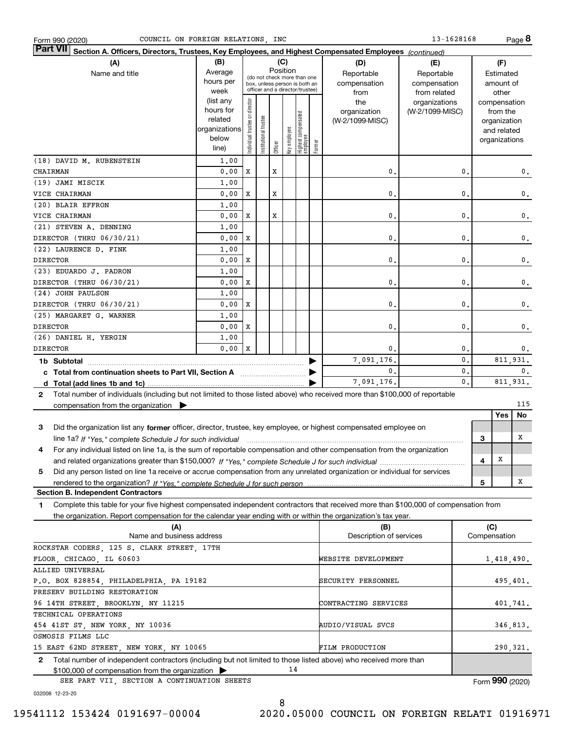| 13-1628168<br>COUNCIL ON FOREIGN RELATIONS, INC<br>Form 990 (2020)                                                                           |                                         |                                                              |               |         |              |                                 |              |                         |                 |       | Page 8         |               |                 |
|----------------------------------------------------------------------------------------------------------------------------------------------|-----------------------------------------|--------------------------------------------------------------|---------------|---------|--------------|---------------------------------|--------------|-------------------------|-----------------|-------|----------------|---------------|-----------------|
| <b>Part VII</b><br>Section A. Officers, Directors, Trustees, Key Employees, and Highest Compensated Employees (continued)                    |                                         |                                                              |               |         |              |                                 |              |                         |                 |       |                |               |                 |
| (A)                                                                                                                                          | (B)                                     |                                                              |               |         | (C)          |                                 |              | (D)                     | (E)             |       |                | (F)           |                 |
| Name and title                                                                                                                               | Average                                 |                                                              | Position      |         |              |                                 |              | Reportable              | Reportable      |       |                | Estimated     |                 |
|                                                                                                                                              | hours per                               | (do not check more than one<br>box, unless person is both an |               |         |              |                                 | compensation | compensation            |                 |       | amount of      |               |                 |
|                                                                                                                                              | officer and a director/trustee)<br>week |                                                              |               |         |              | from                            | from related |                         |                 | other |                |               |                 |
|                                                                                                                                              | (list any                               |                                                              |               |         |              |                                 |              | the                     | organizations   |       |                | compensation  |                 |
|                                                                                                                                              | hours for                               |                                                              |               |         |              |                                 |              | organization            | (W-2/1099-MISC) |       |                | from the      |                 |
|                                                                                                                                              | related                                 |                                                              | trustee       |         |              |                                 |              | (W-2/1099-MISC)         |                 |       |                | organization  |                 |
|                                                                                                                                              | organizations                           |                                                              |               |         |              |                                 |              |                         |                 |       |                | and related   |                 |
|                                                                                                                                              | below                                   | Individual trustee or director                               | Institutional |         | key employee | Highest compensated<br>employee | Former       |                         |                 |       |                | organizations |                 |
|                                                                                                                                              | line)                                   |                                                              |               | Officer |              |                                 |              |                         |                 |       |                |               |                 |
| (18) DAVID M. RUBENSTEIN                                                                                                                     | 1,00                                    |                                                              |               |         |              |                                 |              |                         |                 |       |                |               |                 |
| CHAIRMAN                                                                                                                                     | 0.00                                    | X                                                            |               | х       |              |                                 |              | 0                       |                 | 0.    |                |               | 0.              |
| (19) JAMI MISCIK                                                                                                                             | 1,00                                    |                                                              |               |         |              |                                 |              |                         |                 |       |                |               |                 |
| VICE CHAIRMAN                                                                                                                                | 0.00                                    | Х                                                            |               | х       |              |                                 |              | $\mathbf{0}$            |                 | 0,    |                |               | 0.              |
| (20) BLAIR EFFRON                                                                                                                            | 1,00                                    |                                                              |               |         |              |                                 |              |                         |                 |       |                |               |                 |
| VICE CHAIRMAN                                                                                                                                | 0.00                                    | X                                                            |               | X       |              |                                 |              | $\mathbf{0}$            |                 | 0.    |                |               | 0.              |
| (21) STEVEN A. DENNING                                                                                                                       | 1,00                                    |                                                              |               |         |              |                                 |              |                         |                 |       |                |               |                 |
| DIRECTOR (THRU 06/30/21)                                                                                                                     | 0.00                                    | Х                                                            |               |         |              |                                 |              | $\mathbf{0}$            |                 | 0,    |                |               | 0.              |
| (22) LAURENCE D. FINK                                                                                                                        | 1,00                                    |                                                              |               |         |              |                                 |              |                         |                 |       |                |               |                 |
| <b>DIRECTOR</b>                                                                                                                              | 0.00                                    | Х                                                            |               |         |              |                                 |              | $\mathbf{0}$            |                 | 0,    |                |               | 0.              |
| (23) EDUARDO J. PADRON                                                                                                                       | 1,00                                    |                                                              |               |         |              |                                 |              |                         |                 |       |                |               |                 |
| DIRECTOR (THRU 06/30/21)                                                                                                                     | 0.00                                    | X                                                            |               |         |              |                                 |              | $\mathbf{0}$            |                 | 0.    |                |               | 0.              |
| (24) JOHN PAULSON                                                                                                                            | 1,00                                    |                                                              |               |         |              |                                 |              |                         |                 |       |                |               |                 |
| DIRECTOR (THRU 06/30/21)                                                                                                                     | 0.00                                    | Х                                                            |               |         |              |                                 |              | $\mathbf{0}$            |                 | 0,    |                |               | 0.              |
| (25) MARGARET G. WARNER                                                                                                                      | 1,00                                    |                                                              |               |         |              |                                 |              |                         |                 |       |                |               |                 |
| <b>DIRECTOR</b>                                                                                                                              | 0.00                                    | Х                                                            |               |         |              |                                 |              | $\mathbf{0}$            |                 | 0,    |                |               | $\mathbf{0}$ .  |
| (26) DANIEL H. YERGIN                                                                                                                        | 1,00                                    |                                                              |               |         |              |                                 |              |                         |                 |       |                |               |                 |
| <b>DIRECTOR</b>                                                                                                                              | 0.00                                    | X                                                            |               |         |              |                                 |              | 0                       |                 | 0.    |                |               | 0.              |
| 1b Subtotal                                                                                                                                  |                                         |                                                              |               |         |              |                                 |              | 7,091,176               |                 | 0.    |                |               | 811,931.        |
| c Total from continuation sheets to Part VII, Section A manufactured and response to Total and Total and Total                               |                                         |                                                              |               |         |              |                                 |              | $\mathbf{0}$            |                 | 0.    | 0.<br>811,931. |               |                 |
|                                                                                                                                              |                                         |                                                              |               |         |              |                                 |              | 7,091,176.              |                 | 0.    |                |               |                 |
| Total number of individuals (including but not limited to those listed above) who received more than \$100,000 of reportable<br>$\mathbf{2}$ |                                         |                                                              |               |         |              |                                 |              |                         |                 |       |                |               |                 |
| compensation from the organization $\blacktriangleright$                                                                                     |                                         |                                                              |               |         |              |                                 |              |                         |                 |       |                |               | 115             |
|                                                                                                                                              |                                         |                                                              |               |         |              |                                 |              |                         |                 |       |                | Yes           | No              |
| Did the organization list any former officer, director, trustee, key employee, or highest compensated employee on<br>з                       |                                         |                                                              |               |         |              |                                 |              |                         |                 |       |                |               |                 |
| line 1a? If "Yes," complete Schedule J for such individual manufactured contained and the Ves," complete Schedule J for such individual      |                                         |                                                              |               |         |              |                                 |              |                         |                 |       | З              |               | Χ               |
| For any individual listed on line 1a, is the sum of reportable compensation and other compensation from the organization<br>4                |                                         |                                                              |               |         |              |                                 |              |                         |                 |       |                |               |                 |
|                                                                                                                                              |                                         |                                                              |               |         |              |                                 |              |                         |                 |       | 4              | X             |                 |
| Did any person listed on line 1a receive or accrue compensation from any unrelated organization or individual for services<br>5              |                                         |                                                              |               |         |              |                                 |              |                         |                 |       |                |               |                 |
|                                                                                                                                              |                                         |                                                              |               |         |              |                                 |              |                         |                 |       | 5              |               | X               |
| <b>Section B. Independent Contractors</b>                                                                                                    |                                         |                                                              |               |         |              |                                 |              |                         |                 |       |                |               |                 |
| Complete this table for your five highest compensated independent contractors that received more than \$100,000 of compensation from<br>1    |                                         |                                                              |               |         |              |                                 |              |                         |                 |       |                |               |                 |
| the organization. Report compensation for the calendar year ending with or within the organization's tax year.                               |                                         |                                                              |               |         |              |                                 |              |                         |                 |       |                |               |                 |
| (A)                                                                                                                                          |                                         |                                                              |               |         |              |                                 |              | (B)                     |                 |       | (C)            |               |                 |
| Name and business address                                                                                                                    |                                         |                                                              |               |         |              |                                 |              | Description of services |                 |       | Compensation   |               |                 |
| ROCKSTAR CODERS, 125 S. CLARK STREET, 17TH                                                                                                   |                                         |                                                              |               |         |              |                                 |              |                         |                 |       |                |               |                 |
| FLOOR, CHICAGO, IL 60603                                                                                                                     |                                         |                                                              |               |         |              |                                 |              | WEBSITE DEVELOPMENT     |                 |       |                |               | 1,418,490.      |
| ALLIED UNIVERSAL                                                                                                                             |                                         |                                                              |               |         |              |                                 |              |                         |                 |       |                |               |                 |
| P.O. BOX 828854, PHILADELPHIA, PA 19182                                                                                                      |                                         |                                                              |               |         |              |                                 |              | SECURITY PERSONNEL      |                 |       |                |               | 495,401.        |
| PRESERV BUILDING RESTORATION                                                                                                                 |                                         |                                                              |               |         |              |                                 |              |                         |                 |       |                |               |                 |
| 96 14TH STREET, BROOKLYN, NY 11215<br>CONTRACTING SERVICES                                                                                   |                                         |                                                              |               |         |              |                                 |              | 401,741.                |                 |       |                |               |                 |
| TECHNICAL OPERATIONS                                                                                                                         |                                         |                                                              |               |         |              |                                 |              |                         |                 |       |                |               |                 |
| 454 41ST ST, NEW YORK, NY 10036                                                                                                              |                                         |                                                              |               |         |              |                                 |              | AUDIO/VISUAL SVCS       |                 |       |                |               | 346,813.        |
| OSMOSIS FILMS LLC                                                                                                                            |                                         |                                                              |               |         |              |                                 |              |                         |                 |       |                |               |                 |
| 15 EAST 62ND STREET, NEW YORK, NY 10065                                                                                                      |                                         |                                                              |               |         |              |                                 |              | FILM PRODUCTION         |                 |       |                |               | 290, 321.       |
| Total number of independent contractors (including but not limited to those listed above) who received more than<br>$\mathbf{2}$             |                                         |                                                              |               |         |              |                                 |              |                         |                 |       |                |               |                 |
| \$100,000 of compensation from the organization                                                                                              |                                         |                                                              |               |         | 14           |                                 |              |                         |                 |       |                |               |                 |
| SEE PART VII, SECTION A CONTINUATION SHEETS                                                                                                  |                                         |                                                              |               |         |              |                                 |              |                         |                 |       |                |               | Form 990 (2020) |

032008 12-23-20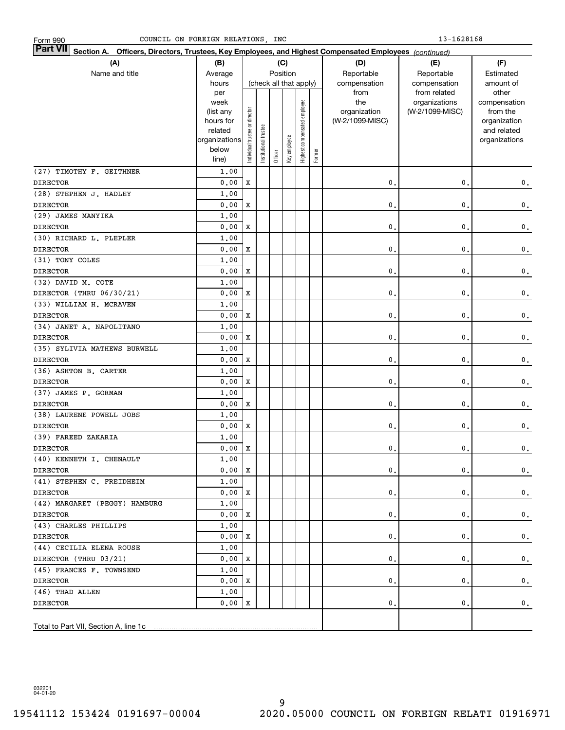| Form 990 |  |
|----------|--|
|          |  |

| <b>Part VII</b> Section A. Officers, Directors, Trustees, Key Employees, and Highest Compensated Employees (continued) |                    |                                |                       |         |                        |                              |           |                 |                               |                       |
|------------------------------------------------------------------------------------------------------------------------|--------------------|--------------------------------|-----------------------|---------|------------------------|------------------------------|-----------|-----------------|-------------------------------|-----------------------|
| (A)                                                                                                                    | (B)                |                                |                       |         | (C)                    |                              |           | (D)             | (E)                           | (F)                   |
| Name and title                                                                                                         | Average            |                                | Position              |         | Reportable             | Reportable                   | Estimated |                 |                               |                       |
|                                                                                                                        | hours              |                                |                       |         | (check all that apply) |                              |           | compensation    | compensation                  | amount of             |
|                                                                                                                        | per<br>week        |                                |                       |         |                        |                              |           | from<br>the     | from related<br>organizations | other<br>compensation |
|                                                                                                                        | (list any          |                                |                       |         |                        |                              |           | organization    | (W-2/1099-MISC)               | from the              |
|                                                                                                                        | hours for          |                                |                       |         |                        |                              |           | (W-2/1099-MISC) |                               | organization          |
|                                                                                                                        | related            |                                |                       |         |                        |                              |           |                 |                               | and related           |
|                                                                                                                        | organizations      |                                |                       |         |                        |                              |           |                 |                               | organizations         |
|                                                                                                                        | below              | Individual trustee or director | Institutional trustee | Officer | Key employee           | Highest compensated employee | Former    |                 |                               |                       |
|                                                                                                                        | line)              |                                |                       |         |                        |                              |           |                 |                               |                       |
| (27) TIMOTHY F. GEITHNER                                                                                               | 1,00               |                                |                       |         |                        |                              |           |                 |                               |                       |
| <b>DIRECTOR</b>                                                                                                        | 0.00               | X                              |                       |         |                        |                              |           | $\mathbf{0}$ .  | 0.                            | $\mathbf 0$ .         |
| (28) STEPHEN J. HADLEY                                                                                                 | 1.00               |                                |                       |         |                        |                              |           |                 |                               |                       |
| <b>DIRECTOR</b>                                                                                                        | 0.00               | X                              |                       |         |                        |                              |           | 0.              | 0.                            | $\mathbf 0$ .         |
| (29) JAMES MANYIKA                                                                                                     | 1,00               |                                |                       |         |                        |                              |           |                 |                               |                       |
| <b>DIRECTOR</b>                                                                                                        | 0.00               | X                              |                       |         |                        |                              |           | 0.              | 0.                            | $\mathbf 0$ .         |
| (30) RICHARD L. PLEPLER                                                                                                | 1,00               |                                |                       |         |                        |                              |           |                 |                               |                       |
| <b>DIRECTOR</b>                                                                                                        | 0.00               | X                              |                       |         |                        |                              |           | 0.              | 0.                            | $\mathbf 0$ .         |
| (31) TONY COLES                                                                                                        | 1,00               |                                |                       |         |                        |                              |           |                 |                               |                       |
| <b>DIRECTOR</b>                                                                                                        | 0.00               | X                              |                       |         |                        |                              |           | 0.              | 0.                            | $\mathbf 0$ .         |
| (32) DAVID M. COTE                                                                                                     | 1,00               |                                |                       |         |                        |                              |           |                 |                               |                       |
| DIRECTOR (THRU 06/30/21)                                                                                               | 0.00               | X                              |                       |         |                        |                              |           | 0.              | 0.                            | $\mathbf 0$ .         |
| (33) WILLIAM H. MCRAVEN                                                                                                | 1,00               |                                |                       |         |                        |                              |           |                 |                               |                       |
| <b>DIRECTOR</b>                                                                                                        | 0.00               | X                              |                       |         |                        |                              |           | 0.              | 0.                            | $\mathbf 0$ .         |
| (34) JANET A. NAPOLITANO                                                                                               | 1,00               |                                |                       |         |                        |                              |           |                 |                               |                       |
| <b>DIRECTOR</b>                                                                                                        | 0.00               | X                              |                       |         |                        |                              |           | 0.              | 0.                            | $\mathbf 0$ .         |
| (35) SYLIVIA MATHEWS BURWELL                                                                                           | 1,00               |                                |                       |         |                        |                              |           |                 |                               |                       |
| <b>DIRECTOR</b>                                                                                                        | 0.00               | X                              |                       |         |                        |                              |           | 0.              | 0.                            | $\mathbf 0$ .         |
| (36) ASHTON B. CARTER                                                                                                  | 1,00               |                                |                       |         |                        |                              |           |                 |                               |                       |
| <b>DIRECTOR</b>                                                                                                        | 0.00               | X                              |                       |         |                        |                              |           | 0.              | 0.                            | $\mathbf 0$ .         |
| (37) JAMES P. GORMAN                                                                                                   | 1,00               |                                |                       |         |                        |                              |           |                 |                               |                       |
| <b>DIRECTOR</b>                                                                                                        | 0.00               | X                              |                       |         |                        |                              |           | 0.              | 0.                            | $\mathbf 0$ .         |
| (38) LAURENE POWELL JOBS                                                                                               | 1,00               |                                |                       |         |                        |                              |           |                 |                               |                       |
| <b>DIRECTOR</b>                                                                                                        | 0.00               | X                              |                       |         |                        |                              |           | 0.              | 0.                            | 0.                    |
| (39) FAREED ZAKARIA                                                                                                    | 1.00               |                                |                       |         |                        |                              |           |                 |                               |                       |
| <b>DIRECTOR</b>                                                                                                        | 0.00               | $\mathbf X$                    |                       |         |                        |                              |           | $\mathbf{0}$ .  | 0.                            | $\mathbf 0$ .         |
| (40) KENNETH I. CHENAULT                                                                                               | 1.00               |                                |                       |         |                        |                              |           |                 |                               |                       |
| <b>DIRECTOR</b>                                                                                                        | $0.00 \, \text{X}$ |                                |                       |         |                        |                              |           | $\mathbf{0}$ .  | 0.                            | $\mathbf 0$ .         |
| (41) STEPHEN C. FREIDHEIM                                                                                              | 1,00               |                                |                       |         |                        |                              |           |                 |                               |                       |
| <b>DIRECTOR</b>                                                                                                        | 0.00 X             |                                |                       |         |                        |                              |           | $\mathbf{0}$ .  | 0.                            | 0.                    |
| (42) MARGARET (PEGGY) HAMBURG                                                                                          | 1,00               |                                |                       |         |                        |                              |           |                 |                               |                       |
| <b>DIRECTOR</b>                                                                                                        | $0.00 \, X$        |                                |                       |         |                        |                              |           | $\mathbf{0}$ .  | 0.                            | 0.                    |
| (43) CHARLES PHILLIPS                                                                                                  | 1,00               |                                |                       |         |                        |                              |           |                 |                               |                       |
| DIRECTOR                                                                                                               | $0.00 \, X$        |                                |                       |         |                        |                              |           | $\mathbf{0}$ .  | 0.                            | 0.                    |
| (44) CECILIA ELENA ROUSE                                                                                               | 1,00               |                                |                       |         |                        |                              |           |                 |                               |                       |
| DIRECTOR (THRU 03/21)                                                                                                  | $0.00 \, X$        |                                |                       |         |                        |                              |           | $\mathbf{0}$ .  | 0.                            | 0.                    |
| (45) FRANCES F. TOWNSEND                                                                                               | 1,00               |                                |                       |         |                        |                              |           |                 |                               |                       |
| DIRECTOR                                                                                                               | 0.00 X             |                                |                       |         |                        |                              |           | $\mathbf{0}$ .  | 0.                            | 0.                    |
| (46) THAD ALLEN                                                                                                        | 1,00               |                                |                       |         |                        |                              |           |                 |                               |                       |
| <b>DIRECTOR</b>                                                                                                        | 0.00               | x                              |                       |         |                        |                              |           | $\mathbf{0}$ .  | 0.                            | $\mathbf{0}$ .        |
|                                                                                                                        |                    |                                |                       |         |                        |                              |           |                 |                               |                       |

032201 04-01-20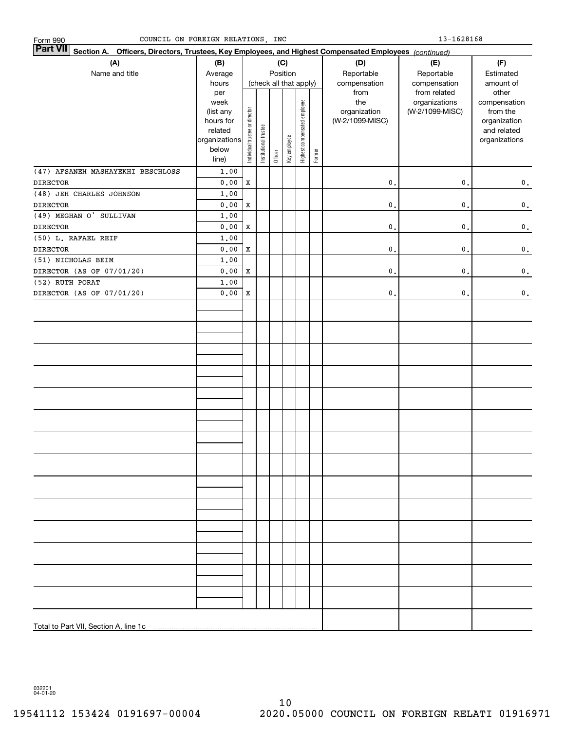| Part VII Section A. Officers, Directors, Trustees, Key Employees, and Highest Compensated Employees (continued) |                                                                            |                                |                        |         |              |                              |        |                                                |                                                  |                                                                                   |
|-----------------------------------------------------------------------------------------------------------------|----------------------------------------------------------------------------|--------------------------------|------------------------|---------|--------------|------------------------------|--------|------------------------------------------------|--------------------------------------------------|-----------------------------------------------------------------------------------|
| (A)                                                                                                             | (B)                                                                        |                                |                        |         | (C)          |                              |        | (D)                                            | (E)                                              | (F)                                                                               |
| Name and title                                                                                                  | Average                                                                    |                                |                        |         | Position     |                              |        | Reportable                                     | Reportable<br>compensation                       | Estimated                                                                         |
|                                                                                                                 | hours                                                                      |                                | (check all that apply) |         |              |                              |        | compensation                                   |                                                  | amount of                                                                         |
|                                                                                                                 | per<br>week<br>(list any<br>hours for<br>related<br>organizations<br>below | Individual trustee or director | Institutional trustee  |         | Key employee | Highest compensated employee | Former | from<br>the<br>organization<br>(W-2/1099-MISC) | from related<br>organizations<br>(W-2/1099-MISC) | other<br>compensation<br>from the<br>organization<br>and related<br>organizations |
|                                                                                                                 | line)                                                                      |                                |                        | Officer |              |                              |        |                                                |                                                  |                                                                                   |
| (47) AFSANEH MASHAYEKHI BESCHLOSS                                                                               | 1,00                                                                       |                                |                        |         |              |                              |        |                                                |                                                  |                                                                                   |
| <b>DIRECTOR</b>                                                                                                 | 0.00                                                                       | $\mathbf X$                    |                        |         |              |                              |        | $\mathfrak o$ .                                | $\mathbf 0$ .                                    | $\mathbf 0$ .                                                                     |
| (48) JEH CHARLES JOHNSON                                                                                        | 1.00                                                                       |                                |                        |         |              |                              |        |                                                |                                                  |                                                                                   |
| <b>DIRECTOR</b>                                                                                                 | ${\bf 0}$ , ${\bf 0}$ ${\bf 0}$                                            | $\mathbf X$                    |                        |         |              |                              |        | $\mathbf 0$ .                                  | $\mathbf 0$ .                                    | $\mathbf 0$ .                                                                     |
| (49) MEGHAN O' SULLIVAN                                                                                         | 1.00                                                                       |                                |                        |         |              |                              |        |                                                |                                                  |                                                                                   |
| <b>DIRECTOR</b>                                                                                                 | 0.00                                                                       | $\mathbf X$                    |                        |         |              |                              |        | $\mathbf 0$ .                                  | $\mathbf 0$ .                                    | $\mathbf 0$ .                                                                     |
| (50) L. RAFAEL REIF                                                                                             | 1.00                                                                       |                                |                        |         |              |                              |        |                                                |                                                  |                                                                                   |
| <b>DIRECTOR</b>                                                                                                 | ${\bf 0}$ , ${\bf 0}$ ${\bf 0}$                                            | $\mathbf X$                    |                        |         |              |                              |        | $\mathfrak o$ .                                | $\mathbf 0$ .                                    | $\mathbf 0$ .                                                                     |
| (51) NICHOLAS BEIM                                                                                              | 1.00                                                                       |                                |                        |         |              |                              |        |                                                |                                                  |                                                                                   |
| DIRECTOR (AS OF 07/01/20)                                                                                       | 0.00                                                                       | $\mathbf X$                    |                        |         |              |                              |        | $\mathfrak o$ .                                | $\mathbf 0$ .                                    | $\mathbf 0$ .                                                                     |
| (52) RUTH PORAT                                                                                                 | 1.00                                                                       |                                |                        |         |              |                              |        |                                                |                                                  |                                                                                   |
| DIRECTOR (AS OF 07/01/20)                                                                                       | 0.00                                                                       | $\mathbf X$                    |                        |         |              |                              |        | $\mathbf 0$ .                                  | $\mathbf 0$ .                                    | $\mathbf 0$ .                                                                     |
|                                                                                                                 |                                                                            |                                |                        |         |              |                              |        |                                                |                                                  |                                                                                   |
|                                                                                                                 |                                                                            |                                |                        |         |              |                              |        |                                                |                                                  |                                                                                   |
|                                                                                                                 |                                                                            |                                |                        |         |              |                              |        |                                                |                                                  |                                                                                   |
|                                                                                                                 |                                                                            |                                |                        |         |              |                              |        |                                                |                                                  |                                                                                   |
|                                                                                                                 |                                                                            |                                |                        |         |              |                              |        |                                                |                                                  |                                                                                   |
|                                                                                                                 |                                                                            |                                |                        |         |              |                              |        |                                                |                                                  |                                                                                   |
|                                                                                                                 |                                                                            |                                |                        |         |              |                              |        |                                                |                                                  |                                                                                   |
|                                                                                                                 |                                                                            |                                |                        |         |              |                              |        |                                                |                                                  |                                                                                   |
|                                                                                                                 |                                                                            |                                |                        |         |              |                              |        |                                                |                                                  |                                                                                   |
|                                                                                                                 |                                                                            |                                |                        |         |              |                              |        |                                                |                                                  |                                                                                   |
|                                                                                                                 |                                                                            |                                |                        |         |              |                              |        |                                                |                                                  |                                                                                   |

COUNCIL ON FOREIGN RELATIONS, INC 13-1628168

032201 04-01-20

Form 990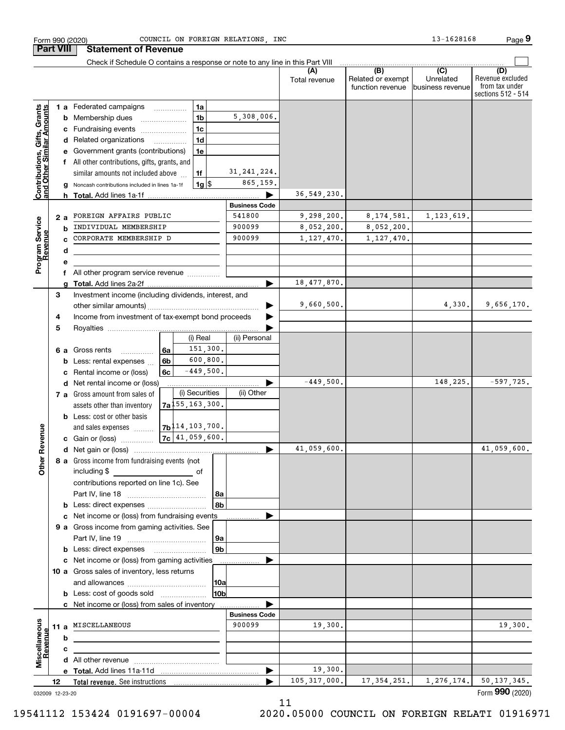|                                                           |    | <b>Part VIII</b> | <b>Statement of Revenue</b>                                                   |    |                                                   |                |                      |                          |                                              |                                                 |                                                                 |
|-----------------------------------------------------------|----|------------------|-------------------------------------------------------------------------------|----|---------------------------------------------------|----------------|----------------------|--------------------------|----------------------------------------------|-------------------------------------------------|-----------------------------------------------------------------|
|                                                           |    |                  | Check if Schedule O contains a response or note to any line in this Part VIII |    |                                                   |                |                      |                          |                                              |                                                 |                                                                 |
|                                                           |    |                  |                                                                               |    |                                                   |                |                      | (A)<br>Total revenue     | (B)<br>Related or exempt<br>function revenue | $\overline{C}$<br>Unrelated<br>business revenue | (D)<br>Revenue excluded<br>from tax under<br>sections 512 - 514 |
|                                                           |    |                  | 1 a Federated campaigns                                                       |    |                                                   | 1a             |                      |                          |                                              |                                                 |                                                                 |
|                                                           |    | b                | Membership dues                                                               |    |                                                   | 1 <sub>b</sub> | 5,308,006.           |                          |                                              |                                                 |                                                                 |
|                                                           |    | c                | Fundraising events                                                            |    |                                                   | 1 <sub>c</sub> |                      |                          |                                              |                                                 |                                                                 |
|                                                           |    |                  | d Related organizations                                                       |    |                                                   | 1 <sub>d</sub> |                      |                          |                                              |                                                 |                                                                 |
|                                                           |    |                  | Government grants (contributions)                                             |    |                                                   | 1e             |                      |                          |                                              |                                                 |                                                                 |
|                                                           |    |                  | f All other contributions, gifts, grants, and                                 |    |                                                   |                |                      |                          |                                              |                                                 |                                                                 |
|                                                           |    |                  | similar amounts not included above                                            |    |                                                   | 1f             | 31, 241, 224.        |                          |                                              |                                                 |                                                                 |
| Contributions, Gifts, Grants<br>and Other Similar Amounts |    |                  | Noncash contributions included in lines 1a-1f                                 |    |                                                   | $1g$ \$        | 865,159.             |                          |                                              |                                                 |                                                                 |
|                                                           |    | h.               | <b>Total.</b> Add lines 1a-1f                                                 |    |                                                   |                |                      | 36,549,230.              |                                              |                                                 |                                                                 |
|                                                           |    |                  |                                                                               |    |                                                   |                | <b>Business Code</b> |                          |                                              |                                                 |                                                                 |
|                                                           |    | 2 a              | FOREIGN AFFAIRS PUBLIC                                                        |    |                                                   |                | 541800<br>900099     | 9,298,200.<br>8,052,200. | 8, 174, 581.                                 | 1,123,619.                                      |                                                                 |
|                                                           |    | b                | INDIVIDUAL MEMBERSHIP<br>CORPORATE MEMBERSHIP D                               |    |                                                   |                | 900099               |                          | 8,052,200.                                   |                                                 |                                                                 |
|                                                           |    |                  |                                                                               |    |                                                   |                |                      | 1, 127, 470.             | 1, 127, 470.                                 |                                                 |                                                                 |
| Program Service<br>Revenue                                |    | d                |                                                                               |    |                                                   |                |                      |                          |                                              |                                                 |                                                                 |
|                                                           |    | f                | All other program service revenue                                             |    |                                                   |                |                      |                          |                                              |                                                 |                                                                 |
|                                                           |    |                  |                                                                               |    |                                                   |                | ►                    | 18,477,870.              |                                              |                                                 |                                                                 |
|                                                           | 3  |                  | Investment income (including dividends, interest, and                         |    |                                                   |                |                      |                          |                                              |                                                 |                                                                 |
|                                                           |    |                  |                                                                               |    |                                                   |                |                      | 9,660,500.               |                                              | 4,330.                                          | 9,656,170.                                                      |
|                                                           | 4  |                  | Income from investment of tax-exempt bond proceeds                            |    |                                                   |                |                      |                          |                                              |                                                 |                                                                 |
|                                                           | 5  |                  |                                                                               |    |                                                   |                |                      |                          |                                              |                                                 |                                                                 |
|                                                           |    |                  |                                                                               |    |                                                   | (i) Real       | (ii) Personal        |                          |                                              |                                                 |                                                                 |
|                                                           |    | 6а               | Gross rents<br>.                                                              | 6a |                                                   | 151,300.       |                      |                          |                                              |                                                 |                                                                 |
|                                                           |    | b                | Less: rental expenses                                                         | 6b |                                                   | 600,800.       |                      |                          |                                              |                                                 |                                                                 |
|                                                           |    | c                | Rental income or (loss)                                                       | 6c |                                                   | $-449,500.$    |                      |                          |                                              |                                                 |                                                                 |
|                                                           |    | d                | Net rental income or (loss)                                                   |    |                                                   |                |                      | $-449,500.$              |                                              | 148,225.                                        | $-597,725.$                                                     |
|                                                           |    |                  | 7 a Gross amount from sales of                                                |    |                                                   | (i) Securities | (ii) Other           |                          |                                              |                                                 |                                                                 |
|                                                           |    |                  | assets other than inventory                                                   |    | $7a$ <sup>155</sup> , 163, 300.                   |                |                      |                          |                                              |                                                 |                                                                 |
|                                                           |    |                  | <b>b</b> Less: cost or other basis                                            |    |                                                   |                |                      |                          |                                              |                                                 |                                                                 |
| Revenue                                                   |    |                  | and sales expenses                                                            |    | 7b <sup>114</sup> , 103, 700.<br>$7c$ 41,059,600. |                |                      |                          |                                              |                                                 |                                                                 |
|                                                           |    |                  | c Gain or (loss)                                                              |    |                                                   |                |                      | 41,059,600               |                                              |                                                 | 41,059,600.                                                     |
|                                                           |    |                  | 8 a Gross income from fundraising events (not                                 |    |                                                   |                |                      |                          |                                              |                                                 |                                                                 |
| <b>Othe</b>                                               |    |                  | including \$                                                                  |    |                                                   |                |                      |                          |                                              |                                                 |                                                                 |
|                                                           |    |                  | contributions reported on line 1c). See                                       |    |                                                   |                |                      |                          |                                              |                                                 |                                                                 |
|                                                           |    |                  |                                                                               |    |                                                   |                | 8a                   |                          |                                              |                                                 |                                                                 |
|                                                           |    |                  | <b>b</b> Less: direct expenses                                                |    |                                                   |                | 8b                   |                          |                                              |                                                 |                                                                 |
|                                                           |    | c                | Net income or (loss) from fundraising events                                  |    |                                                   |                |                      |                          |                                              |                                                 |                                                                 |
|                                                           |    |                  | 9 a Gross income from gaming activities. See                                  |    |                                                   |                |                      |                          |                                              |                                                 |                                                                 |
|                                                           |    |                  |                                                                               |    |                                                   |                | 9а                   |                          |                                              |                                                 |                                                                 |
|                                                           |    |                  | <b>b</b> Less: direct expenses <b>manually</b>                                |    |                                                   |                | 9 <sub>b</sub>       |                          |                                              |                                                 |                                                                 |
|                                                           |    |                  | c Net income or (loss) from gaming activities                                 |    |                                                   |                |                      |                          |                                              |                                                 |                                                                 |
|                                                           |    |                  | 10 a Gross sales of inventory, less returns                                   |    |                                                   |                |                      |                          |                                              |                                                 |                                                                 |
|                                                           |    |                  |                                                                               |    |                                                   |                | 10a                  |                          |                                              |                                                 |                                                                 |
|                                                           |    |                  | <b>b</b> Less: cost of goods sold                                             |    |                                                   |                | 10b                  |                          |                                              |                                                 |                                                                 |
|                                                           |    |                  | c Net income or (loss) from sales of inventory                                |    |                                                   |                |                      |                          |                                              |                                                 |                                                                 |
|                                                           |    |                  |                                                                               |    |                                                   |                | <b>Business Code</b> |                          |                                              |                                                 |                                                                 |
|                                                           |    |                  | 11 a MISCELLANEOUS                                                            |    |                                                   |                | 900099               | 19,300.                  |                                              |                                                 | 19,300.                                                         |
| Miscellaneous<br>Revenue                                  |    | b                |                                                                               |    |                                                   |                |                      |                          |                                              |                                                 |                                                                 |
|                                                           |    | с                |                                                                               |    |                                                   |                |                      |                          |                                              |                                                 |                                                                 |
|                                                           |    |                  |                                                                               |    |                                                   |                | ▶                    | 19,300.                  |                                              |                                                 |                                                                 |
|                                                           | 12 |                  |                                                                               |    |                                                   |                |                      | 105, 317, 000.           | 17, 354, 251.                                | 1,276,174.                                      | 50, 137, 345.                                                   |
| 032009 12-23-20                                           |    |                  |                                                                               |    |                                                   |                |                      |                          |                                              |                                                 | Form 990 (2020)                                                 |

Form 990 (2020) Page

COUNCIL ON FOREIGN RELATIONS, INC 13-1628168

**9**

11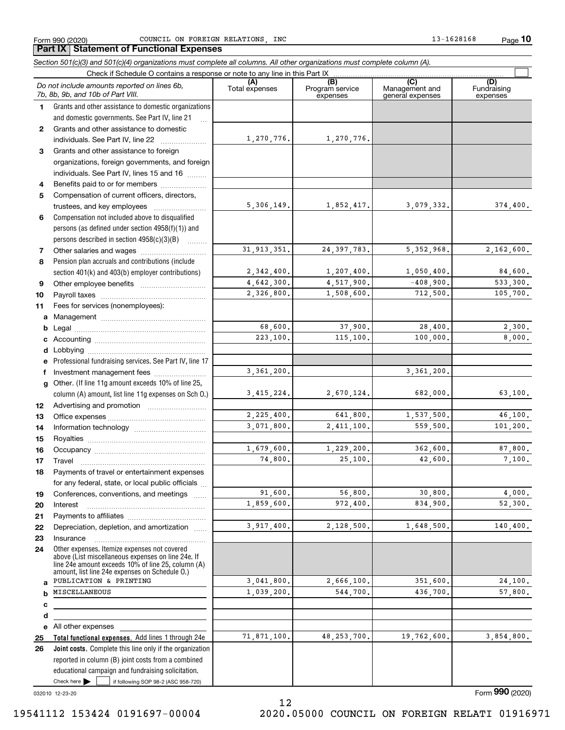Form 990 (2020) Page COUNCIL ON FOREIGN RELATIONS, INC 13-1628168

**10**

|              | Section 501(c)(3) and 501(c)(4) organizations must complete all columns. All other organizations must complete column (A).                                                                                                                                                                                                                                                                         |                       |                                    |                                           |                                |
|--------------|----------------------------------------------------------------------------------------------------------------------------------------------------------------------------------------------------------------------------------------------------------------------------------------------------------------------------------------------------------------------------------------------------|-----------------------|------------------------------------|-------------------------------------------|--------------------------------|
|              | Check if Schedule O contains a response or note to any line in this Part IX                                                                                                                                                                                                                                                                                                                        |                       |                                    |                                           |                                |
|              | Do not include amounts reported on lines 6b,<br>7b, 8b, 9b, and 10b of Part VIII.                                                                                                                                                                                                                                                                                                                  | (A)<br>Total expenses | (B)<br>Program service<br>expenses | (C)<br>Management and<br>general expenses | (D)<br>Fundraising<br>expenses |
| $\mathbf 1$  | Grants and other assistance to domestic organizations                                                                                                                                                                                                                                                                                                                                              |                       |                                    |                                           |                                |
|              | and domestic governments. See Part IV, line 21                                                                                                                                                                                                                                                                                                                                                     |                       |                                    |                                           |                                |
| $\mathbf{2}$ | Grants and other assistance to domestic                                                                                                                                                                                                                                                                                                                                                            |                       |                                    |                                           |                                |
|              | individuals. See Part IV, line 22<br>$\mathcal{L} = \{1, 2, \ldots, 2, \ldots, 2, \ldots, 2, \ldots, 2, \ldots, 2, \ldots, 2, \ldots, 2, \ldots, 2, \ldots, 2, \ldots, 2, \ldots, 2, \ldots, 2, \ldots, 2, \ldots, 2, \ldots, 2, \ldots, 2, \ldots, 2, \ldots, 2, \ldots, 2, \ldots, 2, \ldots, 2, \ldots, 2, \ldots, 2, \ldots, 2, \ldots, 2, \ldots, 2, \ldots, 2, \ldots, 2, \ldots, 2, \ldots$ | 1,270,776.            | 1,270,776.                         |                                           |                                |
| 3            | Grants and other assistance to foreign                                                                                                                                                                                                                                                                                                                                                             |                       |                                    |                                           |                                |
|              | organizations, foreign governments, and foreign                                                                                                                                                                                                                                                                                                                                                    |                       |                                    |                                           |                                |
|              | individuals. See Part IV, lines 15 and 16                                                                                                                                                                                                                                                                                                                                                          |                       |                                    |                                           |                                |
| 4            | Benefits paid to or for members                                                                                                                                                                                                                                                                                                                                                                    |                       |                                    |                                           |                                |
| 5            | Compensation of current officers, directors,                                                                                                                                                                                                                                                                                                                                                       |                       |                                    |                                           |                                |
|              |                                                                                                                                                                                                                                                                                                                                                                                                    | 5,306,149.            | 1,852,417.                         | 3,079,332.                                | 374,400.                       |
| 6            | Compensation not included above to disqualified                                                                                                                                                                                                                                                                                                                                                    |                       |                                    |                                           |                                |
|              | persons (as defined under section 4958(f)(1)) and                                                                                                                                                                                                                                                                                                                                                  |                       |                                    |                                           |                                |
|              | persons described in section 4958(c)(3)(B)                                                                                                                                                                                                                                                                                                                                                         |                       |                                    |                                           |                                |
| 7            |                                                                                                                                                                                                                                                                                                                                                                                                    | 31, 913, 351.         | 24, 397, 783.                      | 5, 352, 968.                              | 2,162,600.                     |
| 8            | Pension plan accruals and contributions (include                                                                                                                                                                                                                                                                                                                                                   |                       |                                    |                                           |                                |
|              | section 401(k) and 403(b) employer contributions)                                                                                                                                                                                                                                                                                                                                                  | 2,342,400.            | 1, 207, 400.                       | 1,050,400.                                | 84,600.                        |
| 9            |                                                                                                                                                                                                                                                                                                                                                                                                    | 4,642,300.            | 4,517,900.                         | $-408,900.$                               | 533,300.                       |
| 10           |                                                                                                                                                                                                                                                                                                                                                                                                    | 2,326,800.            | 1,508,600.                         | 712,500.                                  | 105,700.                       |
| 11           | Fees for services (nonemployees):                                                                                                                                                                                                                                                                                                                                                                  |                       |                                    |                                           |                                |
| a            |                                                                                                                                                                                                                                                                                                                                                                                                    |                       |                                    |                                           |                                |
| b            |                                                                                                                                                                                                                                                                                                                                                                                                    | 68,600.               | 37,900.                            | 28,400.                                   | 2,300.                         |
|              |                                                                                                                                                                                                                                                                                                                                                                                                    | 223,100.              | 115,100.                           | 100,000.                                  | 8,000.                         |
| d            | Lobbying                                                                                                                                                                                                                                                                                                                                                                                           |                       |                                    |                                           |                                |
|              | Professional fundraising services. See Part IV, line 17                                                                                                                                                                                                                                                                                                                                            |                       |                                    |                                           |                                |
|              | Investment management fees                                                                                                                                                                                                                                                                                                                                                                         | 3, 361, 200.          |                                    | 3, 361, 200.                              |                                |
| g            | Other. (If line 11g amount exceeds 10% of line 25,                                                                                                                                                                                                                                                                                                                                                 |                       |                                    |                                           |                                |
|              | column (A) amount, list line 11g expenses on Sch O.)                                                                                                                                                                                                                                                                                                                                               | 3,415,224.            | 2,670,124.                         | 682,000.                                  | 63,100.                        |
| 12           |                                                                                                                                                                                                                                                                                                                                                                                                    |                       |                                    |                                           |                                |
| 13           |                                                                                                                                                                                                                                                                                                                                                                                                    | 2,225,400.            | 641,800.                           | 1,537,500.                                | 46,100.                        |
| 14           |                                                                                                                                                                                                                                                                                                                                                                                                    | 3,071,800.            | 2,411,100.                         | 559,500.                                  | 101, 200.                      |
| 15           |                                                                                                                                                                                                                                                                                                                                                                                                    |                       |                                    |                                           |                                |
| 16           |                                                                                                                                                                                                                                                                                                                                                                                                    | 1,679,600.            | 1,229,200.                         | 362,600.                                  | 87,800.                        |
| 17           |                                                                                                                                                                                                                                                                                                                                                                                                    | 74,800.               | 25,100.                            | 42,600.                                   | 7,100.                         |
| 18           | Payments of travel or entertainment expenses                                                                                                                                                                                                                                                                                                                                                       |                       |                                    |                                           |                                |
|              | for any federal, state, or local public officials                                                                                                                                                                                                                                                                                                                                                  |                       |                                    |                                           |                                |
| 19           | Conferences, conventions, and meetings                                                                                                                                                                                                                                                                                                                                                             | 91,600.               | 56,800.                            | 30,800.                                   | 4.000.                         |
| 20           | Interest                                                                                                                                                                                                                                                                                                                                                                                           | 1,859,600.            | 972,400.                           | 834,900.                                  | 52,300.                        |
| 21           |                                                                                                                                                                                                                                                                                                                                                                                                    |                       |                                    |                                           |                                |
| 22           | Depreciation, depletion, and amortization                                                                                                                                                                                                                                                                                                                                                          | 3,917,400.            | 2,128,500.                         | 1,648,500.                                | 140, 400.                      |
| 23           | Insurance                                                                                                                                                                                                                                                                                                                                                                                          |                       |                                    |                                           |                                |
| 24           | Other expenses. Itemize expenses not covered<br>above (List miscellaneous expenses on line 24e. If<br>line 24e amount exceeds 10% of line 25, column (A)<br>amount, list line 24e expenses on Schedule O.)                                                                                                                                                                                         |                       |                                    |                                           |                                |
| a            | PUBLICATION & PRINTING                                                                                                                                                                                                                                                                                                                                                                             | 3,041,800.            | 2,666,100.                         | 351,600.                                  | 24,100.                        |
| b            | MISCELLANEOUS                                                                                                                                                                                                                                                                                                                                                                                      | 1,039,200.            | 544,700.                           | 436,700.                                  | 57,800.                        |
| с            |                                                                                                                                                                                                                                                                                                                                                                                                    |                       |                                    |                                           |                                |
| d            |                                                                                                                                                                                                                                                                                                                                                                                                    |                       |                                    |                                           |                                |
| е            | All other expenses                                                                                                                                                                                                                                                                                                                                                                                 |                       |                                    |                                           |                                |
| 25           | Total functional expenses. Add lines 1 through 24e                                                                                                                                                                                                                                                                                                                                                 | 71,871,100.           | 48, 253, 700.                      | 19,762,600.                               | 3,854,800.                     |
| 26           | Joint costs. Complete this line only if the organization<br>reported in column (B) joint costs from a combined<br>educational campaign and fundraising solicitation.                                                                                                                                                                                                                               |                       |                                    |                                           |                                |
|              | Check here $\blacktriangleright$<br>if following SOP 98-2 (ASC 958-720)                                                                                                                                                                                                                                                                                                                            |                       |                                    |                                           |                                |

032010 12-23-20

Form (2020) **990**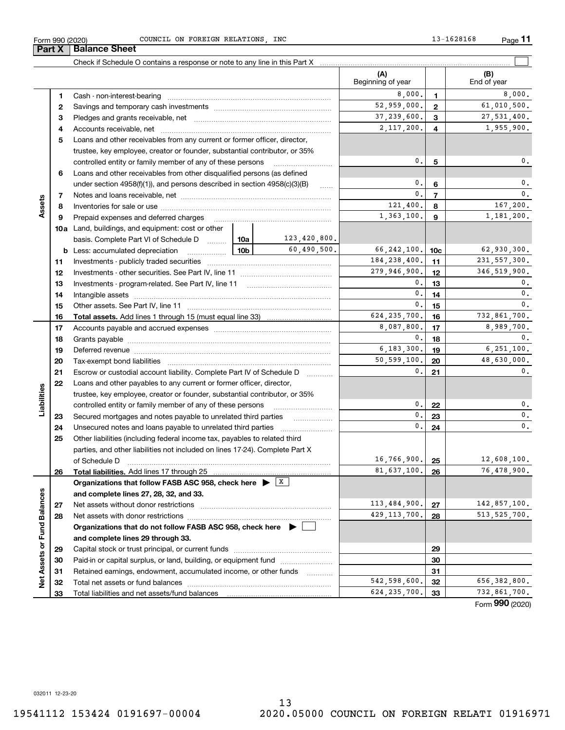Form (2020) **990**

**3** Pledges and grants receivable, net  $\ldots$  **multimes contained and grants receivable**, net **multimes contained and grants receivable**, net **multimes contained and grants receivable 45**Loans and other receivables from any current or former officer, director, **67893456b** Less: accumulated depreciation  $\ldots$  **10b** basis. Complete Part VI of Schedule D will aller **Total assets.**  Add lines 1 through 15 (must equal line 33) Savings and temporary cash investments ~~~~~~~~~~~~~~~~~~Accounts receivable, net ~~~~~~~~~~~~~~~~~~~~~~~~~~ trustee, key employee, creator or founder, substantial contributor, or 35% controlled entity or family member of any of these persons ............................ Loans and other receivables from other disqualified persons (as defined under section  $4958(f)(1)$ , and persons described in section  $4958(c)(3)(B)$ Notes and loans receivable, net ~~~~~~~~~~~~~~~~~~~~~~~Inventories for sale or use ~~~~~~~~~~~~~~~~~~~~~~~~~~ Prepaid expenses and deferred charges ~~~~~~~~~~~~~~~~~~ Investments - publicly traded securities ~~~~~~~~~~~~~~~~~~~ Investments - other securities. See Part IV, line 11 ~~~~~~~~~~~~~~ Investments - program-related. See Part IV, line 11 ~~~~~~~~~~~~~Intangible assets ~~~~~~~~~~~~~~~~~~~~~~~~~~~~~~ Other assets. See Part IV, line 11 ~~~~~~~~~~~~~~~~~~~~~~ Accounts payable and accrued expenses ~~~~~~~~~~~~~~~~~~ Grants payable ~~~~~~~~~~~~~~~~~~~~~~~~~~~~~~~ Deferred revenue ~~~~~~~~~~~~~~~~~~~~~~~~~~~~~~ Tax-exempt bond liabilities ……………………………………………………………  $2,117,200.$  4 1,955,900. 37,239,600. 27,531,400. 0. $0.$  | 5 |  $0.$ 0.0.123,420,800. 0.0. $\overline{0}$ . 0.

#### $0.|\mathbf{6}|$   $0.$  $0. \vert \hspace{.1cm} 7 \hspace{.1cm} \vert \hspace{.1cm} 0. \vert$ **7Assets** 121,400. 8 167,200. **8**1,363,100. 9 1,181,200. **910a**Land, buildings, and equipment: cost or other  $60,490,500.$   $66,242,100.$   $10c$   $62,930,300.$ **10c**184.238.400. 11 231.557.300. **1111**279,946,900. 346,519,900. **12121313** $0.1$  13  $1$  0.  $\overline{0}$ . **141415** $0.1$  15  $1$  0. **15**624,235,700. 732,861,700. **1616**8,087,800. 17 8,989,700. **17171818** $0.1$  18  $1$   $0.1$ 6,183,300. 6,251,100. **1919**50,599,100.  $\boxed{90}$  48,630,000. **2020** $\overline{0}$ . 0.Escrow or custodial account liability. Complete Part IV of Schedule D **212122**Loans and other payables to any current or former officer, director, **Liabilities** iabilities trustee, key employee, creator or founder, substantial contributor, or 35% 0.controlled entity or family member of any of these persons ~~~~~~~~~ $0.$ | 22 |  $0.$ **22**0.**23**Secured mortgages and notes payable to unrelated third parties  $0.1$  23  $1$  0. **23**0.Unsecured notes and loans payable to unrelated third parties ~~~~~~~~ **24** $0.$ | 24 |  $0.$ **2425**Other liabilities (including federal income tax, payables to related third parties, and other liabilities not included on lines 17-24). Complete Part X of Schedule D ~~~~~~~~~~~~~~~~~~~~~~~~~~~~~~~  $16,766,900$ . 25  $12,608,100$ . **25**81,637,100. 76,478,900. **2626Total liabilities.**  Add lines 17 through 25 **Organizations that follow FASB ASC 958, check here** | X Assets or Fund Balances **Net Assets or Fund Balances and complete lines 27, 28, 32, and 33.**  $113,484,900$ .  $27$  142,857,100. **2727**Net assets without donor restrictions ~~~~~~~~~~~~~~~~~~~~ 429, 113, 700.  $28$  513, 525, 700. **2828**Net assets with donor restrictions ~~~~~~~~~~~~~~~~~~~~~~**Organizations that do not follow FASB ASC 958, check here** | **and complete lines 29 through 33. 2929**Capital stock or trust principal, or current funds ~~~~~~~~~~~~~~~ **3030**Paid-in or capital surplus, or land, building, or equipment fund www.commun.com **31**Retained earnings, endowment, accumulated income, or other funds **31**ğ Total net assets or fund balances ~~~~~~~~~~~~~~~~~~~~~~  $542,598,600$ .  $32$  656,382,800. **3232**624,235,700. 732,861,700. Total liabilities and net assets/fund balances **3333**

Form 990 (2020) Page COUNCIL ON FOREIGN RELATIONS, INC 13-1628168

Cash - non-interest-bearing ~~~~~~~~~~~~~~~~~~~~~~~~~

Check if Schedule O contains a response or note to any line in this Part X

8,000. 1 8,000.

 $52,959,000.$   $2$   $\phantom{00}$  61,010,500.

**(B)**

**12**

Beginning of year  $\begin{vmatrix} 1 & 1 \\ 1 & 1 \end{vmatrix}$  End of year

**(A)**

**Part X** Balance Sheet

**12** **11**

 $\mathcal{L}^{\text{max}}$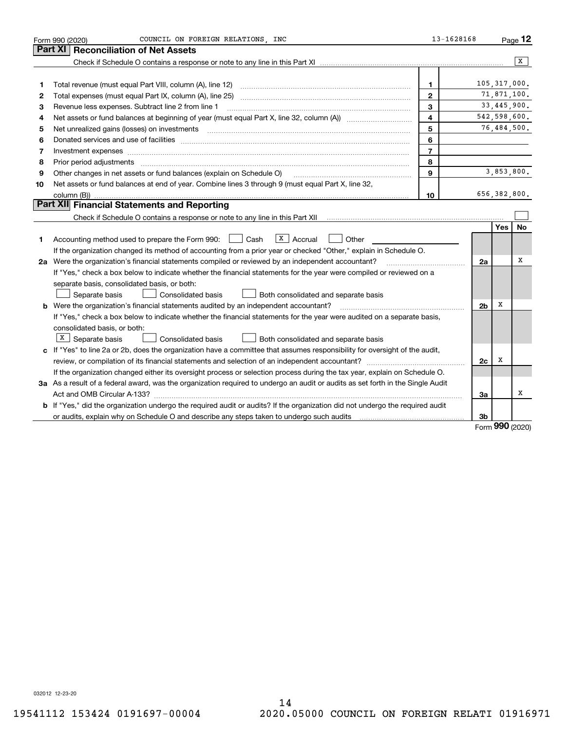|    | COUNCIL ON FOREIGN RELATIONS, INC<br>Form 990 (2020)                                                                            | 13-1628168              |                |            | Page 12      |
|----|---------------------------------------------------------------------------------------------------------------------------------|-------------------------|----------------|------------|--------------|
|    | Part XI<br><b>Reconciliation of Net Assets</b>                                                                                  |                         |                |            |              |
|    |                                                                                                                                 |                         |                |            | x            |
|    |                                                                                                                                 |                         |                |            |              |
| 1  | Total revenue (must equal Part VIII, column (A), line 12)                                                                       | 1                       | 105, 317, 000. |            |              |
| 2  | Total expenses (must equal Part IX, column (A), line 25)                                                                        | $\mathbf{2}$            |                |            | 71,871,100.  |
| 3  | Revenue less expenses. Subtract line 2 from line 1                                                                              | 3                       |                |            | 33,445,900.  |
| 4  |                                                                                                                                 | $\overline{\mathbf{4}}$ |                |            | 542,598,600. |
| 5  | Net unrealized gains (losses) on investments                                                                                    | 5                       |                |            | 76,484,500.  |
| 6  |                                                                                                                                 | 6                       |                |            |              |
| 7  | Investment expenses www.communication.com/www.communication.com/www.communication.com/www.com                                   | $\overline{7}$          |                |            |              |
| 8  | Prior period adjustments                                                                                                        | 8                       |                |            |              |
| 9  | Other changes in net assets or fund balances (explain on Schedule O)                                                            | 9                       |                |            | 3,853,800.   |
| 10 | Net assets or fund balances at end of year. Combine lines 3 through 9 (must equal Part X, line 32,                              |                         |                |            |              |
|    | column (B))                                                                                                                     | 10                      |                |            | 656,382,800. |
|    | Part XII Financial Statements and Reporting                                                                                     |                         |                |            |              |
|    |                                                                                                                                 |                         |                |            |              |
|    |                                                                                                                                 |                         |                | <b>Yes</b> | <b>No</b>    |
| 1  | $ X $ Accrual<br>Accounting method used to prepare the Form 990: <u>[16</u> ] Cash<br>Other                                     |                         |                |            |              |
|    | If the organization changed its method of accounting from a prior year or checked "Other," explain in Schedule O.               |                         |                |            |              |
|    | 2a Were the organization's financial statements compiled or reviewed by an independent accountant?                              |                         | 2a             |            | х            |
|    | If "Yes," check a box below to indicate whether the financial statements for the year were compiled or reviewed on a            |                         |                |            |              |
|    | separate basis, consolidated basis, or both:                                                                                    |                         |                |            |              |
|    | Separate basis<br>Consolidated basis<br>Both consolidated and separate basis                                                    |                         |                |            |              |
|    | <b>b</b> Were the organization's financial statements audited by an independent accountant?                                     |                         | 2 <sub>b</sub> | х          |              |
|    | If "Yes," check a box below to indicate whether the financial statements for the year were audited on a separate basis,         |                         |                |            |              |
|    | consolidated basis, or both:                                                                                                    |                         |                |            |              |
|    | $X$ Separate basis<br><b>Consolidated basis</b><br>Both consolidated and separate basis                                         |                         |                |            |              |
|    | c If "Yes" to line 2a or 2b, does the organization have a committee that assumes responsibility for oversight of the audit,     |                         |                |            |              |
|    |                                                                                                                                 |                         | 2c             | х          |              |
|    | If the organization changed either its oversight process or selection process during the tax year, explain on Schedule O.       |                         |                |            |              |
|    | 3a As a result of a federal award, was the organization required to undergo an audit or audits as set forth in the Single Audit |                         |                |            |              |
|    |                                                                                                                                 |                         | 3a             |            | х            |
|    | b If "Yes," did the organization undergo the required audit or audits? If the organization did not undergo the required audit   |                         |                |            |              |
|    |                                                                                                                                 |                         | 3b             | ^^^        |              |

Form (2020) **990**

032012 12-23-20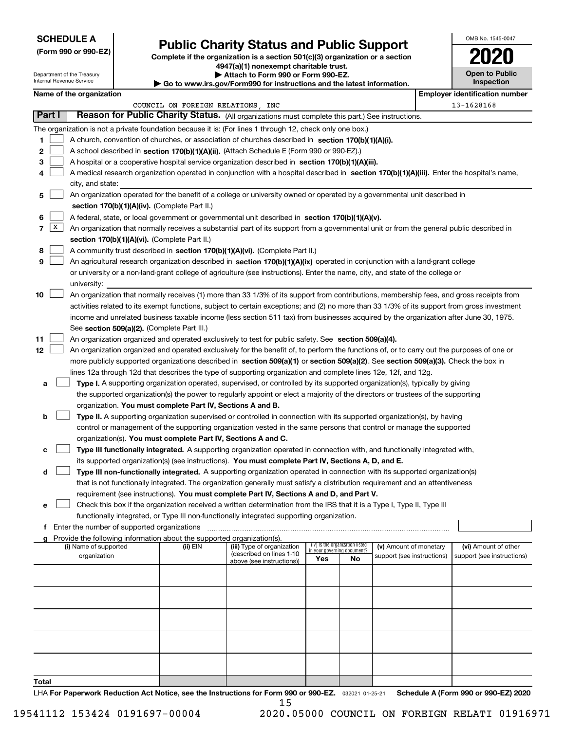## **SCHEDULE A**

Department of the Treasury Internal Revenue Service

**(Form 990 or 990-EZ)**

# **Public Charity Status and Public Support**

**Complete if the organization is a section 501(c)(3) organization or a section 4947(a)(1) nonexempt charitable trust. | Attach to Form 990 or Form 990-EZ.** 

|  | ▶ Go to www.irs.gov/Form990 for instructions and the latest information. |  |  |
|--|--------------------------------------------------------------------------|--|--|

| OMB No. 1545-0047 |
|-------------------|
|                   |

**Open to Public Inspection**

|  | Name of the organization |  |
|--|--------------------------|--|

| Name of the organization                                                                                                                             |                                   |                                                       |                             |                                 |                            | <b>Employer identification number</b> |
|------------------------------------------------------------------------------------------------------------------------------------------------------|-----------------------------------|-------------------------------------------------------|-----------------------------|---------------------------------|----------------------------|---------------------------------------|
|                                                                                                                                                      | COUNCIL ON FOREIGN RELATIONS, INC |                                                       |                             |                                 |                            | 13-1628168                            |
| Part I<br>Reason for Public Charity Status. (All organizations must complete this part.) See instructions.                                           |                                   |                                                       |                             |                                 |                            |                                       |
| The organization is not a private foundation because it is: (For lines 1 through 12, check only one box.)                                            |                                   |                                                       |                             |                                 |                            |                                       |
| 1.<br>A church, convention of churches, or association of churches described in section 170(b)(1)(A)(i).                                             |                                   |                                                       |                             |                                 |                            |                                       |
| 2<br>A school described in section 170(b)(1)(A)(ii). (Attach Schedule E (Form 990 or 990-EZ).)                                                       |                                   |                                                       |                             |                                 |                            |                                       |
| 3<br>A hospital or a cooperative hospital service organization described in section $170(b)(1)(A)(iii)$ .                                            |                                   |                                                       |                             |                                 |                            |                                       |
| A medical research organization operated in conjunction with a hospital described in section 170(b)(1)(A)(iii). Enter the hospital's name,<br>4      |                                   |                                                       |                             |                                 |                            |                                       |
| city, and state:                                                                                                                                     |                                   |                                                       |                             |                                 |                            |                                       |
| An organization operated for the benefit of a college or university owned or operated by a governmental unit described in<br>5                       |                                   |                                                       |                             |                                 |                            |                                       |
| section 170(b)(1)(A)(iv). (Complete Part II.)                                                                                                        |                                   |                                                       |                             |                                 |                            |                                       |
| A federal, state, or local government or governmental unit described in section 170(b)(1)(A)(v).<br>6                                                |                                   |                                                       |                             |                                 |                            |                                       |
| X <br>7<br>An organization that normally receives a substantial part of its support from a governmental unit or from the general public described in |                                   |                                                       |                             |                                 |                            |                                       |
| section 170(b)(1)(A)(vi). (Complete Part II.)                                                                                                        |                                   |                                                       |                             |                                 |                            |                                       |
| A community trust described in section 170(b)(1)(A)(vi). (Complete Part II.)<br>8                                                                    |                                   |                                                       |                             |                                 |                            |                                       |
| 9<br>An agricultural research organization described in section 170(b)(1)(A)(ix) operated in conjunction with a land-grant college                   |                                   |                                                       |                             |                                 |                            |                                       |
| or university or a non-land-grant college of agriculture (see instructions). Enter the name, city, and state of the college or                       |                                   |                                                       |                             |                                 |                            |                                       |
| university:                                                                                                                                          |                                   |                                                       |                             |                                 |                            |                                       |
| 10<br>An organization that normally receives (1) more than 33 1/3% of its support from contributions, membership fees, and gross receipts from       |                                   |                                                       |                             |                                 |                            |                                       |
| activities related to its exempt functions, subject to certain exceptions; and (2) no more than 33 1/3% of its support from gross investment         |                                   |                                                       |                             |                                 |                            |                                       |
| income and unrelated business taxable income (less section 511 tax) from businesses acquired by the organization after June 30, 1975.                |                                   |                                                       |                             |                                 |                            |                                       |
| See section 509(a)(2). (Complete Part III.)                                                                                                          |                                   |                                                       |                             |                                 |                            |                                       |
| 11<br>An organization organized and operated exclusively to test for public safety. See section 509(a)(4).                                           |                                   |                                                       |                             |                                 |                            |                                       |
| 12<br>An organization organized and operated exclusively for the benefit of, to perform the functions of, or to carry out the purposes of one or     |                                   |                                                       |                             |                                 |                            |                                       |
| more publicly supported organizations described in section 509(a)(1) or section 509(a)(2). See section 509(a)(3). Check the box in                   |                                   |                                                       |                             |                                 |                            |                                       |
| lines 12a through 12d that describes the type of supporting organization and complete lines 12e, 12f, and 12g.                                       |                                   |                                                       |                             |                                 |                            |                                       |
| Type I. A supporting organization operated, supervised, or controlled by its supported organization(s), typically by giving<br>а                     |                                   |                                                       |                             |                                 |                            |                                       |
| the supported organization(s) the power to regularly appoint or elect a majority of the directors or trustees of the supporting                      |                                   |                                                       |                             |                                 |                            |                                       |
| organization. You must complete Part IV, Sections A and B.                                                                                           |                                   |                                                       |                             |                                 |                            |                                       |
| Type II. A supporting organization supervised or controlled in connection with its supported organization(s), by having<br>b                         |                                   |                                                       |                             |                                 |                            |                                       |
| control or management of the supporting organization vested in the same persons that control or manage the supported                                 |                                   |                                                       |                             |                                 |                            |                                       |
| organization(s). You must complete Part IV, Sections A and C.                                                                                        |                                   |                                                       |                             |                                 |                            |                                       |
| Type III functionally integrated. A supporting organization operated in connection with, and functionally integrated with,<br>с                      |                                   |                                                       |                             |                                 |                            |                                       |
| its supported organization(s) (see instructions). You must complete Part IV, Sections A, D, and E.                                                   |                                   |                                                       |                             |                                 |                            |                                       |
| Type III non-functionally integrated. A supporting organization operated in connection with its supported organization(s)<br>d                       |                                   |                                                       |                             |                                 |                            |                                       |
| that is not functionally integrated. The organization generally must satisfy a distribution requirement and an attentiveness                         |                                   |                                                       |                             |                                 |                            |                                       |
| requirement (see instructions). You must complete Part IV, Sections A and D, and Part V.                                                             |                                   |                                                       |                             |                                 |                            |                                       |
| Check this box if the organization received a written determination from the IRS that it is a Type I, Type II, Type III                              |                                   |                                                       |                             |                                 |                            |                                       |
| functionally integrated, or Type III non-functionally integrated supporting organization.                                                            |                                   |                                                       |                             |                                 |                            |                                       |
| f Enter the number of supported organizations                                                                                                        |                                   |                                                       |                             |                                 |                            |                                       |
| g Provide the following information about the supported organization(s).                                                                             |                                   |                                                       |                             |                                 |                            |                                       |
| (i) Name of supported                                                                                                                                | (ii) EIN                          | (iii) Type of organization                            | in your governing document? | (iv) Is the organization listed | (v) Amount of monetary     | (vi) Amount of other                  |
| organization                                                                                                                                         |                                   | (described on lines 1-10<br>above (see instructions)) | Yes                         | No                              | support (see instructions) | support (see instructions)            |
|                                                                                                                                                      |                                   |                                                       |                             |                                 |                            |                                       |
|                                                                                                                                                      |                                   |                                                       |                             |                                 |                            |                                       |
|                                                                                                                                                      |                                   |                                                       |                             |                                 |                            |                                       |
|                                                                                                                                                      |                                   |                                                       |                             |                                 |                            |                                       |
|                                                                                                                                                      |                                   |                                                       |                             |                                 |                            |                                       |
|                                                                                                                                                      |                                   |                                                       |                             |                                 |                            |                                       |
|                                                                                                                                                      |                                   |                                                       |                             |                                 |                            |                                       |
|                                                                                                                                                      |                                   |                                                       |                             |                                 |                            |                                       |
|                                                                                                                                                      |                                   |                                                       |                             |                                 |                            |                                       |
|                                                                                                                                                      |                                   |                                                       |                             |                                 |                            |                                       |
| <b>Total</b>                                                                                                                                         |                                   |                                                       |                             |                                 |                            |                                       |

LHA For Paperwork Reduction Act Notice, see the Instructions for Form 990 or 990-EZ. <sub>032021</sub> o1-25-21 Schedule A (Form 990 or 990-EZ) 2020 15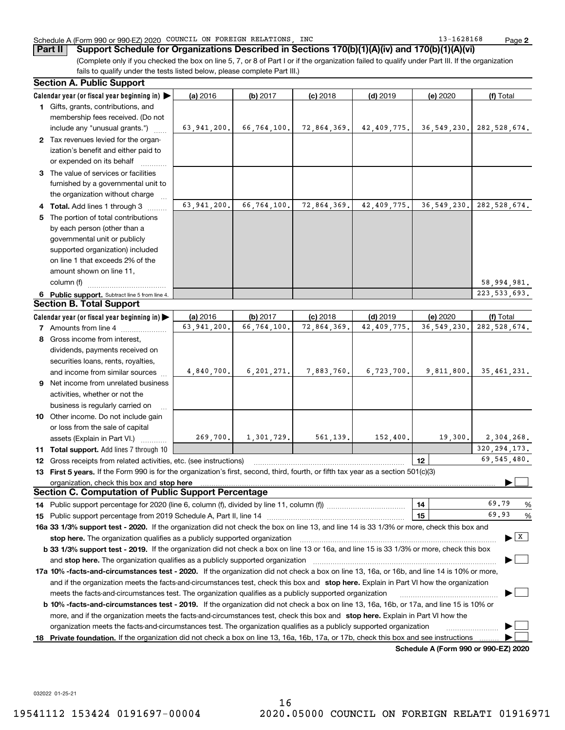### Schedule A (Form 990 or 990-EZ) 2020 COUNCIL ON FOREIGN RELATIONS,INC 13-1628168 Page

(Complete only if you checked the box on line 5, 7, or 8 of Part I or if the organization failed to qualify under Part III. If the organization fails to qualify under the tests listed below, please complete Part III.) **Part II Support Schedule for Organizations Described in Sections 170(b)(1)(A)(iv) and 170(b)(1)(A)(vi)**

|    | <b>Section A. Public Support</b>                                                                                                                                                                                               |               |              |             |             |                                              |                                          |
|----|--------------------------------------------------------------------------------------------------------------------------------------------------------------------------------------------------------------------------------|---------------|--------------|-------------|-------------|----------------------------------------------|------------------------------------------|
|    | Calendar year (or fiscal year beginning in) $\blacktriangleright$                                                                                                                                                              | (a) 2016      | (b) 2017     | $(c)$ 2018  | $(d)$ 2019  | (e) 2020                                     | (f) Total                                |
|    | 1 Gifts, grants, contributions, and                                                                                                                                                                                            |               |              |             |             |                                              |                                          |
|    | membership fees received. (Do not                                                                                                                                                                                              |               |              |             |             |                                              |                                          |
|    | include any "unusual grants.")                                                                                                                                                                                                 | 63,941,200.   | 66,764,100.  | 72,864,369. | 42,409,775. |                                              | 36, 549, 230.   282, 528, 674.           |
|    | 2 Tax revenues levied for the organ-                                                                                                                                                                                           |               |              |             |             |                                              |                                          |
|    | ization's benefit and either paid to                                                                                                                                                                                           |               |              |             |             |                                              |                                          |
|    | or expended on its behalf                                                                                                                                                                                                      |               |              |             |             |                                              |                                          |
|    | 3 The value of services or facilities                                                                                                                                                                                          |               |              |             |             |                                              |                                          |
|    | furnished by a governmental unit to                                                                                                                                                                                            |               |              |             |             |                                              |                                          |
|    | the organization without charge                                                                                                                                                                                                |               |              |             |             |                                              |                                          |
|    | 4 Total. Add lines 1 through 3                                                                                                                                                                                                 | 63, 941, 200. | 66,764,100.  | 72,864,369. | 42,409,775. | 36, 549, 230.                                | 282,528,674.                             |
| 5. | The portion of total contributions                                                                                                                                                                                             |               |              |             |             |                                              |                                          |
|    | by each person (other than a                                                                                                                                                                                                   |               |              |             |             |                                              |                                          |
|    | governmental unit or publicly                                                                                                                                                                                                  |               |              |             |             |                                              |                                          |
|    | supported organization) included                                                                                                                                                                                               |               |              |             |             |                                              |                                          |
|    | on line 1 that exceeds 2% of the                                                                                                                                                                                               |               |              |             |             |                                              |                                          |
|    | amount shown on line 11,                                                                                                                                                                                                       |               |              |             |             |                                              |                                          |
|    | column (f)                                                                                                                                                                                                                     |               |              |             |             |                                              | 58,994,981.                              |
|    | 6 Public support. Subtract line 5 from line 4.                                                                                                                                                                                 |               |              |             |             |                                              | 223, 533, 693.                           |
|    | <b>Section B. Total Support</b>                                                                                                                                                                                                |               |              |             |             |                                              |                                          |
|    | Calendar year (or fiscal year beginning in) $\blacktriangleright$                                                                                                                                                              | (a) 2016      | (b) 2017     | $(c)$ 2018  | $(d)$ 2019  | (e) 2020                                     | (f) Total                                |
|    | 7 Amounts from line 4                                                                                                                                                                                                          | 63.941.200.   | 66,764,100.  | 72,864,369. | 42,409,775. | 36, 549, 230.                                | 282, 528, 674.                           |
|    | 8 Gross income from interest,                                                                                                                                                                                                  |               |              |             |             |                                              |                                          |
|    | dividends, payments received on                                                                                                                                                                                                |               |              |             |             |                                              |                                          |
|    | securities loans, rents, royalties,                                                                                                                                                                                            |               |              |             |             |                                              |                                          |
|    | and income from similar sources                                                                                                                                                                                                | 4,840,700.    | 6, 201, 271. | 7,883,760.  | 6,723,700.  | 9,811,800.                                   | 35,461,231.                              |
|    | 9 Net income from unrelated business                                                                                                                                                                                           |               |              |             |             |                                              |                                          |
|    | activities, whether or not the                                                                                                                                                                                                 |               |              |             |             |                                              |                                          |
|    | business is regularly carried on                                                                                                                                                                                               |               |              |             |             |                                              |                                          |
|    | 10 Other income. Do not include gain                                                                                                                                                                                           |               |              |             |             |                                              |                                          |
|    | or loss from the sale of capital                                                                                                                                                                                               |               |              |             |             |                                              |                                          |
|    | assets (Explain in Part VI.)                                                                                                                                                                                                   | 269,700.      | 1,301,729.   | 561,139.    | 152,400.    | 19,300.                                      | 2,304,268.                               |
|    | 11 Total support. Add lines 7 through 10                                                                                                                                                                                       |               |              |             |             |                                              | 320, 294, 173.                           |
|    | <b>12</b> Gross receipts from related activities, etc. (see instructions)                                                                                                                                                      |               |              |             |             | 12                                           | 69, 545, 480.                            |
|    | 13 First 5 years. If the Form 990 is for the organization's first, second, third, fourth, or fifth tax year as a section 501(c)(3)                                                                                             |               |              |             |             |                                              |                                          |
|    | organization, check this box and stop here manufactured and according to the state of the state of the state of the state of the state of the state of the state of the state of the state of the state of the state of the st |               |              |             |             |                                              |                                          |
|    | <b>Section C. Computation of Public Support Percentage</b>                                                                                                                                                                     |               |              |             |             |                                              |                                          |
|    | 14 Public support percentage for 2020 (line 6, column (f), divided by line 11, column (f) <i>mummumumum</i>                                                                                                                    |               |              |             |             | 14                                           | 69.79<br>%                               |
|    |                                                                                                                                                                                                                                |               |              |             |             | 15                                           | 69.93<br>$\%$                            |
|    | 16a 33 1/3% support test - 2020. If the organization did not check the box on line 13, and line 14 is 33 1/3% or more, check this box and                                                                                      |               |              |             |             |                                              |                                          |
|    | stop here. The organization qualifies as a publicly supported organization                                                                                                                                                     |               |              |             |             |                                              | $\blacktriangleright$ $\boxed{\text{X}}$ |
|    | b 33 1/3% support test - 2019. If the organization did not check a box on line 13 or 16a, and line 15 is 33 1/3% or more, check this box                                                                                       |               |              |             |             |                                              |                                          |
|    | and stop here. The organization qualifies as a publicly supported organization                                                                                                                                                 |               |              |             |             |                                              |                                          |
|    | 17a 10% -facts-and-circumstances test - 2020. If the organization did not check a box on line 13, 16a, or 16b, and line 14 is 10% or more,                                                                                     |               |              |             |             |                                              |                                          |
|    | and if the organization meets the facts-and-circumstances test, check this box and stop here. Explain in Part VI how the organization                                                                                          |               |              |             |             |                                              |                                          |
|    | meets the facts-and-circumstances test. The organization qualifies as a publicly supported organization                                                                                                                        |               |              |             |             |                                              |                                          |
|    | <b>b 10% -facts-and-circumstances test - 2019.</b> If the organization did not check a box on line 13, 16a, 16b, or 17a, and line 15 is 10% or                                                                                 |               |              |             |             |                                              |                                          |
|    | more, and if the organization meets the facts-and-circumstances test, check this box and stop here. Explain in Part VI how the                                                                                                 |               |              |             |             |                                              |                                          |
|    | organization meets the facts-and-circumstances test. The organization qualifies as a publicly supported organization                                                                                                           |               |              |             |             |                                              |                                          |
|    | 18 Private foundation. If the organization did not check a box on line 13, 16a, 16b, 17a, or 17b, check this box and see instructions                                                                                          |               |              |             |             |                                              |                                          |
|    |                                                                                                                                                                                                                                |               |              |             |             | <b>Cabadule A (Fause 000 av 000 EZ) 0000</b> |                                          |

**Schedule A (Form 990 or 990-EZ) 2020**

032022 01-25-21

**2**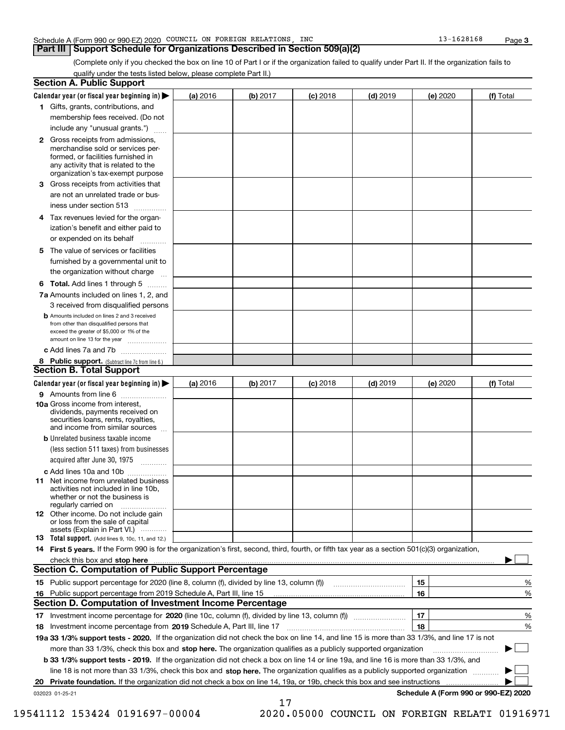#### Schedule A (Form 990 or 990-EZ) 2020 COUNCIL ON FOREIGN RELATIONS,INC 13-1628168 Page

### **Part III Support Schedule for Organizations Described in Section 509(a)(2)**

(Complete only if you checked the box on line 10 of Part I or if the organization failed to qualify under Part II. If the organization fails to qualify under the tests listed below, please complete Part II.)

|    | <b>Section A. Public Support</b>                                                                                                                                                                                               |          |          |            |            |          |                                      |
|----|--------------------------------------------------------------------------------------------------------------------------------------------------------------------------------------------------------------------------------|----------|----------|------------|------------|----------|--------------------------------------|
|    | Calendar year (or fiscal year beginning in) $\blacktriangleright$                                                                                                                                                              | (a) 2016 | (b) 2017 | $(c)$ 2018 | $(d)$ 2019 | (e) 2020 | (f) Total                            |
|    | 1 Gifts, grants, contributions, and                                                                                                                                                                                            |          |          |            |            |          |                                      |
|    | membership fees received. (Do not                                                                                                                                                                                              |          |          |            |            |          |                                      |
|    | include any "unusual grants.")                                                                                                                                                                                                 |          |          |            |            |          |                                      |
|    | 2 Gross receipts from admissions,<br>merchandise sold or services per-<br>formed, or facilities furnished in<br>any activity that is related to the<br>organization's tax-exempt purpose                                       |          |          |            |            |          |                                      |
|    | 3 Gross receipts from activities that<br>are not an unrelated trade or bus-                                                                                                                                                    |          |          |            |            |          |                                      |
|    | iness under section 513                                                                                                                                                                                                        |          |          |            |            |          |                                      |
|    | 4 Tax revenues levied for the organ-                                                                                                                                                                                           |          |          |            |            |          |                                      |
|    | ization's benefit and either paid to<br>or expended on its behalf<br>.                                                                                                                                                         |          |          |            |            |          |                                      |
|    | 5 The value of services or facilities                                                                                                                                                                                          |          |          |            |            |          |                                      |
|    | furnished by a governmental unit to                                                                                                                                                                                            |          |          |            |            |          |                                      |
|    | the organization without charge                                                                                                                                                                                                |          |          |            |            |          |                                      |
|    | <b>6 Total.</b> Add lines 1 through 5                                                                                                                                                                                          |          |          |            |            |          |                                      |
|    | 7a Amounts included on lines 1, 2, and<br>3 received from disqualified persons                                                                                                                                                 |          |          |            |            |          |                                      |
|    | <b>b</b> Amounts included on lines 2 and 3 received<br>from other than disqualified persons that<br>exceed the greater of \$5,000 or 1% of the<br>amount on line 13 for the year                                               |          |          |            |            |          |                                      |
|    | c Add lines 7a and 7b                                                                                                                                                                                                          |          |          |            |            |          |                                      |
|    | 8 Public support. (Subtract line 7c from line 6.)                                                                                                                                                                              |          |          |            |            |          |                                      |
|    | <b>Section B. Total Support</b>                                                                                                                                                                                                |          |          |            |            |          |                                      |
|    | Calendar year (or fiscal year beginning in) $\blacktriangleright$                                                                                                                                                              | (a) 2016 | (b) 2017 | $(c)$ 2018 | $(d)$ 2019 | (e) 2020 | (f) Total                            |
|    | 9 Amounts from line 6                                                                                                                                                                                                          |          |          |            |            |          |                                      |
|    | 10a Gross income from interest,<br>dividends, payments received on<br>securities loans, rents, royalties,<br>and income from similar sources                                                                                   |          |          |            |            |          |                                      |
|    | <b>b</b> Unrelated business taxable income<br>(less section 511 taxes) from businesses                                                                                                                                         |          |          |            |            |          |                                      |
|    | acquired after June 30, 1975                                                                                                                                                                                                   |          |          |            |            |          |                                      |
|    | c Add lines 10a and 10b<br>11 Net income from unrelated business<br>activities not included in line 10b,<br>whether or not the business is                                                                                     |          |          |            |            |          |                                      |
|    | regularly carried on<br>12 Other income. Do not include gain<br>or loss from the sale of capital                                                                                                                               |          |          |            |            |          |                                      |
|    | assets (Explain in Part VI.)<br><b>13</b> Total support. (Add lines 9, 10c, 11, and 12.)                                                                                                                                       |          |          |            |            |          |                                      |
|    | 14 First 5 years. If the Form 990 is for the organization's first, second, third, fourth, or fifth tax year as a section 501(c)(3) organization,                                                                               |          |          |            |            |          |                                      |
|    | check this box and stop here measured and contained a state of the state of the state of the state of the state of the state of the state of the state of the state of the state of the state of the state of the state of the |          |          |            |            |          |                                      |
|    | Section C. Computation of Public Support Percentage                                                                                                                                                                            |          |          |            |            |          |                                      |
|    | 15 Public support percentage for 2020 (line 8, column (f), divided by line 13, column (f))                                                                                                                                     |          |          |            |            | 15       | %                                    |
|    | 16 Public support percentage from 2019 Schedule A, Part III, line 15                                                                                                                                                           |          |          |            |            | 16       | %                                    |
|    | <b>Section D. Computation of Investment Income Percentage</b>                                                                                                                                                                  |          |          |            |            |          |                                      |
|    | 17 Investment income percentage for 2020 (line 10c, column (f), divided by line 13, column (f))                                                                                                                                |          |          |            |            | 17       | %                                    |
|    | <b>18</b> Investment income percentage from <b>2019</b> Schedule A, Part III, line 17                                                                                                                                          |          |          |            |            | 18       | %                                    |
|    | 19a 33 1/3% support tests - 2020. If the organization did not check the box on line 14, and line 15 is more than 33 1/3%, and line 17 is not                                                                                   |          |          |            |            |          |                                      |
|    | more than 33 1/3%, check this box and stop here. The organization qualifies as a publicly supported organization                                                                                                               |          |          |            |            |          | ▶                                    |
|    | b 33 1/3% support tests - 2019. If the organization did not check a box on line 14 or line 19a, and line 16 is more than 33 1/3%, and                                                                                          |          |          |            |            |          |                                      |
|    | line 18 is not more than 33 1/3%, check this box and stop here. The organization qualifies as a publicly supported organization                                                                                                |          |          |            |            |          |                                      |
| 20 | <b>Private foundation.</b> If the organization did not check a box on line 14, 19a, or 19b, check this box and see instructions                                                                                                |          |          |            |            |          |                                      |
|    | 032023 01-25-21                                                                                                                                                                                                                |          | 17       |            |            |          | Schedule A (Form 990 or 990-EZ) 2020 |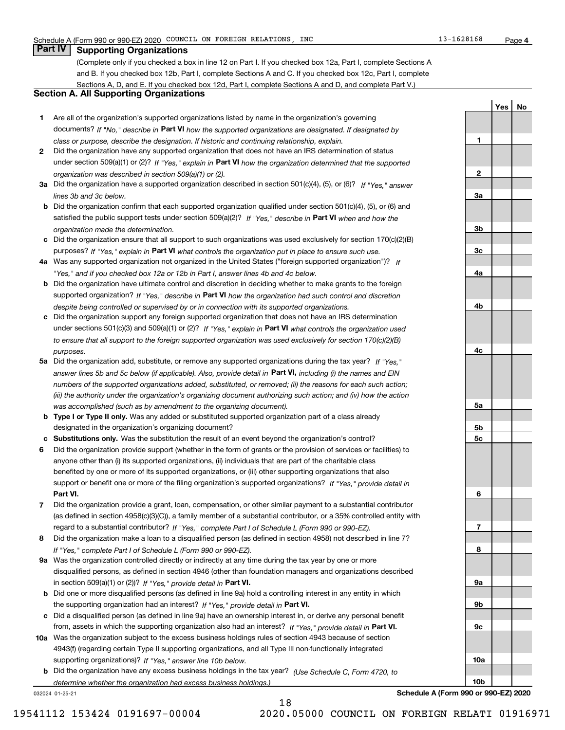**1**

**2**

**3a**

**3b**

**3c**

**4a**

**4b**

**4c**

**5a**

**5b5c**

**6**

**7**

**8**

**9a**

**9b**

**9c**

**10a**

**10b**

**YesNo**

# **Part IV Supporting Organizations**

(Complete only if you checked a box in line 12 on Part I. If you checked box 12a, Part I, complete Sections A and B. If you checked box 12b, Part I, complete Sections A and C. If you checked box 12c, Part I, complete Sections A, D, and E. If you checked box 12d, Part I, complete Sections A and D, and complete Part V.)

## **Section A. All Supporting Organizations**

- **1** Are all of the organization's supported organizations listed by name in the organization's governing documents? If "No," describe in **Part VI** how the supported organizations are designated. If designated by *class or purpose, describe the designation. If historic and continuing relationship, explain.*
- **2** Did the organization have any supported organization that does not have an IRS determination of status under section 509(a)(1) or (2)? If "Yes," explain in Part VI how the organization determined that the supported *organization was described in section 509(a)(1) or (2).*
- **3a** Did the organization have a supported organization described in section 501(c)(4), (5), or (6)? If "Yes," answer *lines 3b and 3c below.*
- **b** Did the organization confirm that each supported organization qualified under section 501(c)(4), (5), or (6) and satisfied the public support tests under section 509(a)(2)? If "Yes," describe in **Part VI** when and how the *organization made the determination.*
- **c**Did the organization ensure that all support to such organizations was used exclusively for section 170(c)(2)(B) purposes? If "Yes," explain in **Part VI** what controls the organization put in place to ensure such use.
- **4a***If* Was any supported organization not organized in the United States ("foreign supported organization")? *"Yes," and if you checked box 12a or 12b in Part I, answer lines 4b and 4c below.*
- **b** Did the organization have ultimate control and discretion in deciding whether to make grants to the foreign supported organization? If "Yes," describe in **Part VI** how the organization had such control and discretion *despite being controlled or supervised by or in connection with its supported organizations.*
- **c** Did the organization support any foreign supported organization that does not have an IRS determination under sections 501(c)(3) and 509(a)(1) or (2)? If "Yes," explain in **Part VI** what controls the organization used *to ensure that all support to the foreign supported organization was used exclusively for section 170(c)(2)(B) purposes.*
- **5a** Did the organization add, substitute, or remove any supported organizations during the tax year? If "Yes," answer lines 5b and 5c below (if applicable). Also, provide detail in **Part VI,** including (i) the names and EIN *numbers of the supported organizations added, substituted, or removed; (ii) the reasons for each such action; (iii) the authority under the organization's organizing document authorizing such action; and (iv) how the action was accomplished (such as by amendment to the organizing document).*
- **b** Type I or Type II only. Was any added or substituted supported organization part of a class already designated in the organization's organizing document?
- **cSubstitutions only.**  Was the substitution the result of an event beyond the organization's control?
- **6** Did the organization provide support (whether in the form of grants or the provision of services or facilities) to **Part VI.** *If "Yes," provide detail in* support or benefit one or more of the filing organization's supported organizations? anyone other than (i) its supported organizations, (ii) individuals that are part of the charitable class benefited by one or more of its supported organizations, or (iii) other supporting organizations that also
- **7**Did the organization provide a grant, loan, compensation, or other similar payment to a substantial contributor *If "Yes," complete Part I of Schedule L (Form 990 or 990-EZ).* regard to a substantial contributor? (as defined in section 4958(c)(3)(C)), a family member of a substantial contributor, or a 35% controlled entity with
- **8** Did the organization make a loan to a disqualified person (as defined in section 4958) not described in line 7? *If "Yes," complete Part I of Schedule L (Form 990 or 990-EZ).*
- **9a** Was the organization controlled directly or indirectly at any time during the tax year by one or more in section 509(a)(1) or (2))? If "Yes," *provide detail in* <code>Part VI.</code> disqualified persons, as defined in section 4946 (other than foundation managers and organizations described
- **b** Did one or more disqualified persons (as defined in line 9a) hold a controlling interest in any entity in which the supporting organization had an interest? If "Yes," provide detail in P**art VI**.
- **c**Did a disqualified person (as defined in line 9a) have an ownership interest in, or derive any personal benefit from, assets in which the supporting organization also had an interest? If "Yes," provide detail in P**art VI.**
- **10a** Was the organization subject to the excess business holdings rules of section 4943 because of section supporting organizations)? If "Yes," answer line 10b below. 4943(f) (regarding certain Type II supporting organizations, and all Type III non-functionally integrated
- **b** Did the organization have any excess business holdings in the tax year? (Use Schedule C, Form 4720, to *determine whether the organization had excess business holdings.)*

18

032024 01-25-21

**Schedule A (Form 990 or 990-EZ) 2020**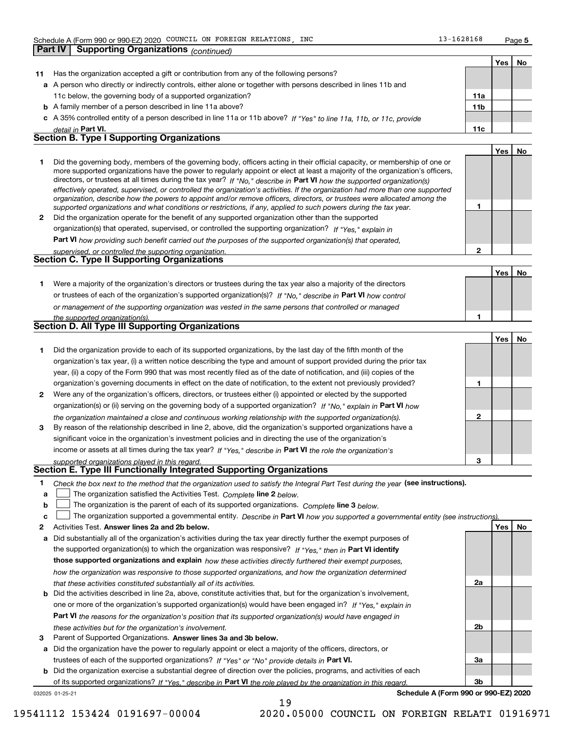**Part IV Supporting Organizations** *(continued)*

**1**

**2**

|    |                                                                                                                                                                                                                                                             |                 | Yes | No |
|----|-------------------------------------------------------------------------------------------------------------------------------------------------------------------------------------------------------------------------------------------------------------|-----------------|-----|----|
| 11 | Has the organization accepted a gift or contribution from any of the following persons?                                                                                                                                                                     |                 |     |    |
|    | a A person who directly or indirectly controls, either alone or together with persons described in lines 11b and                                                                                                                                            |                 |     |    |
|    | 11c below, the governing body of a supported organization?                                                                                                                                                                                                  | 11a             |     |    |
|    | <b>b</b> A family member of a person described in line 11a above?                                                                                                                                                                                           | 11 <sub>b</sub> |     |    |
|    | c A 35% controlled entity of a person described in line 11a or 11b above? If "Yes" to line 11a, 11b, or 11c, provide                                                                                                                                        |                 |     |    |
|    | detail in Part VI.                                                                                                                                                                                                                                          | 11c             |     |    |
|    | <b>Section B. Type I Supporting Organizations</b>                                                                                                                                                                                                           |                 |     |    |
|    |                                                                                                                                                                                                                                                             |                 | Yes | No |
|    | Did the governing body, members of the governing body, officers acting in their official capacity, or membership of one or<br>more supported organizations have the power to regularly appoint or elect at least a majority of the organization's officers, |                 |     |    |

|              | directors, or trustees at all times during the tax year? If "No," describe in Part VI how the supported organization(s)        |
|--------------|--------------------------------------------------------------------------------------------------------------------------------|
|              | effectively operated, supervised, or controlled the organization's activities. If the organization had more than one supported |
|              | organization, describe how the powers to appoint and/or remove officers, directors, or trustees were allocated among the       |
|              | supported organizations and what conditions or restrictions, if any, applied to such powers during the tax year.               |
| $\mathbf{2}$ | Did the organization operate for the benefit of any supported organization other than the supported                            |
|              | organization(s) that operated, supervised, or controlled the supporting organization? If "Yes," explain in                     |
|              | <b>Part VI</b> bour providing quab bonafit corried out the purposes of the quantity croppization(a) that energied              |

**Part VI**  *how providing such benefit carried out the purposes of the supported organization(s) that operated, supervised, or controlled the supporting organization.*

|  | supervised. Or controlled the supporting organization. |
|--|--------------------------------------------------------|
|  | <b>Section C. Type II Supporting Organizations</b>     |

**Yes No 1**or trustees of each of the organization's supported organization(s)? If "No," describe in **Part VI** how control **1***or management of the supporting organization was vested in the same persons that controlled or managed the supported organization(s).* Were a majority of the organization's directors or trustees during the tax year also a majority of the directors

| Section D. All Type III Supporting Organizations |  |
|--------------------------------------------------|--|
|                                                  |  |

|                |                                                                                                                        |   | Yes l | No. |
|----------------|------------------------------------------------------------------------------------------------------------------------|---|-------|-----|
|                | Did the organization provide to each of its supported organizations, by the last day of the fifth month of the         |   |       |     |
|                | organization's tax year, (i) a written notice describing the type and amount of support provided during the prior tax  |   |       |     |
|                | year, (ii) a copy of the Form 990 that was most recently filed as of the date of notification, and (iii) copies of the |   |       |     |
|                | organization's governing documents in effect on the date of notification, to the extent not previously provided?       |   |       |     |
| $\overline{2}$ | Were any of the organization's officers, directors, or trustees either (i) appointed or elected by the supported       |   |       |     |
|                | organization(s) or (ii) serving on the governing body of a supported organization? If "No," explain in Part VI how     |   |       |     |
|                | the organization maintained a close and continuous working relationship with the supported organization(s).            | 2 |       |     |
| 3              | By reason of the relationship described in line 2, above, did the organization's supported organizations have a        |   |       |     |
|                | significant voice in the organization's investment policies and in directing the use of the organization's             |   |       |     |
|                | income or assets at all times during the tax year? If "Yes," describe in Part VI the role the organization's           |   |       |     |
|                | supported organizations played in this regard.                                                                         | з |       |     |

# *supported organizations played in this regard.* **Section E. Type III Functionally Integrated Supporting Organizations**

- **1**Check the box next to the method that the organization used to satisfy the Integral Part Test during the year (see instructions).
- **alinupy** The organization satisfied the Activities Test. Complete line 2 below.
- **b**The organization is the parent of each of its supported organizations. *Complete* line 3 *below.*  $\mathcal{L}^{\text{max}}$

|  |  |  | c <u>L</u> The organization supported a governmental entity. Describe in Part VI how you supported a governmental entity (see instructions) |  |
|--|--|--|---------------------------------------------------------------------------------------------------------------------------------------------|--|
|--|--|--|---------------------------------------------------------------------------------------------------------------------------------------------|--|

19

- **2Answer lines 2a and 2b below. Yes No** Activities Test.
- **a** Did substantially all of the organization's activities during the tax year directly further the exempt purposes of the supported organization(s) to which the organization was responsive? If "Yes," then in **Part VI identify those supported organizations and explain**  *how these activities directly furthered their exempt purposes, how the organization was responsive to those supported organizations, and how the organization determined that these activities constituted substantially all of its activities.*
- **b** Did the activities described in line 2a, above, constitute activities that, but for the organization's involvement, **Part VI**  *the reasons for the organization's position that its supported organization(s) would have engaged in* one or more of the organization's supported organization(s) would have been engaged in? If "Yes," e*xplain in these activities but for the organization's involvement.*
- **3**Parent of Supported Organizations. Answer lines 3a and 3b below.

**a** Did the organization have the power to regularly appoint or elect a majority of the officers, directors, or trustees of each of the supported organizations? If "Yes" or "No" provide details in **Part VI.** 

**b** Did the organization exercise a substantial degree of direction over the policies, programs, and activities of each of its supported organizations? If "Yes," describe in Part VI the role played by the organization in this regard.

032025 01-25-21

**Schedule A (Form 990 or 990-EZ) 2020**

**2a**

**2b**

**3a**

**3b**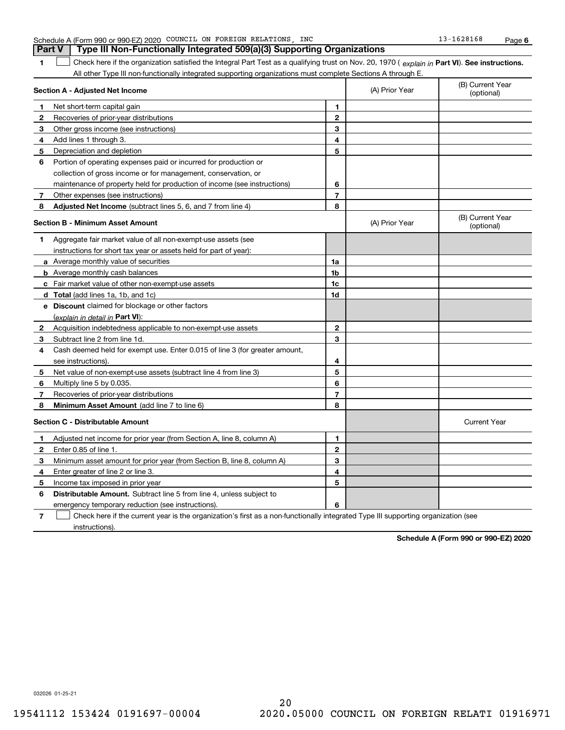| 1            | Check here if the organization satisfied the Integral Part Test as a qualifying trust on Nov. 20, 1970 (explain in Part VI). See instructions. |                |                |                                |
|--------------|------------------------------------------------------------------------------------------------------------------------------------------------|----------------|----------------|--------------------------------|
|              | All other Type III non-functionally integrated supporting organizations must complete Sections A through E.                                    |                |                |                                |
|              | Section A - Adjusted Net Income                                                                                                                |                | (A) Prior Year | (B) Current Year<br>(optional) |
| 1            | Net short-term capital gain                                                                                                                    | 1              |                |                                |
| 2            | Recoveries of prior-year distributions                                                                                                         | $\mathbf{2}$   |                |                                |
| 3            | Other gross income (see instructions)                                                                                                          | 3              |                |                                |
| 4            | Add lines 1 through 3.                                                                                                                         | 4              |                |                                |
| 5            | Depreciation and depletion                                                                                                                     | 5              |                |                                |
| 6            | Portion of operating expenses paid or incurred for production or                                                                               |                |                |                                |
|              | collection of gross income or for management, conservation, or                                                                                 |                |                |                                |
|              | maintenance of property held for production of income (see instructions)                                                                       | 6              |                |                                |
| $\mathbf{7}$ | Other expenses (see instructions)                                                                                                              | $\overline{7}$ |                |                                |
| 8            | <b>Adjusted Net Income</b> (subtract lines 5, 6, and 7 from line 4)                                                                            | 8              |                |                                |
|              | <b>Section B - Minimum Asset Amount</b>                                                                                                        |                | (A) Prior Year | (B) Current Year<br>(optional) |
| 1.           | Aggregate fair market value of all non-exempt-use assets (see                                                                                  |                |                |                                |
|              | instructions for short tax year or assets held for part of year):                                                                              |                |                |                                |
|              | <b>a</b> Average monthly value of securities                                                                                                   | 1a             |                |                                |
|              | <b>b</b> Average monthly cash balances                                                                                                         | 1b             |                |                                |
|              | c Fair market value of other non-exempt-use assets                                                                                             | 1c             |                |                                |
|              | <b>d</b> Total (add lines 1a, 1b, and 1c)                                                                                                      | 1d             |                |                                |
|              | e Discount claimed for blockage or other factors                                                                                               |                |                |                                |
|              | (explain in detail in <b>Part VI</b> ):                                                                                                        |                |                |                                |
| 2            | Acquisition indebtedness applicable to non-exempt-use assets                                                                                   | $\mathbf 2$    |                |                                |
| 3            | Subtract line 2 from line 1d.                                                                                                                  | 3              |                |                                |
| 4            | Cash deemed held for exempt use. Enter 0.015 of line 3 (for greater amount,                                                                    |                |                |                                |
|              | see instructions).                                                                                                                             | 4              |                |                                |
| 5            | Net value of non-exempt-use assets (subtract line 4 from line 3)                                                                               | 5              |                |                                |
| 6            | Multiply line 5 by 0.035.                                                                                                                      | 6              |                |                                |
| 7            | Recoveries of prior-year distributions                                                                                                         | $\overline{7}$ |                |                                |
| 8            | <b>Minimum Asset Amount</b> (add line 7 to line 6)                                                                                             | 8              |                |                                |
|              | <b>Section C - Distributable Amount</b>                                                                                                        |                |                | <b>Current Year</b>            |
| 1            | Adjusted net income for prior year (from Section A, line 8, column A)                                                                          | 1              |                |                                |
| $\mathbf{2}$ | Enter 0.85 of line 1.                                                                                                                          | $\mathbf{2}$   |                |                                |
| 3            | Minimum asset amount for prior year (from Section B, line 8, column A)                                                                         | 3              |                |                                |
| 4            | Enter greater of line 2 or line 3.                                                                                                             | 4              |                |                                |
| 5            | Income tax imposed in prior year                                                                                                               | 5              |                |                                |
| 6            | <b>Distributable Amount.</b> Subtract line 5 from line 4, unless subject to                                                                    |                |                |                                |
|              | emergency temporary reduction (see instructions).                                                                                              | 6              |                |                                |
| 7            | Check here if the current year is the organization's first as a non-functionally integrated Type III supporting organization (see              |                |                |                                |

Schedule A (Form 990 or 990-EZ) 2020 COUNCIL ON FOREIGN RELATIONS,INC 13-1628168 Page **Part V Type III Non-Functionally Integrated 509(a)(3) Supporting Organizations** 

032026 01-25-21

instructions).

**Schedule A (Form 990 or 990-EZ) 2020**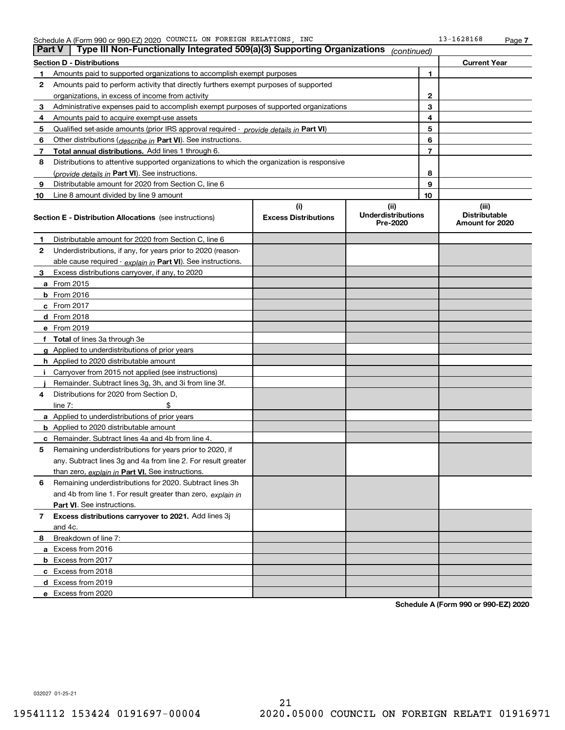| <b>Part V</b> | Type III Non-Functionally Integrated 509(a)(3) Supporting Organizations $ _{\text{continued}} $ |                             |                                       |                |                                         |
|---------------|-------------------------------------------------------------------------------------------------|-----------------------------|---------------------------------------|----------------|-----------------------------------------|
|               | <b>Section D - Distributions</b><br><b>Current Year</b>                                         |                             |                                       |                |                                         |
| 1             | 1<br>Amounts paid to supported organizations to accomplish exempt purposes                      |                             |                                       |                |                                         |
| 2             | Amounts paid to perform activity that directly furthers exempt purposes of supported            |                             |                                       |                |                                         |
|               | organizations, in excess of income from activity                                                |                             |                                       | 2              |                                         |
| 3             | Administrative expenses paid to accomplish exempt purposes of supported organizations           |                             |                                       | 3              |                                         |
| 4             | Amounts paid to acquire exempt-use assets                                                       |                             |                                       | 4              |                                         |
| 5             | Qualified set-aside amounts (prior IRS approval required - <i>provide details in</i> Part VI)   |                             |                                       | 5              |                                         |
| 6             | Other distributions ( <i>describe in</i> Part VI). See instructions.                            |                             |                                       | 6              |                                         |
| 7             | Total annual distributions. Add lines 1 through 6.                                              |                             |                                       | $\overline{7}$ |                                         |
| 8             | Distributions to attentive supported organizations to which the organization is responsive      |                             |                                       |                |                                         |
|               | (provide details in Part VI). See instructions.                                                 |                             |                                       | 8              |                                         |
| 9             | Distributable amount for 2020 from Section C, line 6                                            |                             |                                       | 9              |                                         |
| 10            | Line 8 amount divided by line 9 amount                                                          |                             |                                       | 10             |                                         |
|               |                                                                                                 | (i)                         | (ii)                                  |                | (iii)                                   |
|               | <b>Section E - Distribution Allocations</b> (see instructions)                                  | <b>Excess Distributions</b> | <b>Underdistributions</b><br>Pre-2020 |                | <b>Distributable</b><br>Amount for 2020 |
| 1             | Distributable amount for 2020 from Section C, line 6                                            |                             |                                       |                |                                         |
| 2             | Underdistributions, if any, for years prior to 2020 (reason-                                    |                             |                                       |                |                                         |
|               | able cause required - explain in Part VI). See instructions.                                    |                             |                                       |                |                                         |
| 3             | Excess distributions carryover, if any, to 2020                                                 |                             |                                       |                |                                         |
|               | a From 2015                                                                                     |                             |                                       |                |                                         |
|               | <b>b</b> From 2016                                                                              |                             |                                       |                |                                         |
|               | $c$ From 2017                                                                                   |                             |                                       |                |                                         |
|               | d From 2018                                                                                     |                             |                                       |                |                                         |
|               | e From 2019                                                                                     |                             |                                       |                |                                         |
|               | f Total of lines 3a through 3e                                                                  |                             |                                       |                |                                         |
|               | g Applied to underdistributions of prior years                                                  |                             |                                       |                |                                         |
|               | <b>h</b> Applied to 2020 distributable amount                                                   |                             |                                       |                |                                         |
|               | Carryover from 2015 not applied (see instructions)                                              |                             |                                       |                |                                         |
|               | Remainder. Subtract lines 3g, 3h, and 3i from line 3f.                                          |                             |                                       |                |                                         |
| 4             | Distributions for 2020 from Section D,                                                          |                             |                                       |                |                                         |
|               | line $7:$                                                                                       |                             |                                       |                |                                         |
|               | a Applied to underdistributions of prior years                                                  |                             |                                       |                |                                         |
|               | <b>b</b> Applied to 2020 distributable amount                                                   |                             |                                       |                |                                         |
|               | c Remainder. Subtract lines 4a and 4b from line 4.                                              |                             |                                       |                |                                         |
| 5.            | Remaining underdistributions for years prior to 2020, if                                        |                             |                                       |                |                                         |
|               | any. Subtract lines 3g and 4a from line 2. For result greater                                   |                             |                                       |                |                                         |
|               | than zero, explain in Part VI. See instructions.                                                |                             |                                       |                |                                         |
| 6             | Remaining underdistributions for 2020. Subtract lines 3h                                        |                             |                                       |                |                                         |
|               | and 4b from line 1. For result greater than zero, explain in                                    |                             |                                       |                |                                         |
|               | Part VI. See instructions.                                                                      |                             |                                       |                |                                         |
| 7             | Excess distributions carryover to 2021. Add lines 3j                                            |                             |                                       |                |                                         |
|               | and 4c.                                                                                         |                             |                                       |                |                                         |
| 8             | Breakdown of line 7:                                                                            |                             |                                       |                |                                         |
|               | a Excess from 2016                                                                              |                             |                                       |                |                                         |
|               | <b>b</b> Excess from 2017                                                                       |                             |                                       |                |                                         |
|               | c Excess from 2018                                                                              |                             |                                       |                |                                         |
|               | d Excess from 2019                                                                              |                             |                                       |                |                                         |
|               | e Excess from 2020                                                                              |                             |                                       |                |                                         |

**Schedule A (Form 990 or 990-EZ) 2020**

032027 01-25-21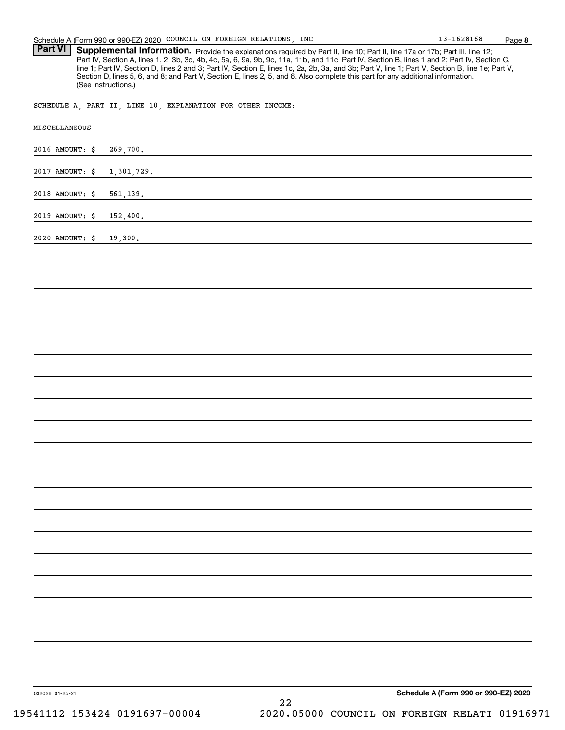Part VI | Supplemental Information. Provide the explanations required by Part II, line 10; Part II, line 17a or 17b; Part III, line 12; Part IV, Section A, lines 1, 2, 3b, 3c, 4b, 4c, 5a, 6, 9a, 9b, 9c, 11a, 11b, and 11c; Part IV, Section B, lines 1 and 2; Part IV, Section C, line 1; Part IV, Section D, lines 2 and 3; Part IV, Section E, lines 1c, 2a, 2b, 3a, and 3b; Part V, line 1; Part V, Section B, line 1e; Part V, Section D, lines 5, 6, and 8; and Part V, Section E, lines 2, 5, and 6. Also complete this part for any additional information. (See instructions.)

SCHEDULE A, PART II, LINE 10, EXPLANATION FOR OTHER INCOME:

| 2016 AMOUNT: \$<br>269,700.   |                                      |
|-------------------------------|--------------------------------------|
|                               |                                      |
| 2017 AMOUNT: \$<br>1,301,729. |                                      |
| 2018 AMOUNT: \$<br>561,139.   |                                      |
| 2019 AMOUNT: \$<br>152,400.   |                                      |
| 2020 AMOUNT: \$<br>19,300.    |                                      |
|                               |                                      |
|                               |                                      |
|                               |                                      |
|                               |                                      |
|                               |                                      |
|                               |                                      |
|                               |                                      |
|                               |                                      |
|                               |                                      |
|                               |                                      |
|                               |                                      |
|                               |                                      |
|                               |                                      |
|                               |                                      |
|                               |                                      |
|                               |                                      |
|                               |                                      |
|                               |                                      |
|                               |                                      |
|                               |                                      |
|                               |                                      |
|                               |                                      |
|                               |                                      |
|                               | Schedule A (Form 990 or 990-EZ) 2020 |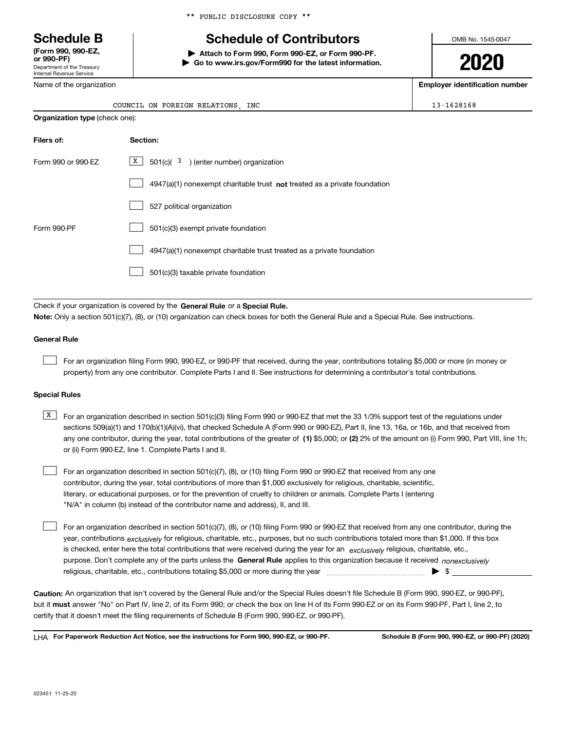Department of the Treasury Internal Revenue Service **(Form 990, 990-EZ, or 990-PF)**

Name of the organization

# **Schedule B Schedule of Contributors**

**| Attach to Form 990, Form 990-EZ, or Form 990-PF. | Go to www.irs.gov/Form990 for the latest information.** OMB No. 1545-0047

**2020**

**Employer identification number**

| FORETGN<br>RELATIONS<br>ON<br>COUNCT.<br>. . | INC | <b>DZB</b><br>$\sim$<br>. O C |
|----------------------------------------------|-----|-------------------------------|

| <b>Organization type (check one):</b>                                              |  |  |  |  |
|------------------------------------------------------------------------------------|--|--|--|--|
| Section:                                                                           |  |  |  |  |
| X  <br>$501(c)$ ( $3$ ) (enter number) organization                                |  |  |  |  |
| $4947(a)(1)$ nonexempt charitable trust <b>not</b> treated as a private foundation |  |  |  |  |
| 527 political organization                                                         |  |  |  |  |
| 501(c)(3) exempt private foundation                                                |  |  |  |  |
| 4947(a)(1) nonexempt charitable trust treated as a private foundation              |  |  |  |  |
| 501(c)(3) taxable private foundation                                               |  |  |  |  |
|                                                                                    |  |  |  |  |

Check if your organization is covered by the **General Rule** or a **Special Rule. Note:**  Only a section 501(c)(7), (8), or (10) organization can check boxes for both the General Rule and a Special Rule. See instructions.

### **General Rule**

 $\mathcal{L}^{\text{max}}$ 

For an organization filing Form 990, 990-EZ, or 990-PF that received, during the year, contributions totaling \$5,000 or more (in money or property) from any one contributor. Complete Parts I and II. See instructions for determining a contributor's total contributions.

#### **Special Rules**

any one contributor, during the year, total contributions of the greater of  $\,$  (1) \$5,000; or **(2)** 2% of the amount on (i) Form 990, Part VIII, line 1h;  $\overline{X}$  For an organization described in section 501(c)(3) filing Form 990 or 990-EZ that met the 33 1/3% support test of the regulations under sections 509(a)(1) and 170(b)(1)(A)(vi), that checked Schedule A (Form 990 or 990-EZ), Part II, line 13, 16a, or 16b, and that received from or (ii) Form 990-EZ, line 1. Complete Parts I and II.

For an organization described in section 501(c)(7), (8), or (10) filing Form 990 or 990-EZ that received from any one contributor, during the year, total contributions of more than \$1,000 exclusively for religious, charitable, scientific, literary, or educational purposes, or for the prevention of cruelty to children or animals. Complete Parts I (entering "N/A" in column (b) instead of the contributor name and address), II, and III.  $\mathcal{L}^{\text{max}}$ 

purpose. Don't complete any of the parts unless the **General Rule** applies to this organization because it received *nonexclusively* year, contributions <sub>exclusively</sub> for religious, charitable, etc., purposes, but no such contributions totaled more than \$1,000. If this box is checked, enter here the total contributions that were received during the year for an  $\;$ exclusively religious, charitable, etc., For an organization described in section 501(c)(7), (8), or (10) filing Form 990 or 990-EZ that received from any one contributor, during the religious, charitable, etc., contributions totaling \$5,000 or more during the year  $\Box$ — $\Box$   $\Box$  $\mathcal{L}^{\text{max}}$ 

**Caution:**  An organization that isn't covered by the General Rule and/or the Special Rules doesn't file Schedule B (Form 990, 990-EZ, or 990-PF),  **must** but it answer "No" on Part IV, line 2, of its Form 990; or check the box on line H of its Form 990-EZ or on its Form 990-PF, Part I, line 2, to certify that it doesn't meet the filing requirements of Schedule B (Form 990, 990-EZ, or 990-PF).

**For Paperwork Reduction Act Notice, see the instructions for Form 990, 990-EZ, or 990-PF. Schedule B (Form 990, 990-EZ, or 990-PF) (2020)** LHA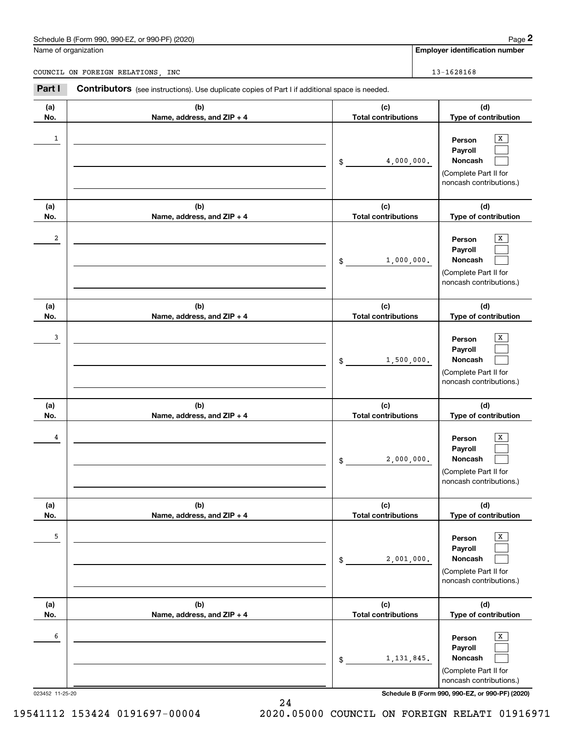# Schedule B (Form 990, 990-EZ, or 990-PF) (2020) Page 2

|              | Schedule B (Form 990, 990-EZ, or 990-PF) (2020)                                                |                                                | Page 2                                                                                                        |
|--------------|------------------------------------------------------------------------------------------------|------------------------------------------------|---------------------------------------------------------------------------------------------------------------|
|              | Name of organization                                                                           |                                                | <b>Employer identification number</b>                                                                         |
|              | COUNCIL ON FOREIGN RELATIONS, INC                                                              |                                                | 13-1628168                                                                                                    |
| Part I       | Contributors (see instructions). Use duplicate copies of Part I if additional space is needed. |                                                |                                                                                                               |
| (a)<br>No.   | (b)<br>Name, address, and ZIP + 4                                                              | (c)<br><b>Total contributions</b>              | (d)<br>Type of contribution                                                                                   |
| $\mathbf{1}$ |                                                                                                | 4,000,000.<br>\$                               | x<br>Person<br>Payroll<br>Noncash<br>(Complete Part II for<br>noncash contributions.)                         |
| (a)          | (b)                                                                                            | (c)                                            | (d)                                                                                                           |
| No.<br>2     | Name, address, and ZIP + 4                                                                     | <b>Total contributions</b><br>1,000,000.<br>\$ | Type of contribution<br>X<br>Person<br>Payroll<br>Noncash<br>(Complete Part II for<br>noncash contributions.) |
| (a)<br>No.   | (b)<br>Name, address, and ZIP + 4                                                              | (c)<br><b>Total contributions</b>              | (d)<br>Type of contribution                                                                                   |
| 3            |                                                                                                | 1,500,000.<br>\$                               | X<br>Person<br>Payroll<br>Noncash<br>(Complete Part II for<br>noncash contributions.)                         |
| (a)<br>No.   | (b)<br>Name, address, and ZIP + 4                                                              | (c)<br><b>Total contributions</b>              | (d)<br>Type of contribution                                                                                   |
| 4            |                                                                                                | 2,000,000.<br>\$                               | х<br>Person<br>Payroll<br>Noncash<br>(Complete Part II for<br>noncash contributions.)                         |
| (a)<br>No.   | (b)<br>Name, address, and ZIP + 4                                                              | (c)<br><b>Total contributions</b>              | (d)<br>Type of contribution                                                                                   |
| 5            |                                                                                                | 2,001,000.<br>\$                               | Х<br>Person<br>Payroll<br>Noncash<br>(Complete Part II for<br>noncash contributions.)                         |
| (a)<br>No.   | (b)<br>Name, address, and ZIP + 4                                                              | (c)<br><b>Total contributions</b>              | (d)<br>Type of contribution                                                                                   |
| 6            |                                                                                                | 1, 131, 845.<br>\$                             | Х<br>Person<br>Payroll<br>Noncash<br>(Complete Part II for<br>noncash contributions.)                         |

023452 11-25-20 **Schedule B (Form 990, 990-EZ, or 990-PF) (2020)**

19541112 153424 0191697-00004 2020.05000 COUNCIL ON FOREIGN RELATI 01916971

24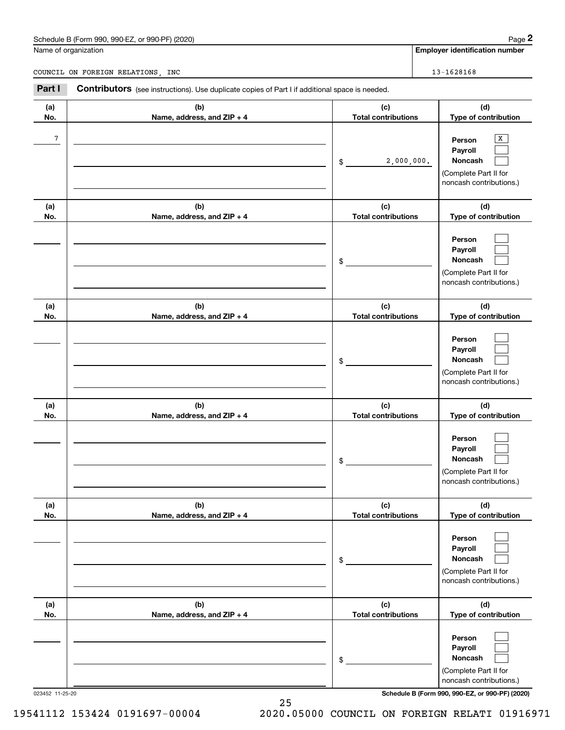# Schedule B (Form 990, 990-EZ, or 990-PF) (2020) Page 2

|            | Schedule B (Form 990, 990-EZ, or 990-PF) (2020)                                                |                                   | Page 2                                                                                |
|------------|------------------------------------------------------------------------------------------------|-----------------------------------|---------------------------------------------------------------------------------------|
|            | Name of organization                                                                           |                                   | <b>Employer identification number</b>                                                 |
|            | COUNCIL ON FOREIGN RELATIONS, INC                                                              |                                   | 13-1628168                                                                            |
| Part I     | Contributors (see instructions). Use duplicate copies of Part I if additional space is needed. |                                   |                                                                                       |
| (a)<br>No. | (b)<br>Name, address, and ZIP + 4                                                              | (c)<br><b>Total contributions</b> | (d)<br>Type of contribution                                                           |
| 7          |                                                                                                | 2,000,000.<br>\$                  | X<br>Person<br>Payroll<br>Noncash<br>(Complete Part II for<br>noncash contributions.) |
| (a)<br>No. | (b)<br>Name, address, and ZIP + 4                                                              | (c)<br><b>Total contributions</b> | (d)<br>Type of contribution                                                           |
|            |                                                                                                | \$                                | Person<br>Payroll<br>Noncash<br>(Complete Part II for<br>noncash contributions.)      |
| (a)<br>No. | (b)<br>Name, address, and ZIP + 4                                                              | (c)<br><b>Total contributions</b> | (d)<br>Type of contribution                                                           |
|            |                                                                                                | \$                                | Person<br>Payroll<br>Noncash<br>(Complete Part II for<br>noncash contributions.)      |
| (a)<br>No. | (b)<br>Name, address, and ZIP + 4                                                              | (c)<br><b>Total contributions</b> | (d)<br>Type of contribution                                                           |
|            |                                                                                                | \$                                | Person<br>Payroll<br>Noncash<br>(Complete Part II for<br>noncash contributions.)      |
| (a)<br>No. | (b)<br>Name, address, and ZIP + 4                                                              | (c)<br><b>Total contributions</b> | (d)<br>Type of contribution                                                           |
|            |                                                                                                | \$                                | Person<br>Payroll<br>Noncash<br>(Complete Part II for<br>noncash contributions.)      |
| (a)<br>No. | (b)<br>Name, address, and ZIP + 4                                                              | (c)<br><b>Total contributions</b> | (d)<br>Type of contribution                                                           |
|            |                                                                                                | \$                                | Person<br>Payroll<br>Noncash<br>(Complete Part II for<br>noncash contributions.)      |

023452 11-25-20 **Schedule B (Form 990, 990-EZ, or 990-PF) (2020)**

25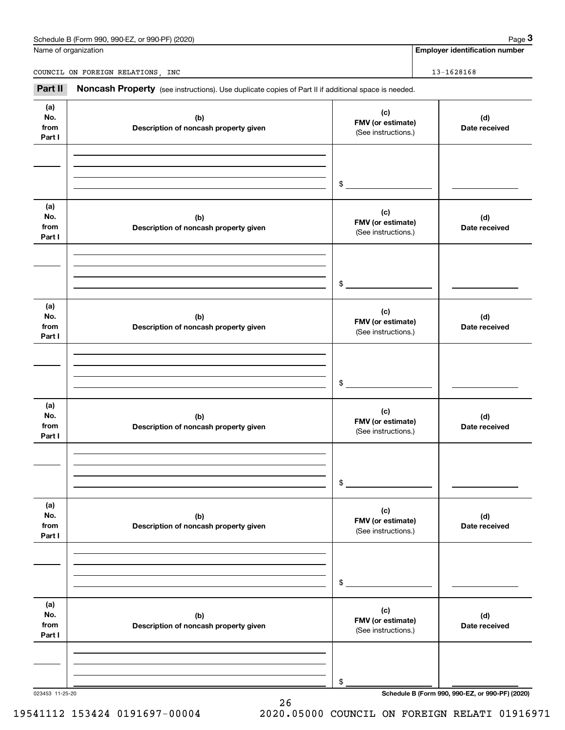## Schedule B (Form 990, 990-EZ, or 990-PF) (2020) **Page 3** Page 3

Name of organization

|                                   | Schedule B (Form 990, 990-EZ, or 990-PF) (2020)                                                     |                                                 | Page 3                                |  |
|-----------------------------------|-----------------------------------------------------------------------------------------------------|-------------------------------------------------|---------------------------------------|--|
|                                   | Vame of organization                                                                                |                                                 | <b>Employer identification number</b> |  |
| COUNCIL ON FOREIGN RELATIONS, INC |                                                                                                     |                                                 | 13-1628168                            |  |
| Part II                           | Noncash Property (see instructions). Use duplicate copies of Part II if additional space is needed. |                                                 |                                       |  |
| (a)<br>No.<br>from<br>Part I      | (b)<br>Description of noncash property given                                                        | (c)<br>FMV (or estimate)<br>(See instructions.) | (d)<br>Date received                  |  |
|                                   |                                                                                                     | \$                                              |                                       |  |
| (a)<br>No.<br>from<br>Part I      | (b)<br>Description of noncash property given                                                        | (c)<br>FMV (or estimate)<br>(See instructions.) | (d)<br>Date received                  |  |
|                                   |                                                                                                     | \$                                              |                                       |  |
| (a)<br>No.<br>from<br>Part I      | (b)<br>Description of noncash property given                                                        | (c)<br>FMV (or estimate)<br>(See instructions.) | (d)<br>Date received                  |  |
|                                   |                                                                                                     | \$                                              |                                       |  |
| (a)<br>No.<br>from<br>Part I      | (b)<br>Description of noncash property given                                                        | (c)<br>FMV (or estimate)<br>(See instructions.) | (d)<br>Date received                  |  |
|                                   |                                                                                                     | \$                                              |                                       |  |
| (a)<br>No.<br>from<br>Part I      | (b)<br>Description of noncash property given                                                        | (c)<br>FMV (or estimate)<br>(See instructions.) | (d)<br>Date received                  |  |
|                                   |                                                                                                     | \$                                              |                                       |  |
| (a)<br>No.<br>from<br>Part I      | (b)<br>Description of noncash property given                                                        | (c)<br>FMV (or estimate)<br>(See instructions.) | (d)<br>Date received                  |  |
|                                   |                                                                                                     | \$                                              |                                       |  |

26

023453 11-25-20 **Schedule B (Form 990, 990-EZ, or 990-PF) (2020)**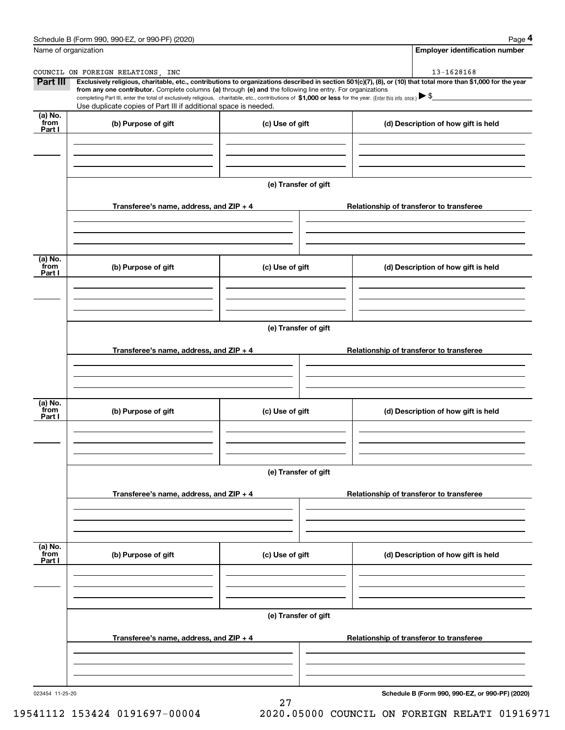|                           | Schedule B (Form 990, 990-EZ, or 990-PF) (2020)                                                                                                                                                                                 |                      | Page 4                                                                                                                                                         |  |  |  |
|---------------------------|---------------------------------------------------------------------------------------------------------------------------------------------------------------------------------------------------------------------------------|----------------------|----------------------------------------------------------------------------------------------------------------------------------------------------------------|--|--|--|
| Name of organization      |                                                                                                                                                                                                                                 |                      | <b>Employer identification number</b>                                                                                                                          |  |  |  |
|                           | COUNCIL ON FOREIGN RELATIONS, INC                                                                                                                                                                                               |                      | 13-1628168                                                                                                                                                     |  |  |  |
| <b>Part III</b>           | from any one contributor. Complete columns (a) through (e) and the following line entry. For organizations                                                                                                                      |                      | Exclusively religious, charitable, etc., contributions to organizations described in section 501(c)(7), (8), or (10) that total more than \$1,000 for the year |  |  |  |
|                           | completing Part III, enter the total of exclusively religious, charitable, etc., contributions of \$1,000 or less for the year. (Enter this info. once.) \\$<br>Use duplicate copies of Part III if additional space is needed. |                      |                                                                                                                                                                |  |  |  |
| (a) No.<br>from           | (b) Purpose of gift                                                                                                                                                                                                             | (c) Use of gift      | (d) Description of how gift is held                                                                                                                            |  |  |  |
| Part I                    |                                                                                                                                                                                                                                 |                      |                                                                                                                                                                |  |  |  |
|                           |                                                                                                                                                                                                                                 | (e) Transfer of gift |                                                                                                                                                                |  |  |  |
|                           | Transferee's name, address, and $ZIP + 4$                                                                                                                                                                                       |                      | Relationship of transferor to transferee                                                                                                                       |  |  |  |
| (a) No.<br>from           | (b) Purpose of gift                                                                                                                                                                                                             | (c) Use of gift      | (d) Description of how gift is held                                                                                                                            |  |  |  |
| Part I                    |                                                                                                                                                                                                                                 |                      |                                                                                                                                                                |  |  |  |
|                           |                                                                                                                                                                                                                                 | (e) Transfer of gift |                                                                                                                                                                |  |  |  |
|                           | Transferee's name, address, and ZIP + 4                                                                                                                                                                                         |                      | Relationship of transferor to transferee                                                                                                                       |  |  |  |
| (a) No.<br>from<br>Part I | (b) Purpose of gift                                                                                                                                                                                                             | (c) Use of gift      | (d) Description of how gift is held                                                                                                                            |  |  |  |
|                           |                                                                                                                                                                                                                                 | (e) Transfer of gift |                                                                                                                                                                |  |  |  |
|                           | Transferee's name, address, and $ZIP + 4$                                                                                                                                                                                       |                      | Relationship of transferor to transferee                                                                                                                       |  |  |  |
| (a) No.<br>from<br>Part I | (b) Purpose of gift                                                                                                                                                                                                             | (c) Use of gift      | (d) Description of how gift is held                                                                                                                            |  |  |  |
|                           |                                                                                                                                                                                                                                 |                      |                                                                                                                                                                |  |  |  |
|                           | Transferee's name, address, and $ZIP + 4$                                                                                                                                                                                       | (e) Transfer of gift | Relationship of transferor to transferee                                                                                                                       |  |  |  |
|                           |                                                                                                                                                                                                                                 |                      |                                                                                                                                                                |  |  |  |

27

023454 11-25-20

**Schedule B (Form 990, 990-EZ, or 990-PF) (2020)**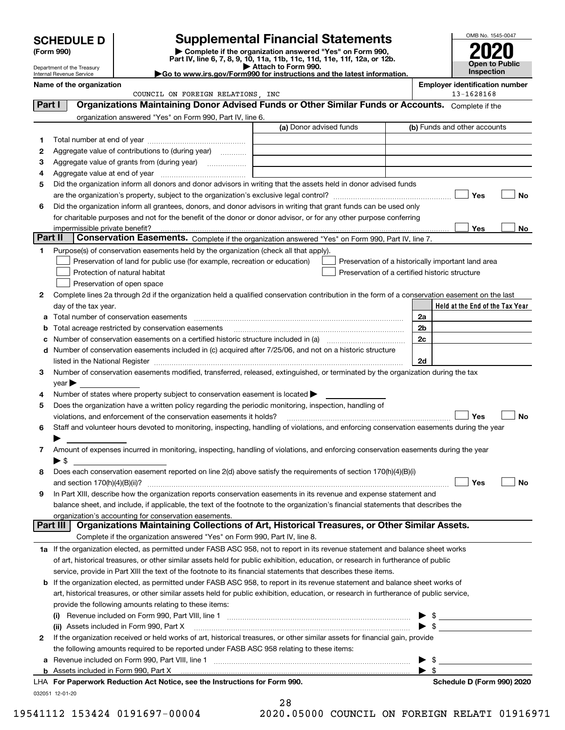|         | <b>SCHEDULE D</b>          |                                                                                                        | <b>Supplemental Financial Statements</b>                                                                                                                                                                                                                               | OMB No. 1545-0047                                   |                |
|---------|----------------------------|--------------------------------------------------------------------------------------------------------|------------------------------------------------------------------------------------------------------------------------------------------------------------------------------------------------------------------------------------------------------------------------|-----------------------------------------------------|----------------|
|         | (Form 990)                 |                                                                                                        |                                                                                                                                                                                                                                                                        |                                                     |                |
|         | Department of the Treasury |                                                                                                        | Part IV, line 6, 7, 8, 9, 10, 11a, 11b, 11c, 11d, 11e, 11f, 12a, or 12b.<br>Attach to Form 990.                                                                                                                                                                        |                                                     | Open to Public |
|         | Internal Revenue Service   | Inspection<br>Go to www.irs.gov/Form990 for instructions and the latest information.                   |                                                                                                                                                                                                                                                                        |                                                     |                |
|         | Name of the organization   | COUNCIL ON FOREIGN RELATIONS, INC                                                                      |                                                                                                                                                                                                                                                                        | <b>Employer identification number</b><br>13-1628168 |                |
| Part I  |                            |                                                                                                        | Organizations Maintaining Donor Advised Funds or Other Similar Funds or Accounts. Complete if the                                                                                                                                                                      |                                                     |                |
|         |                            | organization answered "Yes" on Form 990, Part IV, line 6.                                              |                                                                                                                                                                                                                                                                        |                                                     |                |
|         |                            |                                                                                                        | (a) Donor advised funds                                                                                                                                                                                                                                                | (b) Funds and other accounts                        |                |
| 1       |                            |                                                                                                        |                                                                                                                                                                                                                                                                        |                                                     |                |
| 2       |                            | Aggregate value of contributions to (during year)                                                      |                                                                                                                                                                                                                                                                        |                                                     |                |
| 3       |                            |                                                                                                        |                                                                                                                                                                                                                                                                        |                                                     |                |
| 4       |                            |                                                                                                        |                                                                                                                                                                                                                                                                        |                                                     |                |
| 5       |                            |                                                                                                        | Did the organization inform all donors and donor advisors in writing that the assets held in donor advised funds                                                                                                                                                       |                                                     |                |
|         |                            |                                                                                                        |                                                                                                                                                                                                                                                                        | Yes                                                 | <b>No</b>      |
| 6       |                            |                                                                                                        | Did the organization inform all grantees, donors, and donor advisors in writing that grant funds can be used only                                                                                                                                                      |                                                     |                |
|         |                            |                                                                                                        | for charitable purposes and not for the benefit of the donor or donor advisor, or for any other purpose conferring                                                                                                                                                     |                                                     |                |
| Part II |                            |                                                                                                        | Conservation Easements. Complete if the organization answered "Yes" on Form 990, Part IV, line 7.                                                                                                                                                                      | Yes                                                 | No             |
| 1       |                            | Purpose(s) of conservation easements held by the organization (check all that apply).                  |                                                                                                                                                                                                                                                                        |                                                     |                |
|         |                            | Preservation of land for public use (for example, recreation or education)                             |                                                                                                                                                                                                                                                                        | Preservation of a historically important land area  |                |
|         |                            | Protection of natural habitat                                                                          | Preservation of a certified historic structure                                                                                                                                                                                                                         |                                                     |                |
|         |                            | Preservation of open space                                                                             |                                                                                                                                                                                                                                                                        |                                                     |                |
| 2       |                            |                                                                                                        | Complete lines 2a through 2d if the organization held a qualified conservation contribution in the form of a conservation easement on the last                                                                                                                         |                                                     |                |
|         | day of the tax year.       |                                                                                                        |                                                                                                                                                                                                                                                                        | Held at the End of the Tax Year                     |                |
|         |                            |                                                                                                        |                                                                                                                                                                                                                                                                        | 2a                                                  |                |
| b       |                            | Total acreage restricted by conservation easements                                                     |                                                                                                                                                                                                                                                                        | 2b                                                  |                |
|         |                            |                                                                                                        | Number of conservation easements on a certified historic structure included in (a) manufacture included in (a)                                                                                                                                                         | 2c                                                  |                |
|         |                            |                                                                                                        | d Number of conservation easements included in (c) acquired after 7/25/06, and not on a historic structure                                                                                                                                                             |                                                     |                |
|         |                            |                                                                                                        | listed in the National Register [111] [12] The Marian Marian Marian Marian Marian Marian Marian Marian Marian M                                                                                                                                                        | 2d                                                  |                |
| з       |                            |                                                                                                        | Number of conservation easements modified, transferred, released, extinguished, or terminated by the organization during the tax                                                                                                                                       |                                                     |                |
|         | $year \blacktriangleright$ |                                                                                                        |                                                                                                                                                                                                                                                                        |                                                     |                |
| 4       |                            | Number of states where property subject to conservation easement is located $\blacktriangleright$      |                                                                                                                                                                                                                                                                        |                                                     |                |
| 5       |                            | Does the organization have a written policy regarding the periodic monitoring, inspection, handling of |                                                                                                                                                                                                                                                                        |                                                     |                |
|         |                            | violations, and enforcement of the conservation easements it holds?                                    |                                                                                                                                                                                                                                                                        | Yes                                                 | <b>No</b>      |
|         |                            |                                                                                                        | Staff and volunteer hours devoted to monitoring, inspecting, handling of violations, and enforcing conservation easements during the year                                                                                                                              |                                                     |                |
|         |                            |                                                                                                        |                                                                                                                                                                                                                                                                        |                                                     |                |
| 7       |                            |                                                                                                        | Amount of expenses incurred in monitoring, inspecting, handling of violations, and enforcing conservation easements during the year                                                                                                                                    |                                                     |                |
|         | $\blacktriangleright$ s    |                                                                                                        |                                                                                                                                                                                                                                                                        |                                                     |                |
| 8       |                            |                                                                                                        | Does each conservation easement reported on line 2(d) above satisfy the requirements of section 170(h)(4)(B)(i)                                                                                                                                                        |                                                     |                |
|         |                            |                                                                                                        |                                                                                                                                                                                                                                                                        | Yes                                                 | No             |
| 9       |                            |                                                                                                        | In Part XIII, describe how the organization reports conservation easements in its revenue and expense statement and                                                                                                                                                    |                                                     |                |
|         |                            |                                                                                                        | balance sheet, and include, if applicable, the text of the footnote to the organization's financial statements that describes the                                                                                                                                      |                                                     |                |
|         | Part III                   | organization's accounting for conservation easements.                                                  | Organizations Maintaining Collections of Art, Historical Treasures, or Other Similar Assets.                                                                                                                                                                           |                                                     |                |
|         |                            |                                                                                                        |                                                                                                                                                                                                                                                                        |                                                     |                |
|         |                            | Complete if the organization answered "Yes" on Form 990, Part IV, line 8.                              |                                                                                                                                                                                                                                                                        |                                                     |                |
|         |                            |                                                                                                        | 1a If the organization elected, as permitted under FASB ASC 958, not to report in its revenue statement and balance sheet works                                                                                                                                        |                                                     |                |
|         |                            |                                                                                                        | of art, historical treasures, or other similar assets held for public exhibition, education, or research in furtherance of public                                                                                                                                      |                                                     |                |
|         |                            |                                                                                                        | service, provide in Part XIII the text of the footnote to its financial statements that describes these items.                                                                                                                                                         |                                                     |                |
| b       |                            |                                                                                                        | If the organization elected, as permitted under FASB ASC 958, to report in its revenue statement and balance sheet works of<br>art, historical treasures, or other similar assets held for public exhibition, education, or research in furtherance of public service, |                                                     |                |
|         |                            |                                                                                                        |                                                                                                                                                                                                                                                                        |                                                     |                |
|         |                            | provide the following amounts relating to these items:                                                 |                                                                                                                                                                                                                                                                        |                                                     |                |
|         |                            | (ii) Assets included in Form 990, Part X                                                               |                                                                                                                                                                                                                                                                        | $\triangleright$ \$<br>► \$                         |                |
| 2       |                            |                                                                                                        | If the organization received or held works of art, historical treasures, or other similar assets for financial gain, provide                                                                                                                                           |                                                     |                |
|         |                            | the following amounts required to be reported under FASB ASC 958 relating to these items:              |                                                                                                                                                                                                                                                                        |                                                     |                |
| a       |                            |                                                                                                        |                                                                                                                                                                                                                                                                        | -\$                                                 |                |
|         |                            |                                                                                                        |                                                                                                                                                                                                                                                                        | - \$                                                |                |
|         |                            | LHA For Paperwork Reduction Act Notice, see the Instructions for Form 990.                             |                                                                                                                                                                                                                                                                        | Schedule D (Form 990) 2020                          |                |

032051 12-01-20

|  |      | 28 |     |  |
|--|------|----|-----|--|
|  | へへへへ |    | ΛE. |  |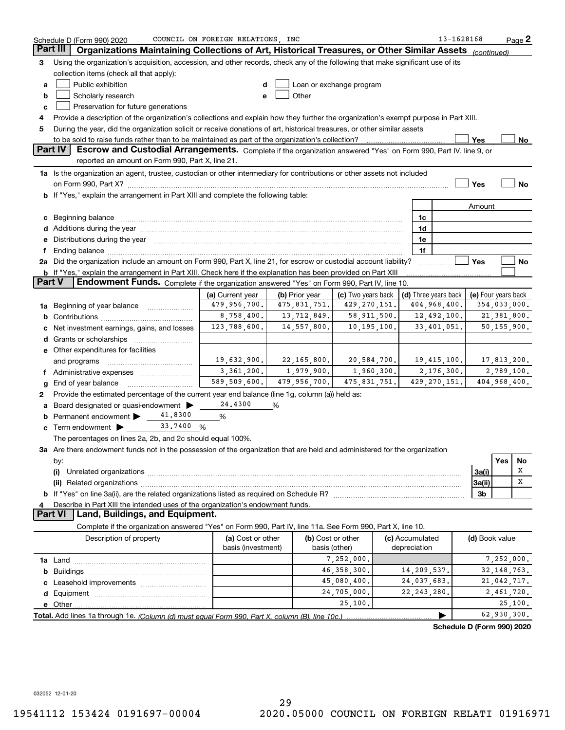|               | Schedule D (Form 990) 2020                                                                                                                                                                                                     | COUNCIL ON FOREIGN RELATIONS, INC |                |                                                                                                                                                                                                                                |                                            | 13-1628168     | Page 2                     |
|---------------|--------------------------------------------------------------------------------------------------------------------------------------------------------------------------------------------------------------------------------|-----------------------------------|----------------|--------------------------------------------------------------------------------------------------------------------------------------------------------------------------------------------------------------------------------|--------------------------------------------|----------------|----------------------------|
|               | Part III<br>Organizations Maintaining Collections of Art, Historical Treasures, or Other Similar Assets (continued)                                                                                                            |                                   |                |                                                                                                                                                                                                                                |                                            |                |                            |
| 3             | Using the organization's acquisition, accession, and other records, check any of the following that make significant use of its                                                                                                |                                   |                |                                                                                                                                                                                                                                |                                            |                |                            |
|               | collection items (check all that apply):                                                                                                                                                                                       |                                   |                |                                                                                                                                                                                                                                |                                            |                |                            |
| a             | Public exhibition                                                                                                                                                                                                              |                                   |                | Loan or exchange program                                                                                                                                                                                                       |                                            |                |                            |
| b             | Scholarly research                                                                                                                                                                                                             | e                                 |                | Other the contract of the contract of the contract of the contract of the contract of the contract of the contract of the contract of the contract of the contract of the contract of the contract of the contract of the cont |                                            |                |                            |
| c             | Preservation for future generations                                                                                                                                                                                            |                                   |                |                                                                                                                                                                                                                                |                                            |                |                            |
| 4             | Provide a description of the organization's collections and explain how they further the organization's exempt purpose in Part XIII.                                                                                           |                                   |                |                                                                                                                                                                                                                                |                                            |                |                            |
| 5             | During the year, did the organization solicit or receive donations of art, historical treasures, or other similar assets                                                                                                       |                                   |                |                                                                                                                                                                                                                                |                                            |                |                            |
|               |                                                                                                                                                                                                                                |                                   |                |                                                                                                                                                                                                                                |                                            | <b>Yes</b>     | No                         |
|               | Part IV<br>Escrow and Custodial Arrangements. Complete if the organization answered "Yes" on Form 990, Part IV, line 9, or                                                                                                     |                                   |                |                                                                                                                                                                                                                                |                                            |                |                            |
|               | reported an amount on Form 990, Part X, line 21.                                                                                                                                                                               |                                   |                |                                                                                                                                                                                                                                |                                            |                |                            |
|               | 1a Is the organization an agent, trustee, custodian or other intermediary for contributions or other assets not included                                                                                                       |                                   |                |                                                                                                                                                                                                                                |                                            |                |                            |
|               | on Form 990, Part X? [11] matter contracts and contracts and contracts are contracted as a function of the set of the set of the set of the set of the set of the set of the set of the set of the set of the set of the set o |                                   |                |                                                                                                                                                                                                                                |                                            | Yes            | No                         |
|               | b If "Yes," explain the arrangement in Part XIII and complete the following table:                                                                                                                                             |                                   |                |                                                                                                                                                                                                                                |                                            |                |                            |
|               |                                                                                                                                                                                                                                |                                   |                |                                                                                                                                                                                                                                |                                            |                |                            |
|               |                                                                                                                                                                                                                                |                                   |                |                                                                                                                                                                                                                                |                                            | Amount         |                            |
|               | c Beginning balance                                                                                                                                                                                                            |                                   |                |                                                                                                                                                                                                                                | 1c                                         |                |                            |
|               | d Additions during the year measurement contains and a state of the year measurement of the year measurement of                                                                                                                |                                   |                |                                                                                                                                                                                                                                | 1d                                         |                |                            |
| е             | Distributions during the year manufactured and an account of the state of the state of the state of the state o                                                                                                                |                                   |                |                                                                                                                                                                                                                                | 1e                                         |                |                            |
| f             |                                                                                                                                                                                                                                |                                   |                |                                                                                                                                                                                                                                | 1f                                         |                |                            |
|               | 2a Did the organization include an amount on Form 990, Part X, line 21, for escrow or custodial account liability?                                                                                                             |                                   |                |                                                                                                                                                                                                                                |                                            | <b>Yes</b>     | No                         |
| <b>Part V</b> | b If "Yes," explain the arrangement in Part XIII. Check here if the explanation has been provided on Part XIII                                                                                                                 |                                   |                |                                                                                                                                                                                                                                |                                            |                |                            |
|               | Endowment Funds. Complete if the organization answered "Yes" on Form 990, Part IV, line 10.                                                                                                                                    |                                   |                |                                                                                                                                                                                                                                |                                            |                |                            |
|               |                                                                                                                                                                                                                                | (a) Current year                  | (b) Prior year | (c) Two vears back                                                                                                                                                                                                             | (d) Three years back   (e) Four years back |                |                            |
|               | <b>1a</b> Beginning of year balance <i>manument</i>                                                                                                                                                                            | 479,956,700.                      | 475,831,751.   | 429, 270, 151.                                                                                                                                                                                                                 | 404,968,400.                               |                | 354,033,000.               |
| b             |                                                                                                                                                                                                                                | 8,758,400.                        | 13,712,849.    | 58,911,500.                                                                                                                                                                                                                    | 12,492,100.                                |                | 21, 381, 800.              |
| с             | Net investment earnings, gains, and losses                                                                                                                                                                                     | 123,788,600.                      | 14,557,800.    | 10, 195, 100.                                                                                                                                                                                                                  | 33,401,051.                                |                | 50, 155, 900.              |
|               |                                                                                                                                                                                                                                |                                   |                |                                                                                                                                                                                                                                |                                            |                |                            |
|               | e Other expenditures for facilities                                                                                                                                                                                            |                                   |                |                                                                                                                                                                                                                                |                                            |                |                            |
|               | and programs                                                                                                                                                                                                                   |                                   |                | $19,632,900.$ 22,165,800. 20,584,700.                                                                                                                                                                                          | 19,415,100.                                |                | 17,813,200.                |
|               | f Administrative expenses                                                                                                                                                                                                      | 3,361,200.                        | 1,979,900.     | 1,960,300.                                                                                                                                                                                                                     | 2, 176, 300.                               |                | 2,789,100.                 |
| g             | End of year balance                                                                                                                                                                                                            | 589, 509, 600.                    | 479,956,700.   | 475,831,751.                                                                                                                                                                                                                   | 429, 270, 151.                             |                | 404,968,400.               |
| 2             | Provide the estimated percentage of the current year end balance (line 1g, column (a)) held as:                                                                                                                                |                                   |                |                                                                                                                                                                                                                                |                                            |                |                            |
| a             | Board designated or quasi-endowment                                                                                                                                                                                            | 24,4300                           | %              |                                                                                                                                                                                                                                |                                            |                |                            |
| b             | 41,8300<br>Permanent endowment >                                                                                                                                                                                               | %                                 |                |                                                                                                                                                                                                                                |                                            |                |                            |
|               | <b>c</b> Term endowment $\triangleright$ 33.7400 %                                                                                                                                                                             |                                   |                |                                                                                                                                                                                                                                |                                            |                |                            |
|               | The percentages on lines 2a, 2b, and 2c should equal 100%.                                                                                                                                                                     |                                   |                |                                                                                                                                                                                                                                |                                            |                |                            |
|               | 3a Are there endowment funds not in the possession of the organization that are held and administered for the organization                                                                                                     |                                   |                |                                                                                                                                                                                                                                |                                            |                |                            |
|               | by:                                                                                                                                                                                                                            |                                   |                |                                                                                                                                                                                                                                |                                            |                | Yes<br>No                  |
|               | (i)                                                                                                                                                                                                                            |                                   |                |                                                                                                                                                                                                                                |                                            | 3a(i)          | х                          |
|               |                                                                                                                                                                                                                                |                                   |                |                                                                                                                                                                                                                                |                                            | 3a(ii)         | х                          |
|               |                                                                                                                                                                                                                                |                                   |                |                                                                                                                                                                                                                                |                                            | 3b             |                            |
| 4             | Describe in Part XIII the intended uses of the organization's endowment funds.                                                                                                                                                 |                                   |                |                                                                                                                                                                                                                                |                                            |                |                            |
|               | Land, Buildings, and Equipment.<br><b>Part VI</b>                                                                                                                                                                              |                                   |                |                                                                                                                                                                                                                                |                                            |                |                            |
|               | Complete if the organization answered "Yes" on Form 990, Part IV, line 11a. See Form 990, Part X, line 10.                                                                                                                     |                                   |                |                                                                                                                                                                                                                                |                                            |                |                            |
|               | Description of property                                                                                                                                                                                                        | (a) Cost or other                 |                | (b) Cost or other                                                                                                                                                                                                              | (c) Accumulated                            | (d) Book value |                            |
|               |                                                                                                                                                                                                                                | basis (investment)                |                | basis (other)                                                                                                                                                                                                                  | depreciation                               |                |                            |
|               |                                                                                                                                                                                                                                |                                   |                | 7,252,000.                                                                                                                                                                                                                     |                                            |                | 7,252,000.                 |
|               |                                                                                                                                                                                                                                |                                   |                | 46, 358, 300.                                                                                                                                                                                                                  | 14,209,537.                                |                | 32, 148, 763.              |
|               |                                                                                                                                                                                                                                |                                   |                | 45,080,400.                                                                                                                                                                                                                    | 24,037,683.                                |                | 21,042,717.                |
|               |                                                                                                                                                                                                                                |                                   |                | 24,705,000.                                                                                                                                                                                                                    | 22, 243, 280.                              |                | 2,461,720.                 |
|               |                                                                                                                                                                                                                                |                                   |                | 25,100.                                                                                                                                                                                                                        |                                            |                | 25,100.                    |
|               |                                                                                                                                                                                                                                |                                   |                |                                                                                                                                                                                                                                |                                            |                | 62,930,300.                |
|               |                                                                                                                                                                                                                                |                                   |                |                                                                                                                                                                                                                                |                                            |                |                            |
|               |                                                                                                                                                                                                                                |                                   |                |                                                                                                                                                                                                                                |                                            |                | Schedule D (Form 990) 2020 |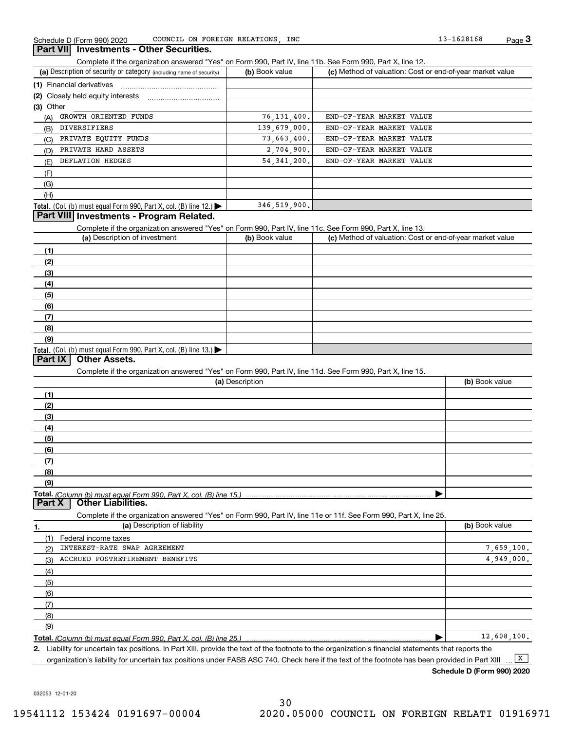COUNCIL ON FOREIGN RELATIONS,

### **Part VII Investments - Other Securities.**

Complete if the organization answered "Yes" on Form 990, Part IV, line 11b. See Form 990, Part X, line 12.

| (a) Description of security or category (including name of security)       | (b) Book value | (c) Method of valuation: Cost or end-of-year market value |
|----------------------------------------------------------------------------|----------------|-----------------------------------------------------------|
| (1) Financial derivatives                                                  |                |                                                           |
| (2) Closely held equity interests                                          |                |                                                           |
| (3) Other                                                                  |                |                                                           |
| GROWTH ORIENTED FUNDS<br>(A)                                               | 76, 131, 400.  | END-OF-YEAR MARKET VALUE                                  |
| DIVERSIFIERS<br>(B)                                                        | 139,679,000.   | END-OF-YEAR MARKET VALUE                                  |
| PRIVATE EQUITY FUNDS<br>(C)                                                | 73,663,400.    | END-OF-YEAR MARKET VALUE                                  |
| PRIVATE HARD ASSETS<br>(D)                                                 | 2,704,900.     | END-OF-YEAR MARKET VALUE                                  |
| DEFLATION HEDGES<br>(E)                                                    | 54.341.200.    | END-OF-YEAR MARKET VALUE                                  |
| (F)                                                                        |                |                                                           |
| (G)                                                                        |                |                                                           |
| (H)                                                                        |                |                                                           |
| <b>Total.</b> (Col. (b) must equal Form 990, Part X, col. (B) line $12$ .) | 346, 519, 900. |                                                           |

## **Part VIII Investments - Program Related.**

Complete if the organization answered "Yes" on Form 990, Part IV, line 11c. See Form 990, Part X, line 13.

| (a) Description of investment                                       | (b) Book value | (c) Method of valuation: Cost or end-of-year market value |
|---------------------------------------------------------------------|----------------|-----------------------------------------------------------|
| (1)                                                                 |                |                                                           |
| (2)                                                                 |                |                                                           |
| $\frac{1}{2}$                                                       |                |                                                           |
| (4)                                                                 |                |                                                           |
| (5)                                                                 |                |                                                           |
| (6)                                                                 |                |                                                           |
| (7)                                                                 |                |                                                           |
| (8)                                                                 |                |                                                           |
| (9)                                                                 |                |                                                           |
| Total. (Col. (b) must equal Form 990, Part X, col. (B) line $13.$ ) |                |                                                           |

## **Part IX Other Assets.**

Complete if the organization answered "Yes" on Form 990, Part IV, line 11d. See Form 990, Part X, line 15.

| (a) Description                                                                                                                       | (b) Book value |
|---------------------------------------------------------------------------------------------------------------------------------------|----------------|
|                                                                                                                                       |                |
| (2)                                                                                                                                   |                |
| (3)                                                                                                                                   |                |
| (4)                                                                                                                                   |                |
| (5)                                                                                                                                   |                |
| (6)                                                                                                                                   |                |
|                                                                                                                                       |                |
| (8)                                                                                                                                   |                |
| (9)                                                                                                                                   |                |
|                                                                                                                                       |                |
| Total. (Column (b) must equal Form 990, Part X, col. (B) line 15.) ………………………………………………………………………………………<br>  Part X   Other Liabilities. |                |

Complete if the organization answered "Yes" on Form 990, Part IV, line 11e or 11f. See Form 990, Part X, line 25.

| 1.  | (a) Description of liability    | (b) Book value |
|-----|---------------------------------|----------------|
|     | (1) Federal income taxes        |                |
| (2) | INTEREST-RATE SWAP AGREEMENT    | 7,659,100.     |
| (3) | ACCRUED POSTRETIREMENT BENEFITS | 4.949.000.     |
| (4) |                                 |                |
| (5) |                                 |                |
| (6) |                                 |                |
| (7) |                                 |                |
| (8) |                                 |                |
| (9) |                                 |                |
|     |                                 | 12,608,100.    |

**2.**Liability for uncertain tax positions. In Part XIII, provide the text of the footnote to the organization's financial statements that reports the organization's liability for uncertain tax positions under FASB ASC 740. Check here if the text of the footnote has been provided in Part XIII  $\boxed{\mathbf{X}}$ 

032053 12-01-20

**Schedule D (Form 990) 2020**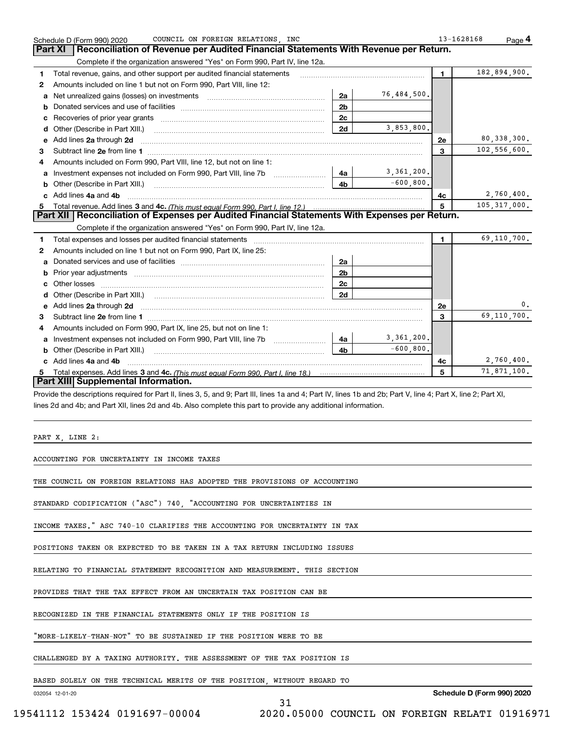|   | COUNCIL ON FOREIGN RELATIONS, INC<br>Schedule D (Form 990) 2020                                                                                                |                |              | 13-1628168 | $Page$ <sup>4</sup>        |    |
|---|----------------------------------------------------------------------------------------------------------------------------------------------------------------|----------------|--------------|------------|----------------------------|----|
|   | Reconciliation of Revenue per Audited Financial Statements With Revenue per Return.<br>Part XI                                                                 |                |              |            |                            |    |
|   | Complete if the organization answered "Yes" on Form 990, Part IV, line 12a.                                                                                    |                |              |            |                            |    |
| 1 | Total revenue, gains, and other support per audited financial statements                                                                                       |                |              | 1          | 182,894,900.               |    |
| 2 | Amounts included on line 1 but not on Form 990, Part VIII, line 12:                                                                                            |                |              |            |                            |    |
| а | Net unrealized gains (losses) on investments [11] matter contracts and the unrealized gains (losses) on investments                                            | 2a             | 76,484,500.  |            |                            |    |
| b |                                                                                                                                                                | 2 <sub>b</sub> |              |            |                            |    |
| с |                                                                                                                                                                | 2c             |              |            |                            |    |
| d |                                                                                                                                                                | 2d             | 3,853,800.   |            |                            |    |
| е | Add lines 2a through 2d                                                                                                                                        |                |              | 2e         | 80, 338, 300.              |    |
| 3 |                                                                                                                                                                |                |              | 3          | 102,556,600.               |    |
| 4 | Amounts included on Form 990, Part VIII, line 12, but not on line 1:                                                                                           |                |              |            |                            |    |
| а | Investment expenses not included on Form 990, Part VIII, line 7b                                                                                               | 4a             | 3,361,200.   |            |                            |    |
| b | Other (Describe in Part XIII.) <b>Construction Contract Construction</b> Chemistry Chemistry Chemistry Chemistry Chemistry                                     | 4 <sub>b</sub> | $-600, 800.$ |            |                            |    |
|   | Add lines 4a and 4b                                                                                                                                            |                |              | 4c         | 2,760,400.                 |    |
|   |                                                                                                                                                                |                |              | 5          | 105, 317, 000.             |    |
|   | Part XII   Reconciliation of Expenses per Audited Financial Statements With Expenses per Return.                                                               |                |              |            |                            |    |
|   | Complete if the organization answered "Yes" on Form 990, Part IV, line 12a.                                                                                    |                |              |            |                            |    |
| 1 | Total expenses and losses per audited financial statements                                                                                                     |                |              | 1.         | 69,110,700.                |    |
| 2 | Amounts included on line 1 but not on Form 990, Part IX, line 25:                                                                                              |                |              |            |                            |    |
| а |                                                                                                                                                                | 2a             |              |            |                            |    |
| b |                                                                                                                                                                | 2 <sub>b</sub> |              |            |                            |    |
| c | Other losses                                                                                                                                                   | 2c             |              |            |                            |    |
| d |                                                                                                                                                                | 2d             |              |            |                            |    |
| е | Add lines 2a through 2d                                                                                                                                        |                |              | 2e         |                            | 0. |
| 3 |                                                                                                                                                                |                |              | 3          | 69,110,700.                |    |
| 4 | Amounts included on Form 990, Part IX, line 25, but not on line 1:                                                                                             |                |              |            |                            |    |
| а | Investment expenses not included on Form 990, Part VIII, line 7b                                                                                               | 4a             | 3,361,200.   |            |                            |    |
| b |                                                                                                                                                                | 4 <sub>b</sub> | $-600, 800.$ |            |                            |    |
|   | c Add lines 4a and 4b                                                                                                                                          |                |              | 4c         | 2,760,400.                 |    |
|   |                                                                                                                                                                |                |              | 5          | 71,871,100.                |    |
|   | Part XIII Supplemental Information.                                                                                                                            |                |              |            |                            |    |
|   | Provide the descriptions required for Part II, lines 3, 5, and 9; Part III, lines 1a and 4; Part IV, lines 1b and 2b; Part V, line 4; Part X, line 2; Part XI, |                |              |            |                            |    |
|   | lines 2d and 4b; and Part XII, lines 2d and 4b. Also complete this part to provide any additional information.                                                 |                |              |            |                            |    |
|   |                                                                                                                                                                |                |              |            |                            |    |
|   |                                                                                                                                                                |                |              |            |                            |    |
|   | PART X, LINE 2:                                                                                                                                                |                |              |            |                            |    |
|   |                                                                                                                                                                |                |              |            |                            |    |
|   | ACCOUNTING FOR UNCERTAINTY IN INCOME TAXES                                                                                                                     |                |              |            |                            |    |
|   |                                                                                                                                                                |                |              |            |                            |    |
|   | THE COUNCIL ON FOREIGN RELATIONS HAS ADOPTED THE PROVISIONS OF ACCOUNTING                                                                                      |                |              |            |                            |    |
|   |                                                                                                                                                                |                |              |            |                            |    |
|   | STANDARD CODIFICATION ("ASC") 740, "ACCOUNTING FOR UNCERTAINTIES IN                                                                                            |                |              |            |                            |    |
|   |                                                                                                                                                                |                |              |            |                            |    |
|   | INCOME TAXES." ASC 740-10 CLARIFIES THE ACCOUNTING FOR UNCERTAINTY IN TAX                                                                                      |                |              |            |                            |    |
|   |                                                                                                                                                                |                |              |            |                            |    |
|   | POSITIONS TAKEN OR EXPECTED TO BE TAKEN IN A TAX RETURN INCLUDING ISSUES                                                                                       |                |              |            |                            |    |
|   |                                                                                                                                                                |                |              |            |                            |    |
|   | RELATING TO FINANCIAL STATEMENT RECOGNITION AND MEASUREMENT. THIS SECTION                                                                                      |                |              |            |                            |    |
|   |                                                                                                                                                                |                |              |            |                            |    |
|   | PROVIDES THAT THE TAX EFFECT FROM AN UNCERTAIN TAX POSITION CAN BE                                                                                             |                |              |            |                            |    |
|   | RECOGNIZED IN THE FINANCIAL STATEMENTS ONLY IF THE POSITION IS                                                                                                 |                |              |            |                            |    |
|   |                                                                                                                                                                |                |              |            |                            |    |
|   | "MORE-LIKELY-THAN-NOT" TO BE SUSTAINED IF THE POSITION WERE TO BE                                                                                              |                |              |            |                            |    |
|   |                                                                                                                                                                |                |              |            |                            |    |
|   | CHALLENGED BY A TAXING AUTHORITY. THE ASSESSMENT OF THE TAX POSITION IS                                                                                        |                |              |            |                            |    |
|   |                                                                                                                                                                |                |              |            |                            |    |
|   | BASED SOLELY ON THE TECHNICAL MERITS OF THE POSITION, WITHOUT REGARD TO                                                                                        |                |              |            |                            |    |
|   | 032054 12-01-20                                                                                                                                                |                |              |            | Schedule D (Form 990) 2020 |    |
|   | 31                                                                                                                                                             |                |              |            |                            |    |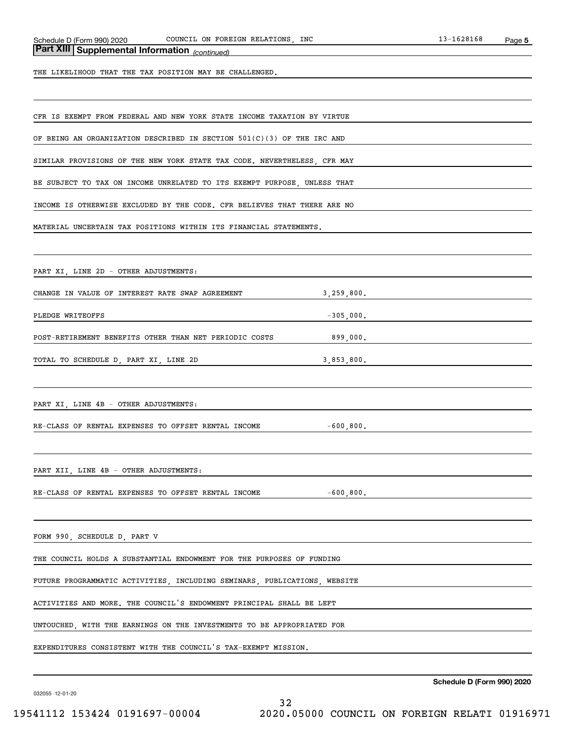# *(continued)* **Part XIII Supplemental Information**

THE LIKELIHOOD THAT THE TAX POSITION MAY BE CHALLENGED.

CFR IS EXEMPT FROM FEDERAL AND NEW YORK STATE INCOME TAXATION BY VIRTUE

OF BEING AN ORGANIZATION DESCRIBED IN SECTION 501(C)(3) OF THE IRC AND

SIMILAR PROVISIONS OF THE NEW YORK STATE TAX CODE. NEVERTHELESS, CFR MAY

BE SUBJECT TO TAX ON INCOME UNRELATED TO ITS EXEMPT PURPOSE, UNLESS THAT

INCOME IS OTHERWISE EXCLUDED BY THE CODE. CFR BELIEVES THAT THERE ARE NO

MATERIAL UNCERTAIN TAX POSITIONS WITHIN ITS FINANCIAL STATEMENTS.

PART XI, LINE 2D - OTHER ADJUSTMENTS:

CHANGE IN VALUE OF INTEREST RATE SWAP AGREEMENT 3,259,800.

PLEDGE WRITEOFFS -305,000.

POST-RETIREMENT BENEFITS OTHER THAN NET PERIODIC COSTS 899,000.

TOTAL TO SCHEDULE D, PART XI, LINE 2D 3,853,800.

PART XI, LINE 4B - OTHER ADJUSTMENTS:

RE-CLASS OF RENTAL EXPENSES TO OFFSET RENTAL INCOME  $-600,800$ .

PART XII, LINE 4B - OTHER ADJUSTMENTS:

RE-CLASS OF RENTAL EXPENSES TO OFFSET RENTAL INCOME -600,800.

FORM 990, SCHEDULE D, PART V

THE COUNCIL HOLDS A SUBSTANTIAL ENDOWMENT FOR THE PURPOSES OF FUNDING

FUTURE PROGRAMMATIC ACTIVITIES, INCLUDING SEMINARS, PUBLICATIONS, WEBSITE

ACTIVITIES AND MORE. THE COUNCIL'S ENDOWMENT PRINCIPAL SHALL BE LEFT

UNTOUCHED, WITH THE EARNINGS ON THE INVESTMENTS TO BE APPROPRIATED FOR

EXPENDITURES CONSISTENT WITH THE COUNCIL'S TAX-EXEMPT MISSION.

032055 12-01-20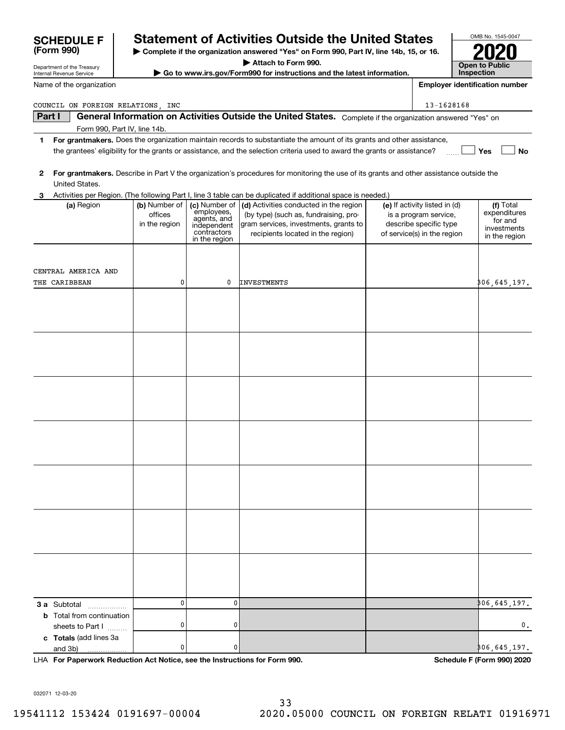| Internal Revenue Service          |                          |                               | $\triangleright$ Go to www.irs.gov/Form990 for instructions and the latest information.                                                 |                                                        | Inspection                            |
|-----------------------------------|--------------------------|-------------------------------|-----------------------------------------------------------------------------------------------------------------------------------------|--------------------------------------------------------|---------------------------------------|
| Name of the organization          |                          |                               |                                                                                                                                         |                                                        | <b>Employer identification number</b> |
| COUNCIL ON FOREIGN RELATIONS, INC |                          |                               |                                                                                                                                         | 13-1628168                                             |                                       |
| Part I                            |                          |                               | General Information on Activities Outside the United States. Complete if the organization answered "Yes" on                             |                                                        |                                       |
| Form 990, Part IV, line 14b.      |                          |                               |                                                                                                                                         |                                                        |                                       |
| 1                                 |                          |                               | For grantmakers. Does the organization maintain records to substantiate the amount of its grants and other assistance,                  |                                                        |                                       |
|                                   |                          |                               | the grantees' eligibility for the grants or assistance, and the selection criteria used to award the grants or assistance?              |                                                        | Yes<br>No                             |
| 2                                 |                          |                               | For grantmakers. Describe in Part V the organization's procedures for monitoring the use of its grants and other assistance outside the |                                                        |                                       |
| United States.                    |                          |                               |                                                                                                                                         |                                                        |                                       |
| 3                                 |                          |                               | Activities per Region. (The following Part I, line 3 table can be duplicated if additional space is needed.)                            |                                                        |                                       |
| (a) Region                        | (b) Number of<br>offices | (c) Number of  <br>employees, | (d) Activities conducted in the region<br>(by type) (such as, fundraising, pro-                                                         | (e) If activity listed in (d)<br>is a program service, | (f) Total<br>expenditures             |
|                                   | in the region            | agents, and<br>independent    | gram services, investments, grants to                                                                                                   | describe specific type                                 | for and                               |
|                                   |                          | contractors<br>in the region  | recipients located in the region)                                                                                                       | of service(s) in the region                            | investments<br>in the region          |
|                                   |                          |                               |                                                                                                                                         |                                                        |                                       |
|                                   |                          |                               |                                                                                                                                         |                                                        |                                       |
| CENTRAL AMERICA AND               |                          |                               |                                                                                                                                         |                                                        |                                       |
| THE CARIBBEAN                     | 0                        | 0                             | INVESTMENTS                                                                                                                             |                                                        | ,197, 106, 145                        |
|                                   |                          |                               |                                                                                                                                         |                                                        |                                       |
|                                   |                          |                               |                                                                                                                                         |                                                        |                                       |
|                                   |                          |                               |                                                                                                                                         |                                                        |                                       |
|                                   |                          |                               |                                                                                                                                         |                                                        |                                       |
|                                   |                          |                               |                                                                                                                                         |                                                        |                                       |
|                                   |                          |                               |                                                                                                                                         |                                                        |                                       |
|                                   |                          |                               |                                                                                                                                         |                                                        |                                       |
|                                   |                          |                               |                                                                                                                                         |                                                        |                                       |
|                                   |                          |                               |                                                                                                                                         |                                                        |                                       |
|                                   |                          |                               |                                                                                                                                         |                                                        |                                       |
|                                   |                          |                               |                                                                                                                                         |                                                        |                                       |
|                                   |                          |                               |                                                                                                                                         |                                                        |                                       |
|                                   |                          |                               |                                                                                                                                         |                                                        |                                       |
|                                   |                          |                               |                                                                                                                                         |                                                        |                                       |
|                                   |                          |                               |                                                                                                                                         |                                                        |                                       |
|                                   |                          |                               |                                                                                                                                         |                                                        |                                       |
|                                   |                          |                               |                                                                                                                                         |                                                        |                                       |
|                                   |                          |                               |                                                                                                                                         |                                                        |                                       |
|                                   |                          |                               |                                                                                                                                         |                                                        |                                       |
|                                   |                          |                               |                                                                                                                                         |                                                        |                                       |
|                                   |                          |                               |                                                                                                                                         |                                                        |                                       |
|                                   |                          |                               |                                                                                                                                         |                                                        |                                       |
|                                   |                          |                               |                                                                                                                                         |                                                        |                                       |
| 3 a Subtotal<br>.                 | 0                        | 0                             |                                                                                                                                         |                                                        | ,406,645,197,                         |
| <b>b</b> Total from continuation  |                          |                               |                                                                                                                                         |                                                        |                                       |
| sheets to Part I                  | 0                        | 0                             |                                                                                                                                         |                                                        | 0.                                    |
| c Totals (add lines 3a            |                          |                               |                                                                                                                                         |                                                        |                                       |

**For Paperwork Reduction Act Notice, see the Instructions for Form 990. Schedule F (Form 990) 2020** LHA

0

 $|0|$ 

032071 12-03-20

and 3b)

Department of the Treasury

**(Form 990)**

306,645,197.

# **SCHEDULE F Statement of Activities Outside the United States**

**| Complete if the organization answered "Yes" on Form 990, Part IV, line 14b, 15, or 16.**

OMB No. 1545-0047

**2020**

**Open to Public** 

**| Attach to Form 990.**

**| Go to www.irs.gov/Form990 for instructions and the latest information.**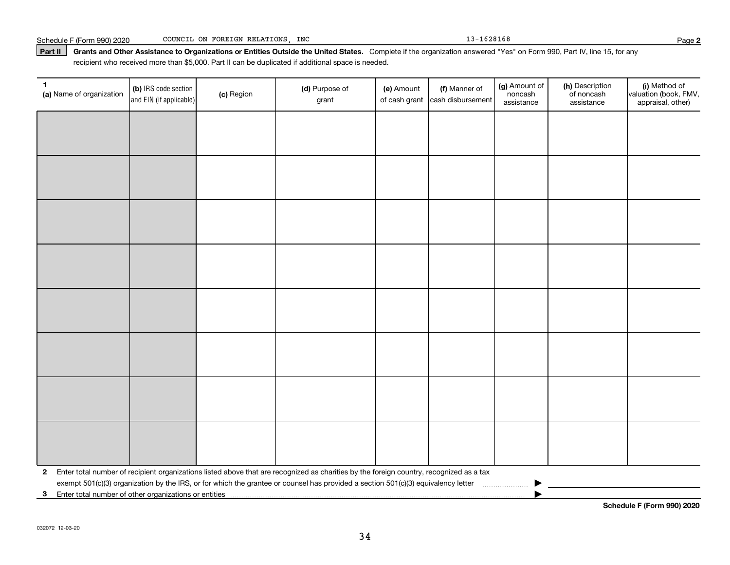#### Part II | Grants and Other Assistance to Organizations or Entities Outside the United States. Complete if the organization answered "Yes" on Form 990, Part IV, line 15, for any recipient who received more than \$5,000. Part II can be duplicated if additional space is needed.

| 1<br>(a) Name of organization | (b) IRS code section<br>and EIN (if applicable) | (c) Region | (d) Purpose of<br>grant                                                                                                                 | (e) Amount<br>of cash grant | (f) Manner of<br>cash disbursement | (g) Amount of<br>noncash<br>assistance | (h) Description<br>of noncash<br>assistance | (i) Method of<br>valuation (book, FMV,<br>appraisal, other) |
|-------------------------------|-------------------------------------------------|------------|-----------------------------------------------------------------------------------------------------------------------------------------|-----------------------------|------------------------------------|----------------------------------------|---------------------------------------------|-------------------------------------------------------------|
|                               |                                                 |            |                                                                                                                                         |                             |                                    |                                        |                                             |                                                             |
|                               |                                                 |            |                                                                                                                                         |                             |                                    |                                        |                                             |                                                             |
|                               |                                                 |            |                                                                                                                                         |                             |                                    |                                        |                                             |                                                             |
|                               |                                                 |            |                                                                                                                                         |                             |                                    |                                        |                                             |                                                             |
|                               |                                                 |            |                                                                                                                                         |                             |                                    |                                        |                                             |                                                             |
|                               |                                                 |            |                                                                                                                                         |                             |                                    |                                        |                                             |                                                             |
|                               |                                                 |            |                                                                                                                                         |                             |                                    |                                        |                                             |                                                             |
|                               |                                                 |            |                                                                                                                                         |                             |                                    |                                        |                                             |                                                             |
|                               |                                                 |            |                                                                                                                                         |                             |                                    |                                        |                                             |                                                             |
|                               |                                                 |            |                                                                                                                                         |                             |                                    |                                        |                                             |                                                             |
|                               |                                                 |            |                                                                                                                                         |                             |                                    |                                        |                                             |                                                             |
|                               |                                                 |            |                                                                                                                                         |                             |                                    |                                        |                                             |                                                             |
|                               |                                                 |            |                                                                                                                                         |                             |                                    |                                        |                                             |                                                             |
|                               |                                                 |            |                                                                                                                                         |                             |                                    |                                        |                                             |                                                             |
|                               |                                                 |            |                                                                                                                                         |                             |                                    |                                        |                                             |                                                             |
|                               |                                                 |            |                                                                                                                                         |                             |                                    |                                        |                                             |                                                             |
| $\mathbf{2}$                  |                                                 |            | Enter total number of recipient organizations listed above that are recognized as charities by the foreign country, recognized as a tax |                             |                                    |                                        |                                             |                                                             |
|                               |                                                 |            |                                                                                                                                         |                             |                                    |                                        |                                             |                                                             |
| $\mathbf{3}$                  |                                                 |            |                                                                                                                                         |                             |                                    |                                        |                                             |                                                             |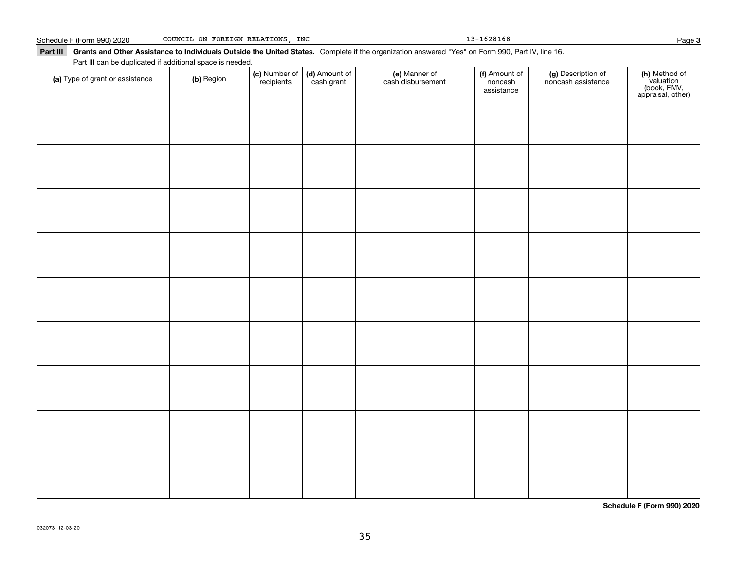| Schedule F (Form 990) 2020 |  |  |  | COUNCIL ON FOREIGN RELATIONS INC |  |
|----------------------------|--|--|--|----------------------------------|--|
|----------------------------|--|--|--|----------------------------------|--|

 $13 - 1628168$ 

assistance

**3**

**(h)** Method of<br>valuation<br>(book, FMV,<br>appraisal, other)

#### Part III Grants and Other Assistance to Individuals Outside the United States. Complete if the organization answered "Yes" on Form 990, Part IV, line 16. **(c)** Number of **| (d)** Amount of **| (e)** Manner of **| (f)** Amount of **| (g)** Description of **| (h) (a)** Type of grant or assistance  $\qquad$  **(b)** Region Part III can be duplicated if additional space is needed. (c) Number of recipients(d) Amount of cash grant (e) Manner of cash disbursement (f) Amount of noncashnoncash assistance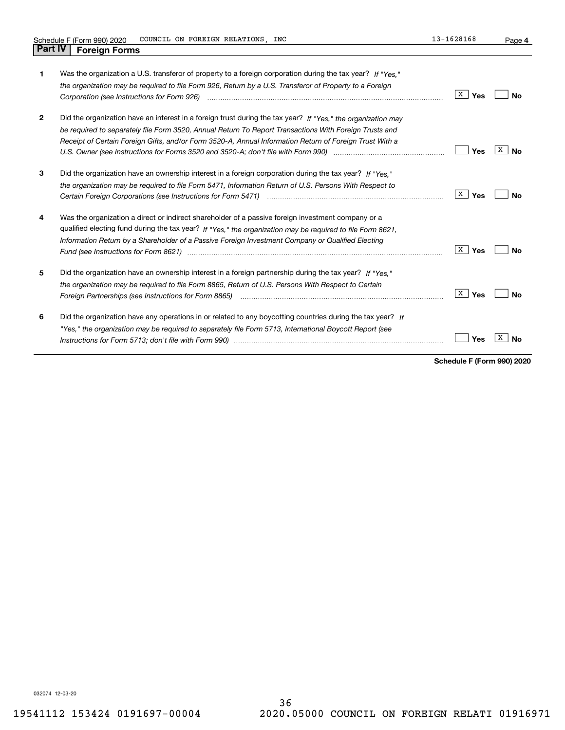**4**

| 1            | Was the organization a U.S. transferor of property to a foreign corporation during the tax year? If "Yes."<br>the organization may be required to file Form 926, Return by a U.S. Transferor of Property to a Foreign                                                                                                                                                                                                                   | X<br>Yes            | Nο      |
|--------------|-----------------------------------------------------------------------------------------------------------------------------------------------------------------------------------------------------------------------------------------------------------------------------------------------------------------------------------------------------------------------------------------------------------------------------------------|---------------------|---------|
| $\mathbf{2}$ | Did the organization have an interest in a foreign trust during the tax year? If "Yes," the organization may<br>be required to separately file Form 3520, Annual Return To Report Transactions With Foreign Trusts and<br>Receipt of Certain Foreign Gifts, and/or Form 3520-A, Annual Information Return of Foreign Trust With a                                                                                                       | Yes                 | X<br>N٥ |
| 3            | Did the organization have an ownership interest in a foreign corporation during the tax year? If "Yes."<br>the organization may be required to file Form 5471, Information Return of U.S. Persons With Respect to                                                                                                                                                                                                                       | $\mathbf{X}$<br>Yes | Nο      |
| 4            | Was the organization a direct or indirect shareholder of a passive foreign investment company or a<br>qualified electing fund during the tax year? If "Yes," the organization may be required to file Form 8621,<br>Information Return by a Shareholder of a Passive Foreign Investment Company or Qualified Electing<br>Fund (see Instructions for Form 8621) manufactured control to the control of the control of the control of the | X<br>Yes            | N٥      |
| 5            | Did the organization have an ownership interest in a foreign partnership during the tax year? If "Yes."<br>the organization may be required to file Form 8865. Return of U.S. Persons With Respect to Certain                                                                                                                                                                                                                           | X<br>Yes            | Nο      |
| 6            | Did the organization have any operations in or related to any boycotting countries during the tax year? If<br>"Yes," the organization may be reguired to separately file Form 5713, International Boycott Report (see                                                                                                                                                                                                                   | Yes                 |         |

**Schedule F (Form 990) 2020**

032074 12-03-20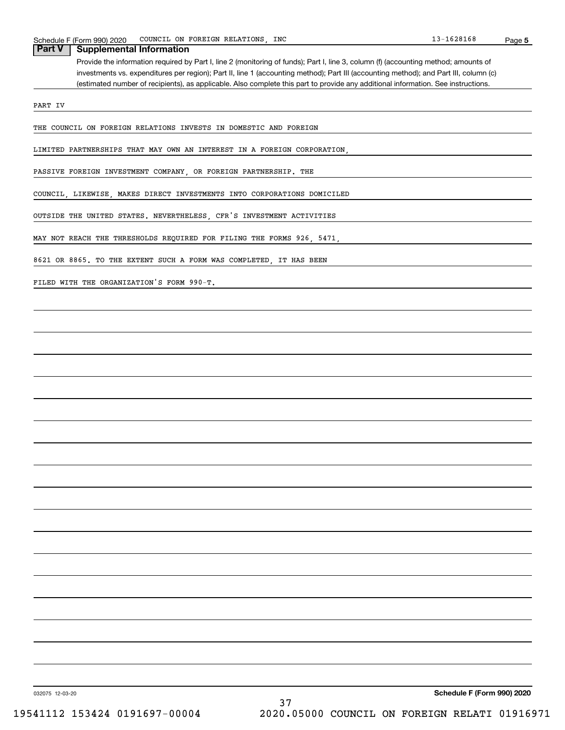## **Supplemental Information**

Provide the information required by Part I, line 2 (monitoring of funds); Part I, line 3, column (f) (accounting method; amounts of investments vs. expenditures per region); Part II, line 1 (accounting method); Part III (accounting method); and Part III, column (c) (estimated number of recipients), as applicable. Also complete this part to provide any additional information. See instructions.

PART IV

THE COUNCIL ON FOREIGN RELATIONS INVESTS IN DOMESTIC AND FOREIGN

LIMITED PARTNERSHIPS THAT MAY OWN AN INTEREST IN A FOREIGN CORPORATION,

PASSIVE FOREIGN INVESTMENT COMPANY, OR FOREIGN PARTNERSHIP. THE

COUNCIL, LIKEWISE, MAKES DIRECT INVESTMENTS INTO CORPORATIONS DOMICILED

OUTSIDE THE UNITED STATES. NEVERTHELESS, CFR'S INVESTMENT ACTIVITIES

MAY NOT REACH THE THRESHOLDS REQUIRED FOR FILING THE FORMS 926, 5471,

8621 OR 8865. TO THE EXTENT SUCH A FORM WAS COMPLETED, IT HAS BEEN

FILED WITH THE ORGANIZATION'S FORM 990-T.

032075 12-03-20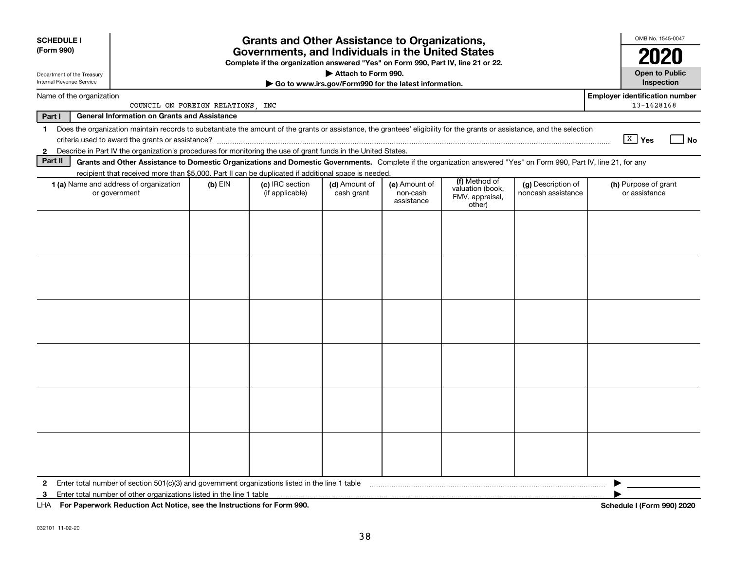| <b>SCHEDULE I</b><br>(Form 990) |                                                                                                                                                                                                                                                                                                                            | OMB No. 1545-0047                 |                                                                                  |                     |                                                       |  |  |                                                     |  |  |
|---------------------------------|----------------------------------------------------------------------------------------------------------------------------------------------------------------------------------------------------------------------------------------------------------------------------------------------------------------------------|-----------------------------------|----------------------------------------------------------------------------------|---------------------|-------------------------------------------------------|--|--|-----------------------------------------------------|--|--|
| Department of the Treasury      |                                                                                                                                                                                                                                                                                                                            |                                   | Complete if the organization answered "Yes" on Form 990, Part IV, line 21 or 22. | Attach to Form 990. |                                                       |  |  | <b>Open to Public</b>                               |  |  |
| Internal Revenue Service        |                                                                                                                                                                                                                                                                                                                            |                                   |                                                                                  |                     | Go to www.irs.gov/Form990 for the latest information. |  |  | Inspection                                          |  |  |
| Name of the organization        |                                                                                                                                                                                                                                                                                                                            | COUNCIL ON FOREIGN RELATIONS, INC |                                                                                  |                     |                                                       |  |  | <b>Employer identification number</b><br>13-1628168 |  |  |
| Part I                          | <b>General Information on Grants and Assistance</b>                                                                                                                                                                                                                                                                        |                                   |                                                                                  |                     |                                                       |  |  |                                                     |  |  |
| $\blacksquare$                  | Does the organization maintain records to substantiate the amount of the grants or assistance, the grantees' eligibility for the grants or assistance, and the selection<br>criteria used to award the grants or assistance?                                                                                               |                                   |                                                                                  |                     |                                                       |  |  | $\sqrt{\frac{X}{X}}$ Yes<br>No                      |  |  |
| 2                               | Describe in Part IV the organization's procedures for monitoring the use of grant funds in the United States.                                                                                                                                                                                                              |                                   |                                                                                  |                     |                                                       |  |  |                                                     |  |  |
| Part II                         | Grants and Other Assistance to Domestic Organizations and Domestic Governments. Complete if the organization answered "Yes" on Form 990, Part IV, line 21, for any                                                                                                                                                         |                                   |                                                                                  |                     |                                                       |  |  |                                                     |  |  |
|                                 | recipient that received more than \$5,000. Part II can be duplicated if additional space is needed.                                                                                                                                                                                                                        |                                   |                                                                                  |                     |                                                       |  |  |                                                     |  |  |
|                                 | (f) Method of<br>(g) Description of<br>1 (a) Name and address of organization<br>$(b)$ EIN<br>(c) IRC section<br>(d) Amount of<br>(e) Amount of<br>(h) Purpose of grant<br>valuation (book,<br>noncash assistance<br>or government<br>(if applicable)<br>cash grant<br>non-cash<br>FMV, appraisal,<br>assistance<br>other) |                                   |                                                                                  |                     |                                                       |  |  |                                                     |  |  |
|                                 |                                                                                                                                                                                                                                                                                                                            |                                   |                                                                                  |                     |                                                       |  |  |                                                     |  |  |
|                                 |                                                                                                                                                                                                                                                                                                                            |                                   |                                                                                  |                     |                                                       |  |  |                                                     |  |  |
|                                 |                                                                                                                                                                                                                                                                                                                            |                                   |                                                                                  |                     |                                                       |  |  |                                                     |  |  |
|                                 |                                                                                                                                                                                                                                                                                                                            |                                   |                                                                                  |                     |                                                       |  |  |                                                     |  |  |
|                                 |                                                                                                                                                                                                                                                                                                                            |                                   |                                                                                  |                     |                                                       |  |  |                                                     |  |  |
| 2                               | Enter total number of section 501(c)(3) and government organizations listed in the line 1 table                                                                                                                                                                                                                            |                                   |                                                                                  |                     |                                                       |  |  |                                                     |  |  |
| 3                               | Enter total number of other organizations listed in the line 1 table                                                                                                                                                                                                                                                       |                                   |                                                                                  |                     |                                                       |  |  |                                                     |  |  |
| LHA                             | For Paperwork Reduction Act Notice, see the Instructions for Form 990.                                                                                                                                                                                                                                                     |                                   |                                                                                  |                     |                                                       |  |  | Schedule I (Form 990) 2020                          |  |  |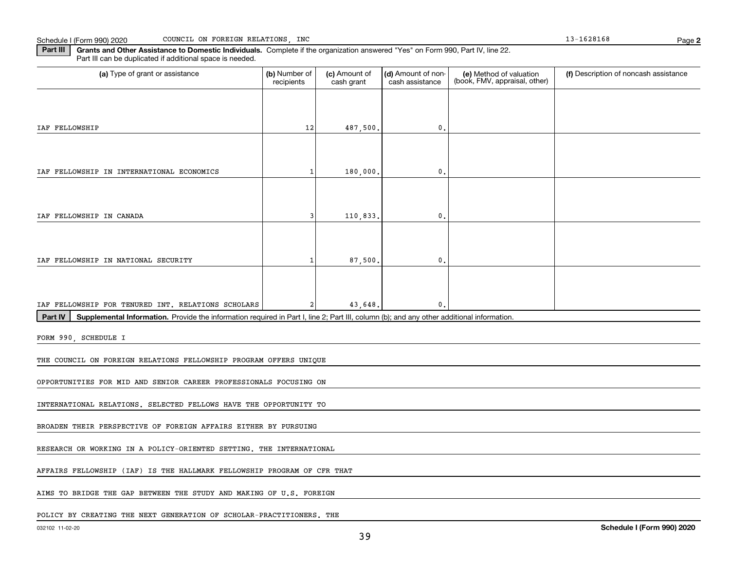Schedule I (Form 990) 2020 Page COUNCIL ON FOREIGN RELATIONS, INC 13-1628168

**2**

**Part III | Grants and Other Assistance to Domestic Individuals. Complete if the organization answered "Yes" on Form 990, Part IV, line 22.** Part III can be duplicated if additional space is needed.

| (a) Type of grant or assistance                                                                                                                      | (b) Number of<br>recipients | (c) Amount of<br>cash grant | (d) Amount of non-<br>cash assistance | (e) Method of valuation<br>(book, FMV, appraisal, other) | (f) Description of noncash assistance |  |  |  |  |  |  |
|------------------------------------------------------------------------------------------------------------------------------------------------------|-----------------------------|-----------------------------|---------------------------------------|----------------------------------------------------------|---------------------------------------|--|--|--|--|--|--|
|                                                                                                                                                      |                             |                             |                                       |                                                          |                                       |  |  |  |  |  |  |
| IAF FELLOWSHIP                                                                                                                                       | 12                          | 487,500.                    | $\mathbf{0}$                          |                                                          |                                       |  |  |  |  |  |  |
|                                                                                                                                                      |                             |                             |                                       |                                                          |                                       |  |  |  |  |  |  |
| IAF FELLOWSHIP IN INTERNATIONAL ECONOMICS                                                                                                            | -1                          | 180,000,                    | $\mathbf{0}$                          |                                                          |                                       |  |  |  |  |  |  |
|                                                                                                                                                      |                             |                             |                                       |                                                          |                                       |  |  |  |  |  |  |
| IAF FELLOWSHIP IN CANADA                                                                                                                             | 3                           | 110,833.                    | 0.                                    |                                                          |                                       |  |  |  |  |  |  |
|                                                                                                                                                      |                             |                             |                                       |                                                          |                                       |  |  |  |  |  |  |
| IAF FELLOWSHIP IN NATIONAL SECURITY                                                                                                                  | 1                           | 87,500                      | 0                                     |                                                          |                                       |  |  |  |  |  |  |
|                                                                                                                                                      |                             |                             |                                       |                                                          |                                       |  |  |  |  |  |  |
| IAF FELLOWSHIP FOR TENURED INT. RELATIONS SCHOLARS                                                                                                   | 2                           | 43,648.                     | $\mathbf{0}$                          |                                                          |                                       |  |  |  |  |  |  |
| Part IV<br>Supplemental Information. Provide the information required in Part I, line 2; Part III, column (b); and any other additional information. |                             |                             |                                       |                                                          |                                       |  |  |  |  |  |  |
| FORM 990, SCHEDULE I                                                                                                                                 |                             |                             |                                       |                                                          |                                       |  |  |  |  |  |  |
| THE COUNCIL ON FOREIGN RELATIONS FELLOWSHIP PROGRAM OFFERS UNIQUE                                                                                    |                             |                             |                                       |                                                          |                                       |  |  |  |  |  |  |
| OPPORTUNITIES FOR MID AND SENIOR CAREER PROFESSIONALS FOCUSING ON                                                                                    |                             |                             |                                       |                                                          |                                       |  |  |  |  |  |  |
| INTERNATIONAL RELATIONS. SELECTED FELLOWS HAVE THE OPPORTUNITY TO                                                                                    |                             |                             |                                       |                                                          |                                       |  |  |  |  |  |  |
| BROADEN THEIR PERSPECTIVE OF FOREIGN AFFAIRS EITHER BY PURSUING                                                                                      |                             |                             |                                       |                                                          |                                       |  |  |  |  |  |  |
| RESEARCH OR WORKING IN A POLICY-ORIENTED SETTING. THE INTERNATIONAL                                                                                  |                             |                             |                                       |                                                          |                                       |  |  |  |  |  |  |
| AFFAIRS FELLOWSHIP (IAF) IS THE HALLMARK FELLOWSHIP PROGRAM OF CFR THAT                                                                              |                             |                             |                                       |                                                          |                                       |  |  |  |  |  |  |
| AIMS TO BRIDGE THE GAP BETWEEN THE STUDY AND MAKING OF U.S. FOREIGN                                                                                  |                             |                             |                                       |                                                          |                                       |  |  |  |  |  |  |
|                                                                                                                                                      |                             |                             |                                       |                                                          |                                       |  |  |  |  |  |  |
| POLICY BY CREATING THE NEXT GENERATION OF SCHOLAR-PRACTITIONERS. THE                                                                                 |                             |                             |                                       |                                                          |                                       |  |  |  |  |  |  |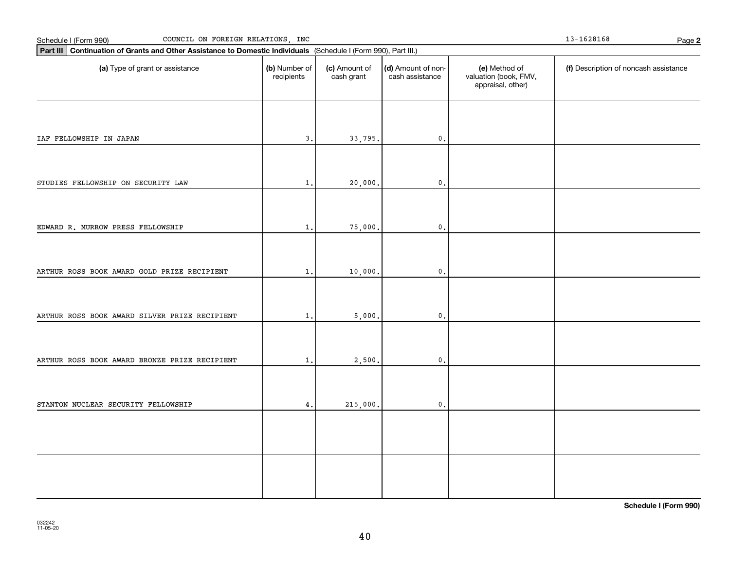| COUNCIL ON FOREIGN RELATIONS, INC<br>Schedule I (Form 990)                                                      |                             |                             |                                       |                                                             | 13-1628168<br>Page 2                  |
|-----------------------------------------------------------------------------------------------------------------|-----------------------------|-----------------------------|---------------------------------------|-------------------------------------------------------------|---------------------------------------|
| Part III Continuation of Grants and Other Assistance to Domestic Individuals (Schedule I (Form 990), Part III.) |                             |                             |                                       |                                                             |                                       |
| (a) Type of grant or assistance                                                                                 | (b) Number of<br>recipients | (c) Amount of<br>cash grant | (d) Amount of non-<br>cash assistance | (e) Method of<br>valuation (book, FMV,<br>appraisal, other) | (f) Description of noncash assistance |
| IAF FELLOWSHIP IN JAPAN                                                                                         | 3.                          | 33,795.                     | $\mathbf 0$ .                         |                                                             |                                       |
| STUDIES FELLOWSHIP ON SECURITY LAW                                                                              | 1.                          | 20,000.                     | $\mathbf 0$ .                         |                                                             |                                       |
|                                                                                                                 |                             |                             |                                       |                                                             |                                       |
| EDWARD R. MURROW PRESS FELLOWSHIP                                                                               | $1$ .                       | 75,000.                     | $\mathsf{0}$ .                        |                                                             |                                       |
| ARTHUR ROSS BOOK AWARD GOLD PRIZE RECIPIENT                                                                     | $1$ .                       | 10,000.                     | $\mathbf{0}$                          |                                                             |                                       |
| ARTHUR ROSS BOOK AWARD SILVER PRIZE RECIPIENT                                                                   | 1.                          | 5,000.                      | $\mathbf{0}$                          |                                                             |                                       |
| ARTHUR ROSS BOOK AWARD BRONZE PRIZE RECIPIENT                                                                   | 1.                          | 2,500.                      | $\mathsf{0}$ .                        |                                                             |                                       |
| STANTON NUCLEAR SECURITY FELLOWSHIP                                                                             | 4.                          | 215,000.                    | $\mathsf{o}$ .                        |                                                             |                                       |
|                                                                                                                 |                             |                             |                                       |                                                             |                                       |
|                                                                                                                 |                             |                             |                                       |                                                             |                                       |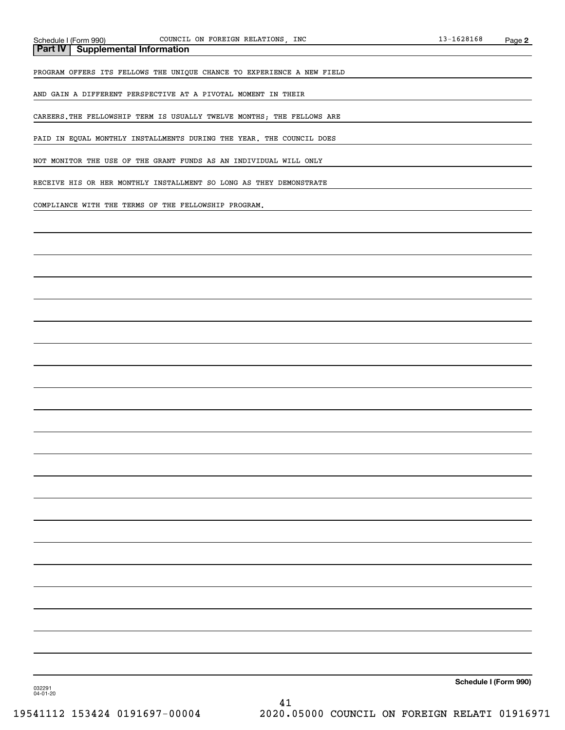**Part IV Supplemental Information**

PROGRAM OFFERS ITS FELLOWS THE UNIQUE CHANCE TO EXPERIENCE A NEW FIELD

AND GAIN A DIFFERENT PERSPECTIVE AT A PIVOTAL MOMENT IN THEIR

CAREERS.THE FELLOWSHIP TERM IS USUALLY TWELVE MONTHS; THE FELLOWS ARE

PAID IN EQUAL MONTHLY INSTALLMENTS DURING THE YEAR. THE COUNCIL DOES

NOT MONITOR THE USE OF THE GRANT FUNDS AS AN INDIVIDUAL WILL ONLY

RECEIVE HIS OR HER MONTHLY INSTALLMENT SO LONG AS THEY DEMONSTRATE

COMPLIANCE WITH THE TERMS OF THE FELLOWSHIP PROGRAM.

**Schedule I (Form 990)**

032291 04-01-20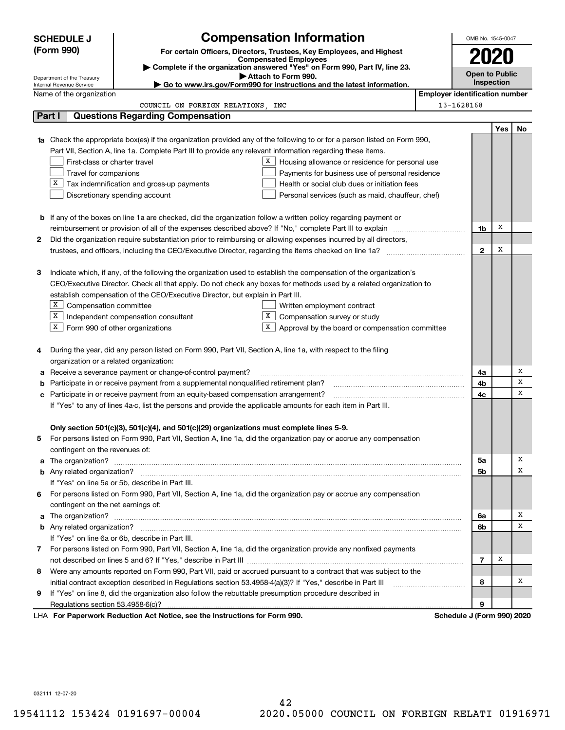| <b>Compensation Information</b><br><b>SCHEDULE J</b> |                                                                                     |                                                                                                                        |                                                                                                                                  |                                       |                       |     | OMB No. 1545-0047 |  |
|------------------------------------------------------|-------------------------------------------------------------------------------------|------------------------------------------------------------------------------------------------------------------------|----------------------------------------------------------------------------------------------------------------------------------|---------------------------------------|-----------------------|-----|-------------------|--|
|                                                      | (Form 990)                                                                          |                                                                                                                        | For certain Officers, Directors, Trustees, Key Employees, and Highest                                                            |                                       |                       |     |                   |  |
|                                                      |                                                                                     |                                                                                                                        | <b>Compensated Employees</b>                                                                                                     |                                       | 2020                  |     |                   |  |
|                                                      |                                                                                     |                                                                                                                        | Complete if the organization answered "Yes" on Form 990, Part IV, line 23.<br>Attach to Form 990.                                |                                       | <b>Open to Public</b> |     |                   |  |
|                                                      | Department of the Treasury<br>Internal Revenue Service                              |                                                                                                                        | ► Go to www.irs.gov/Form990 for instructions and the latest information.                                                         |                                       | Inspection            |     |                   |  |
|                                                      | Name of the organization                                                            |                                                                                                                        |                                                                                                                                  | <b>Employer identification number</b> |                       |     |                   |  |
|                                                      |                                                                                     | COUNCIL ON FOREIGN RELATIONS, INC                                                                                      |                                                                                                                                  | 13-1628168                            |                       |     |                   |  |
|                                                      | Part I                                                                              | <b>Questions Regarding Compensation</b>                                                                                |                                                                                                                                  |                                       |                       |     |                   |  |
|                                                      |                                                                                     |                                                                                                                        |                                                                                                                                  |                                       |                       | Yes | No                |  |
|                                                      |                                                                                     |                                                                                                                        | <b>1a</b> Check the appropriate box(es) if the organization provided any of the following to or for a person listed on Form 990, |                                       |                       |     |                   |  |
|                                                      |                                                                                     | Part VII, Section A, line 1a. Complete Part III to provide any relevant information regarding these items.             |                                                                                                                                  |                                       |                       |     |                   |  |
|                                                      | First-class or charter travel                                                       |                                                                                                                        | X  <br>Housing allowance or residence for personal use                                                                           |                                       |                       |     |                   |  |
|                                                      | Travel for companions<br>Payments for business use of personal residence            |                                                                                                                        |                                                                                                                                  |                                       |                       |     |                   |  |
|                                                      | X<br>Tax indemnification and gross-up payments                                      | Health or social club dues or initiation fees                                                                          |                                                                                                                                  |                                       |                       |     |                   |  |
|                                                      | Discretionary spending account<br>Personal services (such as maid, chauffeur, chef) |                                                                                                                        |                                                                                                                                  |                                       |                       |     |                   |  |
|                                                      |                                                                                     |                                                                                                                        |                                                                                                                                  |                                       |                       |     |                   |  |
|                                                      |                                                                                     | <b>b</b> If any of the boxes on line 1a are checked, did the organization follow a written policy regarding payment or |                                                                                                                                  |                                       |                       |     |                   |  |
|                                                      |                                                                                     |                                                                                                                        |                                                                                                                                  |                                       | 1b                    | х   |                   |  |
| 2                                                    |                                                                                     |                                                                                                                        | Did the organization require substantiation prior to reimbursing or allowing expenses incurred by all directors,                 |                                       |                       |     |                   |  |
|                                                      |                                                                                     |                                                                                                                        |                                                                                                                                  |                                       | $\mathbf{2}$          | х   |                   |  |
|                                                      |                                                                                     |                                                                                                                        |                                                                                                                                  |                                       |                       |     |                   |  |
| з                                                    |                                                                                     |                                                                                                                        | Indicate which, if any, of the following the organization used to establish the compensation of the organization's               |                                       |                       |     |                   |  |
|                                                      |                                                                                     |                                                                                                                        | CEO/Executive Director. Check all that apply. Do not check any boxes for methods used by a related organization to               |                                       |                       |     |                   |  |
|                                                      | establish compensation of the CEO/Executive Director, but explain in Part III.      |                                                                                                                        |                                                                                                                                  |                                       |                       |     |                   |  |
|                                                      | X  <br>Compensation committee<br>Written employment contract                        |                                                                                                                        |                                                                                                                                  |                                       |                       |     |                   |  |
|                                                      | X                                                                                   | Independent compensation consultant                                                                                    | X<br>Compensation survey or study                                                                                                |                                       |                       |     |                   |  |
|                                                      | $X$ Form 990 of other organizations                                                 |                                                                                                                        | X.<br>Approval by the board or compensation committee                                                                            |                                       |                       |     |                   |  |
| 4                                                    |                                                                                     | During the year, did any person listed on Form 990, Part VII, Section A, line 1a, with respect to the filing           |                                                                                                                                  |                                       |                       |     |                   |  |
|                                                      | organization or a related organization:                                             |                                                                                                                        |                                                                                                                                  |                                       |                       |     |                   |  |
| a                                                    |                                                                                     | Receive a severance payment or change-of-control payment?                                                              |                                                                                                                                  |                                       | 4a                    |     | Χ                 |  |
| b                                                    |                                                                                     | Participate in or receive payment from a supplemental nonqualified retirement plan?                                    |                                                                                                                                  |                                       | 4b                    |     | x                 |  |
| с                                                    |                                                                                     | Participate in or receive payment from an equity-based compensation arrangement?                                       |                                                                                                                                  |                                       | 4c                    |     | X                 |  |
|                                                      |                                                                                     | If "Yes" to any of lines 4a-c, list the persons and provide the applicable amounts for each item in Part III.          |                                                                                                                                  |                                       |                       |     |                   |  |
|                                                      |                                                                                     |                                                                                                                        |                                                                                                                                  |                                       |                       |     |                   |  |
|                                                      |                                                                                     | Only section 501(c)(3), 501(c)(4), and 501(c)(29) organizations must complete lines 5-9.                               |                                                                                                                                  |                                       |                       |     |                   |  |
|                                                      |                                                                                     |                                                                                                                        | For persons listed on Form 990, Part VII, Section A, line 1a, did the organization pay or accrue any compensation                |                                       |                       |     |                   |  |
|                                                      | contingent on the revenues of:                                                      |                                                                                                                        |                                                                                                                                  |                                       |                       |     |                   |  |
|                                                      |                                                                                     |                                                                                                                        |                                                                                                                                  |                                       | 5a                    |     | х                 |  |
|                                                      |                                                                                     |                                                                                                                        |                                                                                                                                  |                                       | 5b                    |     | х                 |  |
|                                                      |                                                                                     | If "Yes" on line 5a or 5b, describe in Part III.                                                                       |                                                                                                                                  |                                       |                       |     |                   |  |
| 6.                                                   |                                                                                     |                                                                                                                        | For persons listed on Form 990, Part VII, Section A, line 1a, did the organization pay or accrue any compensation                |                                       |                       |     |                   |  |
|                                                      | contingent on the net earnings of:                                                  |                                                                                                                        |                                                                                                                                  |                                       |                       |     |                   |  |
|                                                      |                                                                                     |                                                                                                                        |                                                                                                                                  |                                       | 6a                    |     | х                 |  |
|                                                      |                                                                                     |                                                                                                                        |                                                                                                                                  |                                       | 6b                    |     | х                 |  |
|                                                      |                                                                                     | If "Yes" on line 6a or 6b, describe in Part III.                                                                       |                                                                                                                                  |                                       |                       |     |                   |  |
|                                                      |                                                                                     |                                                                                                                        | 7 For persons listed on Form 990, Part VII, Section A, line 1a, did the organization provide any nonfixed payments               |                                       |                       |     |                   |  |
|                                                      |                                                                                     |                                                                                                                        |                                                                                                                                  |                                       | $\overline{7}$        | х   |                   |  |
| 8                                                    |                                                                                     |                                                                                                                        | Were any amounts reported on Form 990, Part VII, paid or accrued pursuant to a contract that was subject to the                  |                                       |                       |     |                   |  |
|                                                      |                                                                                     | initial contract exception described in Regulations section 53.4958-4(a)(3)? If "Yes," describe in Part III            |                                                                                                                                  |                                       | 8                     |     | х                 |  |
| 9                                                    |                                                                                     | If "Yes" on line 8, did the organization also follow the rebuttable presumption procedure described in                 |                                                                                                                                  |                                       |                       |     |                   |  |
|                                                      |                                                                                     |                                                                                                                        |                                                                                                                                  |                                       | 9                     |     |                   |  |
|                                                      |                                                                                     | LHA For Paperwork Reduction Act Notice, see the Instructions for Form 990.                                             |                                                                                                                                  | Schedule J (Form 990) 2020            |                       |     |                   |  |

032111 12-07-20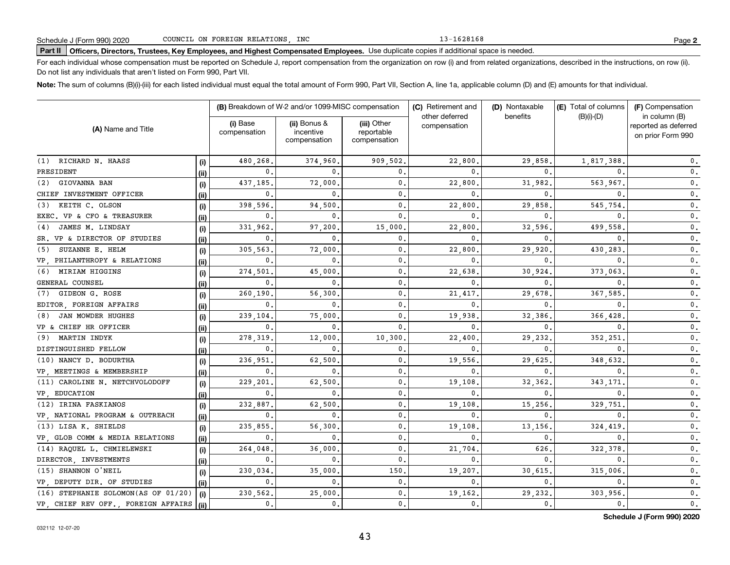13-1628168

# **Part II Officers, Directors, Trustees, Key Employees, and Highest Compensated Employees.**  Schedule J (Form 990) 2020 Page Use duplicate copies if additional space is needed.

For each individual whose compensation must be reported on Schedule J, report compensation from the organization on row (i) and from related organizations, described in the instructions, on row (ii). Do not list any individuals that aren't listed on Form 990, Part VII.

**Note:**  The sum of columns (B)(i)-(iii) for each listed individual must equal the total amount of Form 990, Part VII, Section A, line 1a, applicable column (D) and (E) amounts for that individual.

|                                             |       |                          | (B) Breakdown of W-2 and/or 1099-MISC compensation |                                           | (C) Retirement and             | (D) Nontaxable | (E) Total of columns | (F) Compensation                                           |  |
|---------------------------------------------|-------|--------------------------|----------------------------------------------------|-------------------------------------------|--------------------------------|----------------|----------------------|------------------------------------------------------------|--|
| (A) Name and Title                          |       | (i) Base<br>compensation | (ii) Bonus &<br>incentive<br>compensation          | (iii) Other<br>reportable<br>compensation | other deferred<br>compensation | benefits       | $(B)(i)$ - $(D)$     | in column (B)<br>reported as deferred<br>on prior Form 990 |  |
| (1) RICHARD N. HAASS                        | (i)   | 480,268                  | 374,960,                                           | 909,502.                                  | 22,800                         | 29,858         | 1,817,388            | 0.                                                         |  |
| PRESIDENT                                   | (ii)  | 0.                       | $\Omega$                                           | 0.                                        | $\Omega$                       | $\Omega$       |                      | $\mathbf 0$ .                                              |  |
| GIOVANNA BAN<br>(2)                         | (i)   | 437,185.                 | 72,000                                             | 0.                                        | 22,800                         | 31,982         | 563,967              | $\mathbf 0$ .                                              |  |
| CHIEF INVESTMENT OFFICER                    | (ii)  | 0.                       | $\mathbf{0}$ .                                     | 0.                                        | 0                              | 0              | 0                    | 0.                                                         |  |
| KEITH C. OLSON<br>(3)                       | (i)   | 398,596.                 | 94,500                                             | $\mathbf{0}$ .                            | 22,800                         | 29,858         | 545,754              | $\mathbf 0$ .                                              |  |
| EXEC. VP & CFO & TREASURER                  | (ii)  | $\mathbf{0}$             | $\mathbf{0}$ .                                     | $\mathbf{0}$ .                            | 0                              | 0              | <sup>0</sup>         | 0.                                                         |  |
| JAMES M. LINDSAY<br>(4)                     | (i)   | 331,962.                 | 97,200                                             | 15,000                                    | 22,800                         | 32,596         | 499,558              | 0.                                                         |  |
| SR. VP & DIRECTOR OF STUDIES                | (ii)  | $\mathbf 0$ .            | $\mathbf{0}$ .                                     | 0.                                        | 0                              | 0              | 0                    | 0.                                                         |  |
| SUZANNE E. HELM<br>(5)                      | (i)   | 305,563                  | 72,000                                             | 0.                                        | 22,800                         | 29,920         | 430.283              | $0$ .                                                      |  |
| VP. PHILANTHROPY & RELATIONS                | (ii)  | 0.                       | $\Omega$                                           | $\mathbf 0$ .                             | 0                              | 0              | <sup>0</sup>         | 0.                                                         |  |
| (6) MIRIAM HIGGINS                          | (i)   | 274,501                  | 45,000                                             | $\mathbf 0$ .                             | 22,638                         | 30.924         | 373,063              | 0.                                                         |  |
| GENERAL COUNSEL                             | (ii)  | $\mathbf 0$ .            | $^{\circ}$                                         | $\mathbf 0$ .                             | 0                              | 0              | 0                    | 0.                                                         |  |
| GIDEON G. ROSE<br>(7)                       | (i)   | 260,190                  | 56,300                                             | 0.                                        | 21,417                         | 29,678         | 367,585              | 0.                                                         |  |
| EDITOR FOREIGN AFFAIRS                      | (ii)  | 0.                       | $^{\circ}$                                         | $\mathbf{0}$ .                            | 0                              | 0              |                      | $0$ .                                                      |  |
| JAN MOWDER HUGHES<br>(8)                    | (i)   | 239,104.                 | 75,000                                             | $\mathbf{0}$ .                            | 19,938                         | 32,386         | 366,428              | 0.                                                         |  |
| VP & CHIEF HR OFFICER                       | (ii)  | 0.                       | $\mathbf{0}$ .                                     | $\mathbf{0}$ .                            | 0                              | 0              |                      | 0.                                                         |  |
| (9) MARTIN INDYK                            | (i)   | 278,319                  | 12,000                                             | 10,300                                    | 22,400                         | 29,232         | 352,251              | 0.                                                         |  |
| DISTINGUISHED FELLOW                        | (ii)  | $\mathbf 0$ .            | 0                                                  | 0.                                        | 0                              | 0              |                      | 0.                                                         |  |
| (10) NANCY D. BODURTHA                      | (i)   | 236,951                  | 62,500                                             | $\mathbf{0}$ .                            | 19,556                         | 29,625         | 348,632              | 0.                                                         |  |
| VP MEETINGS & MEMBERSHIP                    | (iii) | 0.                       | 0                                                  | $\mathbf{0}$ .                            | 0                              | 0              |                      | $\mathbf{0}$ .                                             |  |
| (11) CAROLINE N. NETCHVOLODOFF              | (i)   | 229,201                  | 62,500                                             | 0.                                        | 19,108                         | 32,362         | 343,171              | $\mathbf 0$ .                                              |  |
| VP, EDUCATION                               | (ii)  | 0.                       | $\mathbf{0}$                                       | 0.                                        | 0                              | 0              | 0                    | $\mathbf 0$ .                                              |  |
| (12) IRINA FASKIANOS                        | (i)   | 232,887.                 | 62,500                                             | $\mathbf{0}$ .                            | 19,108                         | 15,256         | 329,751              | $\mathbf{0}$ .                                             |  |
| VP, NATIONAL PROGRAM & OUTREACH             | (ii)  | 0.                       | $\mathbf{0}$                                       | $\mathbf 0$ .                             | 0                              | 0              | 0                    | $\mathbf 0$ .                                              |  |
| (13) LISA K. SHIELDS                        | (i)   | 235,855                  | 56,300                                             | $\mathbf 0$ .                             | 19,108                         | 13,156         | 324,419              | $\mathbf{0}$ .                                             |  |
| VP, GLOB COMM & MEDIA RELATIONS             | (ii)  | 0.                       | $\mathbf 0$ .                                      | $\mathbf 0$ .                             | 0                              | $\mathbf{0}$   | 0                    | $\mathbf{0}$ .                                             |  |
| (14) RAQUEL L. CHMIELEWSKI                  | (i)   | 264,048                  | 36,000                                             | $\mathbf 0$ .                             | 21,704                         | 626            | 322,378              | 0.                                                         |  |
| DIRECTOR . INVESTMENTS                      | (ii)  | 0.                       | $\mathbf{0}$ .                                     | $\mathbf{0}$ .                            | 0                              | 0.             | 0                    | $\mathbf{0}$ .                                             |  |
| (15) SHANNON O'NEIL                         | (i)   | 230,034                  | 35,000                                             | 150.                                      | 19,207                         | 30,615         | 315,006              | $\mathbf{0}$ .                                             |  |
| VP, DEPUTY DIR. OF STUDIES                  | (ii)  | 0.                       | $\mathbf{0}$ .                                     | $\mathbf{0}$ .                            | $\mathbf 0$ .                  | $\mathbf{0}$ . | 0.                   | 0.                                                         |  |
| (16) STEPHANIE SOLOMON(AS OF 01/20)         | (i)   | 230,562.                 | 25,000                                             | $\mathbf{0}$ .                            | 19,162                         | 29,232         | 303,956              | $\mathbf 0$ .                                              |  |
| VP, CHIEF REV OFF., FOREIGN AFFAIRS $(iii)$ |       | 0.                       | $\mathbf{0}$ .                                     | $\mathbf{0}$ .                            | 0.                             | 0.             | 0.                   | 0.                                                         |  |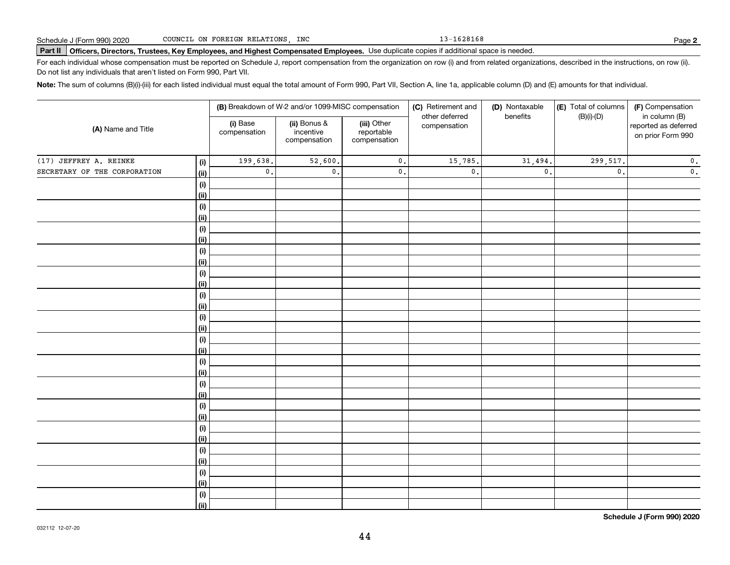13-1628168

# **Part II Officers, Directors, Trustees, Key Employees, and Highest Compensated Employees.**  Schedule J (Form 990) 2020 Page Use duplicate copies if additional space is needed.

For each individual whose compensation must be reported on Schedule J, report compensation from the organization on row (i) and from related organizations, described in the instructions, on row (ii). Do not list any individuals that aren't listed on Form 990, Part VII.

**Note:**  The sum of columns (B)(i)-(iii) for each listed individual must equal the total amount of Form 990, Part VII, Section A, line 1a, applicable column (D) and (E) amounts for that individual.

|                              |                    |                          | (B) Breakdown of W-2 and/or 1099-MISC compensation |                                           | (C) Retirement and             | (D) Nontaxable  | (E) Total of columns | (F) Compensation                                           |
|------------------------------|--------------------|--------------------------|----------------------------------------------------|-------------------------------------------|--------------------------------|-----------------|----------------------|------------------------------------------------------------|
| (A) Name and Title           |                    | (i) Base<br>compensation | (ii) Bonus &<br>incentive<br>compensation          | (iii) Other<br>reportable<br>compensation | other deferred<br>compensation | benefits        | $(B)(i)-(D)$         | in column (B)<br>reported as deferred<br>on prior Form 990 |
| (17) JEFFREY A. REINKE       | (i)                | 199,638.                 | $\overline{52,600}$ .                              | $\mathbf 0$ .                             | 15,785.                        | 31,494.         | 299,517.             | $\mathbf 0$ .                                              |
| SECRETARY OF THE CORPORATION | <u>(ii)</u>        | $\mathbf 0$ .            | $\mathfrak o$ .                                    | $\mathbf 0$ .                             | $\mathfrak o$ .                | $\mathfrak o$ . | $\mathfrak o$ .      | $\mathbf 0$ .                                              |
|                              | (i)                |                          |                                                    |                                           |                                |                 |                      |                                                            |
|                              | <u>(ii)</u>        |                          |                                                    |                                           |                                |                 |                      |                                                            |
|                              | (i)                |                          |                                                    |                                           |                                |                 |                      |                                                            |
|                              | <u>(ii)</u>        |                          |                                                    |                                           |                                |                 |                      |                                                            |
|                              | (i)                |                          |                                                    |                                           |                                |                 |                      |                                                            |
|                              | <u>(ii)</u>        |                          |                                                    |                                           |                                |                 |                      |                                                            |
|                              | (i)                |                          |                                                    |                                           |                                |                 |                      |                                                            |
|                              | <u>(ii)</u>        |                          |                                                    |                                           |                                |                 |                      |                                                            |
|                              | (i)                |                          |                                                    |                                           |                                |                 |                      |                                                            |
|                              | <u>(ii)</u><br>(i) |                          |                                                    |                                           |                                |                 |                      |                                                            |
|                              | (ii)               |                          |                                                    |                                           |                                |                 |                      |                                                            |
|                              | $(\sf{i})$         |                          |                                                    |                                           |                                |                 |                      |                                                            |
|                              | (ii)               |                          |                                                    |                                           |                                |                 |                      |                                                            |
|                              | (i)                |                          |                                                    |                                           |                                |                 |                      |                                                            |
|                              | (ii)               |                          |                                                    |                                           |                                |                 |                      |                                                            |
|                              | (i)                |                          |                                                    |                                           |                                |                 |                      |                                                            |
|                              | (ii)               |                          |                                                    |                                           |                                |                 |                      |                                                            |
|                              | (i)                |                          |                                                    |                                           |                                |                 |                      |                                                            |
|                              | (ii)               |                          |                                                    |                                           |                                |                 |                      |                                                            |
|                              | (i)                |                          |                                                    |                                           |                                |                 |                      |                                                            |
|                              | (ii)               |                          |                                                    |                                           |                                |                 |                      |                                                            |
|                              | (i)                |                          |                                                    |                                           |                                |                 |                      |                                                            |
|                              | (ii)               |                          |                                                    |                                           |                                |                 |                      |                                                            |
|                              | (i)                |                          |                                                    |                                           |                                |                 |                      |                                                            |
|                              | (ii)               |                          |                                                    |                                           |                                |                 |                      |                                                            |
|                              | (i)<br>(ii)        |                          |                                                    |                                           |                                |                 |                      |                                                            |
|                              | (i)                |                          |                                                    |                                           |                                |                 |                      |                                                            |
|                              | (ii)               |                          |                                                    |                                           |                                |                 |                      |                                                            |
|                              |                    |                          |                                                    |                                           |                                |                 |                      |                                                            |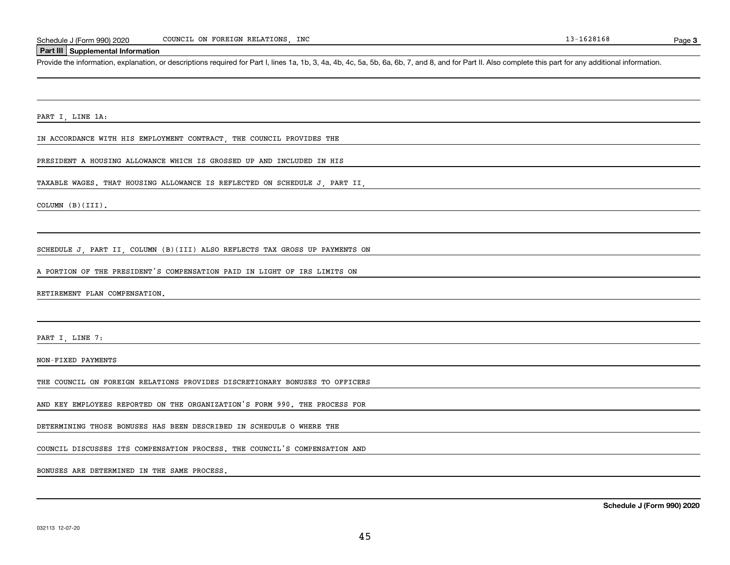#### **Part III Supplemental Information**

Schedule J (Form 990) 2020 COUNCIL ON FOREIGN RELATIONS, INC<br>Part III Supplemental Information<br>Provide the information, explanation, or descriptions required for Part I, lines 1a, 1b, 3, 4a, 4b, 4c, 5a, 5b, 6a, 6b, 7, and

PART I, LINE 1A:

IN ACCORDANCE WITH HIS EMPLOYMENT CONTRACT, THE COUNCIL PROVIDES THE

PRESIDENT A HOUSING ALLOWANCE WHICH IS GROSSED UP AND INCLUDED IN HIS

TAXABLE WAGES. THAT HOUSING ALLOWANCE IS REFLECTED ON SCHEDULE J, PART II,

COLUMN (B)(III).

SCHEDULE J, PART II, COLUMN (B)(III) ALSO REFLECTS TAX GROSS UP PAYMENTS ON

A PORTION OF THE PRESIDENT'S COMPENSATION PAID IN LIGHT OF IRS LIMITS ON

RETIREMENT PLAN COMPENSATION.

PART I, LINE 7:

NON-FIXED PAYMENTS

THE COUNCIL ON FOREIGN RELATIONS PROVIDES DISCRETIONARY BONUSES TO OFFICERS

AND KEY EMPLOYEES REPORTED ON THE ORGANIZATION'S FORM 990. THE PROCESS FOR

DETERMINING THOSE BONUSES HAS BEEN DESCRIBED IN SCHEDULE O WHERE THE

COUNCIL DISCUSSES ITS COMPENSATION PROCESS. THE COUNCIL'S COMPENSATION AND

BONUSES ARE DETERMINED IN THE SAME PROCESS.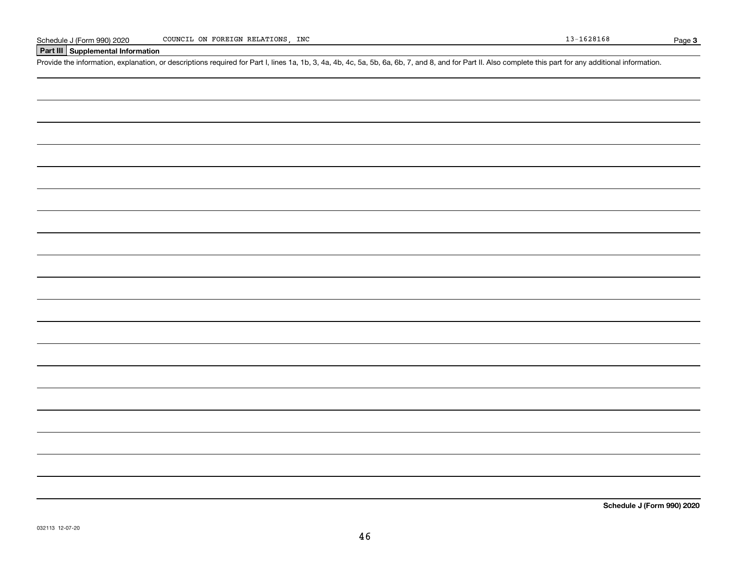## **Part III Supplemental Information**

Schedule J (Form 990) 2020 COUNCIL ON FOREIGN RELATIONS, INC<br>Part III Supplemental Information<br>Provide the information, explanation, or descriptions required for Part I, lines 1a, 1b, 3, 4a, 4b, 4c, 5a, 5b, 6a, 6b, 7, and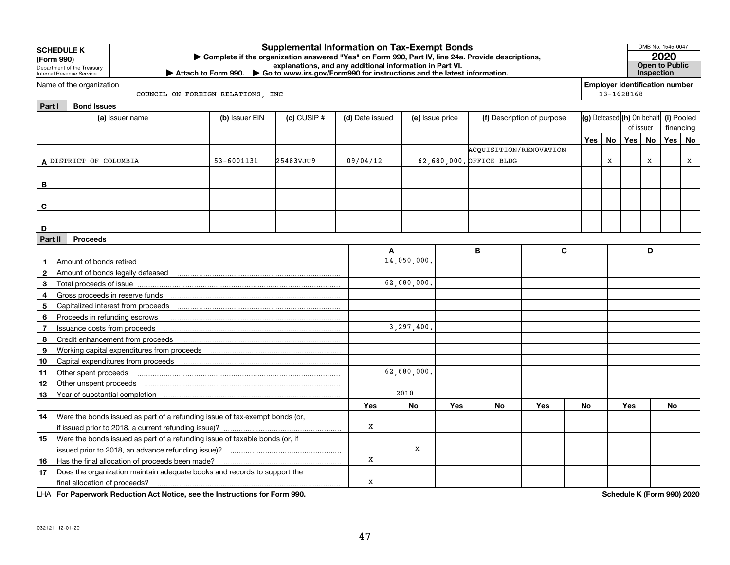|              | <b>Supplemental Information on Tax-Exempt Bonds</b><br><b>SCHEDULE K</b><br>Complete if the organization answered "Yes" on Form 990, Part IV, line 24a. Provide descriptions,<br>(Form 990)<br>explanations, and any additional information in Part VI.<br>Department of the Treasury<br>▶ Attach to Form 990. ▶ Go to www.irs.gov/Form990 for instructions and the latest information.<br>Internal Revenue Service<br><b>Employer identification number</b><br>Name of the organization |                                                                                                                                                                                                                                |                                   |                 |                 |                 |     |                            |                                                   |            |    |            |           | OMB No. 1545-0047<br>2020<br>Open to Public<br>Inspection |    |
|--------------|------------------------------------------------------------------------------------------------------------------------------------------------------------------------------------------------------------------------------------------------------------------------------------------------------------------------------------------------------------------------------------------------------------------------------------------------------------------------------------------|--------------------------------------------------------------------------------------------------------------------------------------------------------------------------------------------------------------------------------|-----------------------------------|-----------------|-----------------|-----------------|-----|----------------------------|---------------------------------------------------|------------|----|------------|-----------|-----------------------------------------------------------|----|
|              |                                                                                                                                                                                                                                                                                                                                                                                                                                                                                          |                                                                                                                                                                                                                                |                                   |                 |                 |                 |     |                            |                                                   |            |    |            |           |                                                           |    |
|              |                                                                                                                                                                                                                                                                                                                                                                                                                                                                                          |                                                                                                                                                                                                                                | COUNCIL ON FOREIGN RELATIONS, INC |                 |                 |                 |     |                            |                                                   |            |    | 13-1628168 |           |                                                           |    |
| Part I       | <b>Bond Issues</b>                                                                                                                                                                                                                                                                                                                                                                                                                                                                       |                                                                                                                                                                                                                                |                                   |                 |                 |                 |     |                            |                                                   |            |    |            |           |                                                           |    |
|              |                                                                                                                                                                                                                                                                                                                                                                                                                                                                                          | (a) Issuer name                                                                                                                                                                                                                | (b) Issuer EIN                    | $(c)$ CUSIP $#$ | (d) Date issued | (e) Issue price |     | (f) Description of purpose | $ $ (g) Defeased $ $ (h) On behalf $ $ (i) Pooled |            |    |            |           |                                                           |    |
|              |                                                                                                                                                                                                                                                                                                                                                                                                                                                                                          |                                                                                                                                                                                                                                |                                   |                 |                 |                 |     |                            |                                                   |            |    | of issuer  |           | financing                                                 |    |
|              |                                                                                                                                                                                                                                                                                                                                                                                                                                                                                          |                                                                                                                                                                                                                                |                                   |                 |                 |                 |     |                            |                                                   | <b>Yes</b> | No | Yes        | <b>No</b> | Yes <sup>1</sup>                                          | No |
|              |                                                                                                                                                                                                                                                                                                                                                                                                                                                                                          |                                                                                                                                                                                                                                |                                   |                 |                 |                 |     | ACQUISITION/RENOVATION     |                                                   |            |    |            |           |                                                           |    |
|              | A DISTRICT OF COLUMBIA                                                                                                                                                                                                                                                                                                                                                                                                                                                                   |                                                                                                                                                                                                                                | 53-6001131                        | 25483VJU9       | 09/04/12        |                 |     | 62,680,000. OFFICE BLDG    |                                                   |            | X  |            | x         |                                                           | x  |
|              |                                                                                                                                                                                                                                                                                                                                                                                                                                                                                          |                                                                                                                                                                                                                                |                                   |                 |                 |                 |     |                            |                                                   |            |    |            |           |                                                           |    |
| в            |                                                                                                                                                                                                                                                                                                                                                                                                                                                                                          |                                                                                                                                                                                                                                |                                   |                 |                 |                 |     |                            |                                                   |            |    |            |           |                                                           |    |
|              |                                                                                                                                                                                                                                                                                                                                                                                                                                                                                          |                                                                                                                                                                                                                                |                                   |                 |                 |                 |     |                            |                                                   |            |    |            |           |                                                           |    |
| C            |                                                                                                                                                                                                                                                                                                                                                                                                                                                                                          |                                                                                                                                                                                                                                |                                   |                 |                 |                 |     |                            |                                                   |            |    |            |           |                                                           |    |
|              |                                                                                                                                                                                                                                                                                                                                                                                                                                                                                          |                                                                                                                                                                                                                                |                                   |                 |                 |                 |     |                            |                                                   |            |    |            |           |                                                           |    |
| D<br>Part II | <b>Proceeds</b>                                                                                                                                                                                                                                                                                                                                                                                                                                                                          |                                                                                                                                                                                                                                |                                   |                 |                 |                 |     |                            |                                                   |            |    |            |           |                                                           |    |
|              |                                                                                                                                                                                                                                                                                                                                                                                                                                                                                          |                                                                                                                                                                                                                                |                                   |                 | A               |                 |     | B                          | $\mathbf{C}$                                      |            |    |            | D         |                                                           |    |
| 1.           | Amount of bonds retired                                                                                                                                                                                                                                                                                                                                                                                                                                                                  |                                                                                                                                                                                                                                |                                   |                 |                 | 14,050,000      |     |                            |                                                   |            |    |            |           |                                                           |    |
| $\mathbf{2}$ |                                                                                                                                                                                                                                                                                                                                                                                                                                                                                          |                                                                                                                                                                                                                                |                                   |                 |                 |                 |     |                            |                                                   |            |    |            |           |                                                           |    |
| 3            |                                                                                                                                                                                                                                                                                                                                                                                                                                                                                          |                                                                                                                                                                                                                                |                                   |                 |                 | 62,680,000.     |     |                            |                                                   |            |    |            |           |                                                           |    |
| 4            |                                                                                                                                                                                                                                                                                                                                                                                                                                                                                          |                                                                                                                                                                                                                                |                                   |                 |                 |                 |     |                            |                                                   |            |    |            |           |                                                           |    |
| 5            |                                                                                                                                                                                                                                                                                                                                                                                                                                                                                          |                                                                                                                                                                                                                                |                                   |                 |                 |                 |     |                            |                                                   |            |    |            |           |                                                           |    |
| 6            | Proceeds in refunding escrows                                                                                                                                                                                                                                                                                                                                                                                                                                                            |                                                                                                                                                                                                                                |                                   |                 |                 |                 |     |                            |                                                   |            |    |            |           |                                                           |    |
| 7            | Issuance costs from proceeds                                                                                                                                                                                                                                                                                                                                                                                                                                                             |                                                                                                                                                                                                                                |                                   |                 |                 | 3,297,400       |     |                            |                                                   |            |    |            |           |                                                           |    |
| 8            |                                                                                                                                                                                                                                                                                                                                                                                                                                                                                          | Credit enhancement from proceeds                                                                                                                                                                                               |                                   |                 |                 |                 |     |                            |                                                   |            |    |            |           |                                                           |    |
| 9            |                                                                                                                                                                                                                                                                                                                                                                                                                                                                                          |                                                                                                                                                                                                                                |                                   |                 |                 |                 |     |                            |                                                   |            |    |            |           |                                                           |    |
| 10           |                                                                                                                                                                                                                                                                                                                                                                                                                                                                                          |                                                                                                                                                                                                                                |                                   |                 |                 |                 |     |                            |                                                   |            |    |            |           |                                                           |    |
| 11           | Other spent proceeds                                                                                                                                                                                                                                                                                                                                                                                                                                                                     |                                                                                                                                                                                                                                |                                   |                 |                 | 62,680,000      |     |                            |                                                   |            |    |            |           |                                                           |    |
| 12           |                                                                                                                                                                                                                                                                                                                                                                                                                                                                                          |                                                                                                                                                                                                                                |                                   |                 |                 |                 |     |                            |                                                   |            |    |            |           |                                                           |    |
| 13           |                                                                                                                                                                                                                                                                                                                                                                                                                                                                                          | Year of substantial completion [111] [12] March 1997 [12] March 1997 [12] March 1997 [12] March 1997 [12] March 1997 [12] March 1997 [12] March 1997 [12] March 1997 [12] March 1997 [12] March 1997 [12] March 1997 [12] Marc |                                   |                 |                 | 2010            |     |                            |                                                   |            |    |            |           |                                                           |    |
|              |                                                                                                                                                                                                                                                                                                                                                                                                                                                                                          |                                                                                                                                                                                                                                |                                   |                 | Yes             | No              | Yes | No                         | Yes                                               | No         |    | Yes        |           | No                                                        |    |
| 14.          |                                                                                                                                                                                                                                                                                                                                                                                                                                                                                          | Were the bonds issued as part of a refunding issue of tax-exempt bonds (or,                                                                                                                                                    |                                   |                 |                 |                 |     |                            |                                                   |            |    |            |           |                                                           |    |
|              | if issued prior to 2018, a current refunding issue)?                                                                                                                                                                                                                                                                                                                                                                                                                                     |                                                                                                                                                                                                                                |                                   |                 | x               |                 |     |                            |                                                   |            |    |            |           |                                                           |    |
| 15           | Were the bonds issued as part of a refunding issue of taxable bonds (or, if                                                                                                                                                                                                                                                                                                                                                                                                              |                                                                                                                                                                                                                                |                                   |                 |                 |                 |     |                            |                                                   |            |    |            |           |                                                           |    |
|              |                                                                                                                                                                                                                                                                                                                                                                                                                                                                                          |                                                                                                                                                                                                                                |                                   |                 |                 | x               |     |                            |                                                   |            |    |            |           |                                                           |    |
| 16           | Has the final allocation of proceeds been made?                                                                                                                                                                                                                                                                                                                                                                                                                                          |                                                                                                                                                                                                                                |                                   |                 | x               |                 |     |                            |                                                   |            |    |            |           |                                                           |    |
| 17           | Does the organization maintain adequate books and records to support the                                                                                                                                                                                                                                                                                                                                                                                                                 |                                                                                                                                                                                                                                |                                   |                 |                 |                 |     |                            |                                                   |            |    |            |           |                                                           |    |
|              | final allocation of proceeds?                                                                                                                                                                                                                                                                                                                                                                                                                                                            |                                                                                                                                                                                                                                | x                                 |                 |                 |                 |     |                            |                                                   |            |    |            |           |                                                           |    |

**For Paperwork Reduction Act Notice, see the Instructions for Form 990. Schedule K (Form 990) 2020** LHA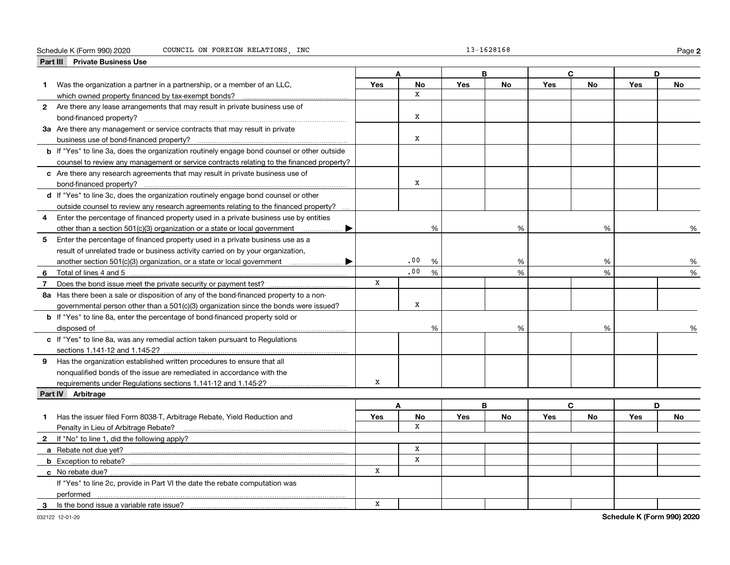#### Schedule K (Form 990) 2020 COUNCIL ON FOREIGN RELATIONS,INC 13-1628168 Page

**2**

|                | Part III Private Business Use                                                                      |             |              |      |            |           |            |           |            |    |
|----------------|----------------------------------------------------------------------------------------------------|-------------|--------------|------|------------|-----------|------------|-----------|------------|----|
|                |                                                                                                    |             |              |      |            | в         |            | c         |            | D  |
| 1.             | Was the organization a partner in a partnership, or a member of an LLC,                            | <b>Yes</b>  | <b>No</b>    |      | <b>Yes</b> | <b>No</b> | <b>Yes</b> | <b>No</b> | Yes        | No |
|                |                                                                                                    |             | $\mathbf{x}$ |      |            |           |            |           |            |    |
|                | 2 Are there any lease arrangements that may result in private business use of                      |             |              |      |            |           |            |           |            |    |
|                |                                                                                                    |             | $\mathbf X$  |      |            |           |            |           |            |    |
|                | 3a Are there any management or service contracts that may result in private                        |             |              |      |            |           |            |           |            |    |
|                |                                                                                                    |             | $\mathbf x$  |      |            |           |            |           |            |    |
|                | <b>b</b> If "Yes" to line 3a, does the organization routinely engage bond counsel or other outside |             |              |      |            |           |            |           |            |    |
|                | counsel to review any management or service contracts relating to the financed property?           |             |              |      |            |           |            |           |            |    |
|                | c Are there any research agreements that may result in private business use of                     |             |              |      |            |           |            |           |            |    |
|                |                                                                                                    |             | x            |      |            |           |            |           |            |    |
|                | d If "Yes" to line 3c, does the organization routinely engage bond counsel or other                |             |              |      |            |           |            |           |            |    |
|                | outside counsel to review any research agreements relating to the financed property?               |             |              |      |            |           |            |           |            |    |
| 4              | Enter the percentage of financed property used in a private business use by entities               |             |              |      |            |           |            |           |            |    |
|                | other than a section 501(c)(3) organization or a state or local government                         |             |              | %    |            | %         |            | %         |            | %  |
| 5              | Enter the percentage of financed property used in a private business use as a                      |             |              |      |            |           |            |           |            |    |
|                | result of unrelated trade or business activity carried on by your organization,                    |             |              |      |            |           |            |           |            |    |
|                | another section 501(c)(3) organization, or a state or local government manument                    |             | .00          | $\%$ |            | %         |            | %         |            | %  |
| 6              | Total of lines 4 and 5                                                                             |             | .00          | %    |            | %         |            | %         |            | %  |
| $\overline{7}$ |                                                                                                    | X           |              |      |            |           |            |           |            |    |
|                | 8a Has there been a sale or disposition of any of the bond-financed property to a non-             |             |              |      |            |           |            |           |            |    |
|                | governmental person other than a 501(c)(3) organization since the bonds were issued?               |             | x            |      |            |           |            |           |            |    |
|                | <b>b</b> If "Yes" to line 8a, enter the percentage of bond-financed property sold or               |             |              |      |            |           |            |           |            |    |
|                | disposed of                                                                                        |             |              | %    |            | %         |            | %         |            |    |
|                | c If "Yes" to line 8a, was any remedial action taken pursuant to Regulations                       |             |              |      |            |           |            |           |            |    |
|                |                                                                                                    |             |              |      |            |           |            |           |            |    |
| 9              | Has the organization established written procedures to ensure that all                             |             |              |      |            |           |            |           |            |    |
|                | nonqualified bonds of the issue are remediated in accordance with the                              |             |              |      |            |           |            |           |            |    |
|                | requirements under Regulations sections 1.141-12 and 1.145-2?                                      | X           |              |      |            |           |            |           |            |    |
|                | Part IV Arbitrage                                                                                  |             |              |      |            |           |            |           |            |    |
|                |                                                                                                    |             | A            |      | B          |           |            | C.        |            | D  |
| 1              | Has the issuer filed Form 8038-T, Arbitrage Rebate, Yield Reduction and                            | Yes         | No           |      | <b>Yes</b> | <b>No</b> | <b>Yes</b> | No        | <b>Yes</b> | No |
|                | Penalty in Lieu of Arbitrage Rebate?                                                               |             | X            |      |            |           |            |           |            |    |
|                | 2 If "No" to line 1, did the following apply?                                                      |             |              |      |            |           |            |           |            |    |
|                |                                                                                                    |             | $\mathbf x$  |      |            |           |            |           |            |    |
|                | <b>b</b> Exception to rebate?                                                                      |             | X            |      |            |           |            |           |            |    |
|                | c No rebate due?                                                                                   | x           |              |      |            |           |            |           |            |    |
|                | If "Yes" to line 2c, provide in Part VI the date the rebate computation was                        |             |              |      |            |           |            |           |            |    |
|                | performed                                                                                          |             |              |      |            |           |            |           |            |    |
| 3              | Is the bond issue a variable rate issue?                                                           | $\mathbf X$ |              |      |            |           |            |           |            |    |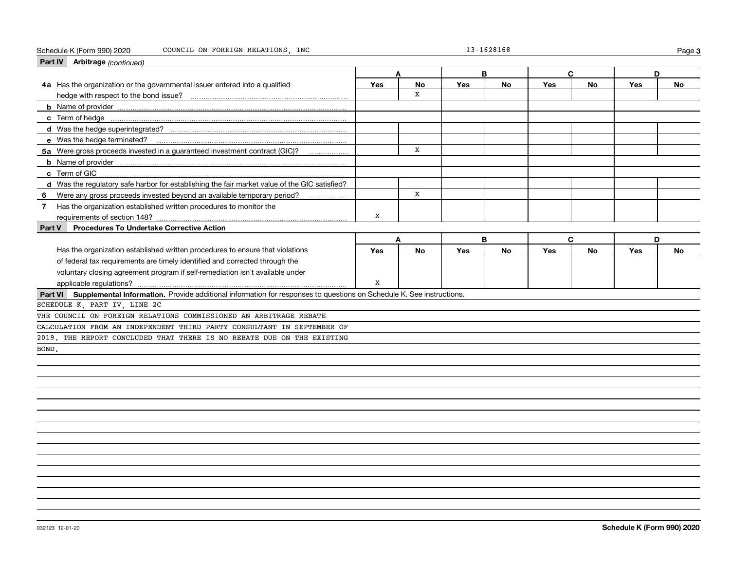#### Schedule K (Form 990) 2020 COUNCIL ON FOREIGN RELATIONS,INC 13-1628168 Page

| Part IV Arbitrage (continued)                                                                                                |     |    |            |           |     |    |     |           |
|------------------------------------------------------------------------------------------------------------------------------|-----|----|------------|-----------|-----|----|-----|-----------|
|                                                                                                                              |     | A  | B          |           | C   |    | D   |           |
| 4a Has the organization or the governmental issuer entered into a qualified                                                  | Yes | No | Yes        | No        | Yes | No | Yes | <b>No</b> |
|                                                                                                                              |     | x  |            |           |     |    |     |           |
|                                                                                                                              |     |    |            |           |     |    |     |           |
|                                                                                                                              |     |    |            |           |     |    |     |           |
|                                                                                                                              |     |    |            |           |     |    |     |           |
|                                                                                                                              |     |    |            |           |     |    |     |           |
| 5a Were gross proceeds invested in a guaranteed investment contract (GIC)?                                                   |     | x  |            |           |     |    |     |           |
|                                                                                                                              |     |    |            |           |     |    |     |           |
| c Term of GIC                                                                                                                |     |    |            |           |     |    |     |           |
| d Was the regulatory safe harbor for establishing the fair market value of the GIC satisfied?                                |     |    |            |           |     |    |     |           |
| Were any gross proceeds invested beyond an available temporary period?<br>- 6                                                |     | X  |            |           |     |    |     |           |
| Has the organization established written procedures to monitor the<br>$\overline{7}$                                         |     |    |            |           |     |    |     |           |
| requirements of section 148?                                                                                                 | X   |    |            |           |     |    |     |           |
| <b>Procedures To Undertake Corrective Action</b><br><b>Part V</b>                                                            |     |    |            |           |     |    |     |           |
|                                                                                                                              |     | A  | B          |           | C   |    | D   |           |
| Has the organization established written procedures to ensure that violations                                                | Yes | No | <b>Yes</b> | <b>No</b> | Yes | No | Yes | <b>No</b> |
| of federal tax requirements are timely identified and corrected through the                                                  |     |    |            |           |     |    |     |           |
| voluntary closing agreement program if self-remediation isn't available under                                                |     |    |            |           |     |    |     |           |
|                                                                                                                              | X   |    |            |           |     |    |     |           |
| Part VI Supplemental Information. Provide additional information for responses to questions on Schedule K. See instructions. |     |    |            |           |     |    |     |           |
| SCHEDULE K, PART IV, LINE 2C                                                                                                 |     |    |            |           |     |    |     |           |
| THE COUNCIL ON FOREIGN RELATIONS COMMISSIONED AN ARBITRAGE REBATE                                                            |     |    |            |           |     |    |     |           |
| CALCULATION FROM AN INDEPENDENT THIRD PARTY CONSULTANT IN SEPTEMBER OF                                                       |     |    |            |           |     |    |     |           |
| 2019. THE REPORT CONCLUDED THAT THERE IS NO REBATE DUE ON THE EXISTING                                                       |     |    |            |           |     |    |     |           |
| BOND.                                                                                                                        |     |    |            |           |     |    |     |           |
|                                                                                                                              |     |    |            |           |     |    |     |           |
|                                                                                                                              |     |    |            |           |     |    |     |           |
|                                                                                                                              |     |    |            |           |     |    |     |           |
|                                                                                                                              |     |    |            |           |     |    |     |           |

**3**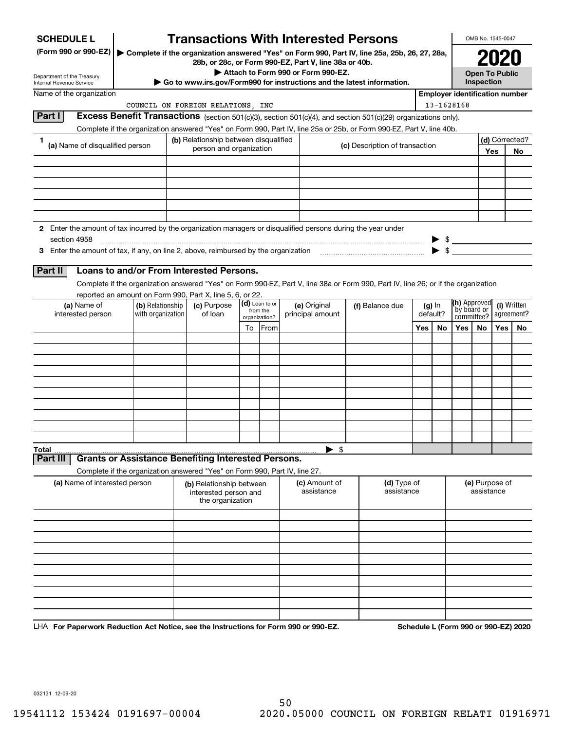| <b>SCHEDULE L</b>                                                                                                                                                                                                             |                                                                            |  | <b>Transactions With Interested Persons</b> |  |                |                                                                                             |                                                                                                                                    |     |                                                     |                           | OMB No. 1545-0047     |     |                |  |
|-------------------------------------------------------------------------------------------------------------------------------------------------------------------------------------------------------------------------------|----------------------------------------------------------------------------|--|---------------------------------------------|--|----------------|---------------------------------------------------------------------------------------------|------------------------------------------------------------------------------------------------------------------------------------|-----|-----------------------------------------------------|---------------------------|-----------------------|-----|----------------|--|
| (Form 990 or 990-EZ)                                                                                                                                                                                                          |                                                                            |  |                                             |  |                |                                                                                             | Complete if the organization answered "Yes" on Form 990, Part IV, line 25a, 25b, 26, 27, 28a,                                      |     |                                                     |                           |                       |     |                |  |
|                                                                                                                                                                                                                               |                                                                            |  |                                             |  |                | 28b, or 28c, or Form 990-EZ, Part V, line 38a or 40b.<br>Attach to Form 990 or Form 990-EZ. |                                                                                                                                    |     |                                                     |                           | <b>Open To Public</b> |     |                |  |
| Department of the Treasury<br>Internal Revenue Service                                                                                                                                                                        |                                                                            |  |                                             |  |                |                                                                                             | ► Go to www.irs.gov/Form990 for instructions and the latest information.                                                           |     |                                                     |                           | Inspection            |     |                |  |
| Name of the organization                                                                                                                                                                                                      |                                                                            |  |                                             |  |                |                                                                                             |                                                                                                                                    |     | <b>Employer identification number</b><br>13-1628168 |                           |                       |     |                |  |
| Part I                                                                                                                                                                                                                        |                                                                            |  | COUNCIL ON FOREIGN RELATIONS, INC           |  |                |                                                                                             | Excess Benefit Transactions (section 501(c)(3), section 501(c)(4), and section 501(c)(29) organizations only).                     |     |                                                     |                           |                       |     |                |  |
|                                                                                                                                                                                                                               |                                                                            |  |                                             |  |                |                                                                                             | Complete if the organization answered "Yes" on Form 990, Part IV, line 25a or 25b, or Form 990-EZ, Part V, line 40b.               |     |                                                     |                           |                       |     |                |  |
| 1<br>(a) Name of disqualified person                                                                                                                                                                                          |                                                                            |  | (b) Relationship between disqualified       |  |                |                                                                                             |                                                                                                                                    |     |                                                     |                           |                       |     | (d) Corrected? |  |
|                                                                                                                                                                                                                               |                                                                            |  | person and organization                     |  |                |                                                                                             | (c) Description of transaction                                                                                                     |     |                                                     |                           |                       | Yes | No             |  |
|                                                                                                                                                                                                                               |                                                                            |  |                                             |  |                |                                                                                             |                                                                                                                                    |     |                                                     |                           |                       |     |                |  |
|                                                                                                                                                                                                                               |                                                                            |  |                                             |  |                |                                                                                             |                                                                                                                                    |     |                                                     |                           |                       |     |                |  |
|                                                                                                                                                                                                                               |                                                                            |  |                                             |  |                |                                                                                             |                                                                                                                                    |     |                                                     |                           |                       |     |                |  |
|                                                                                                                                                                                                                               |                                                                            |  |                                             |  |                |                                                                                             |                                                                                                                                    |     |                                                     |                           |                       |     |                |  |
|                                                                                                                                                                                                                               |                                                                            |  |                                             |  |                |                                                                                             |                                                                                                                                    |     |                                                     |                           |                       |     |                |  |
| 2 Enter the amount of tax incurred by the organization managers or disqualified persons during the year under<br>section 4958                                                                                                 |                                                                            |  |                                             |  |                |                                                                                             |                                                                                                                                    |     |                                                     | $\triangleright$ \$       |                       |     |                |  |
| 3 Enter the amount of tax, if any, on line 2, above, reimbursed by the organization match match match and the stress of the stress of the stress of the stress of the stress of the stress of the stress of the stress of the |                                                                            |  |                                             |  |                |                                                                                             |                                                                                                                                    |     | $\blacktriangleright$ \$                            |                           |                       |     |                |  |
|                                                                                                                                                                                                                               |                                                                            |  |                                             |  |                |                                                                                             |                                                                                                                                    |     |                                                     |                           |                       |     |                |  |
| Part II                                                                                                                                                                                                                       | Loans to and/or From Interested Persons.                                   |  |                                             |  |                |                                                                                             |                                                                                                                                    |     |                                                     |                           |                       |     |                |  |
|                                                                                                                                                                                                                               | reported an amount on Form 990, Part X, line 5, 6, or 22.                  |  |                                             |  |                |                                                                                             | Complete if the organization answered "Yes" on Form 990-EZ, Part V, line 38a or Form 990, Part IV, line 26; or if the organization |     |                                                     |                           |                       |     |                |  |
| (a) Name of                                                                                                                                                                                                                   | (b) Relationship                                                           |  | (c) Purpose                                 |  | (d) Loan to or | (e) Original                                                                                | (f) Balance due                                                                                                                    |     | (g) In                                              | (h) Approved              |                       |     | (i) Written    |  |
| interested person                                                                                                                                                                                                             | with organization                                                          |  | from the<br>of loan<br>organization?        |  |                | principal amount                                                                            |                                                                                                                                    |     | default?                                            | by board or<br>committee? |                       |     | agreement?     |  |
|                                                                                                                                                                                                                               |                                                                            |  |                                             |  | To From        |                                                                                             |                                                                                                                                    | Yes | No                                                  | Yes                       | No.                   | Yes | No             |  |
|                                                                                                                                                                                                                               |                                                                            |  |                                             |  |                |                                                                                             |                                                                                                                                    |     |                                                     |                           |                       |     |                |  |
|                                                                                                                                                                                                                               |                                                                            |  |                                             |  |                |                                                                                             |                                                                                                                                    |     |                                                     |                           |                       |     |                |  |
|                                                                                                                                                                                                                               |                                                                            |  |                                             |  |                |                                                                                             |                                                                                                                                    |     |                                                     |                           |                       |     |                |  |
|                                                                                                                                                                                                                               |                                                                            |  |                                             |  |                |                                                                                             |                                                                                                                                    |     |                                                     |                           |                       |     |                |  |
|                                                                                                                                                                                                                               |                                                                            |  |                                             |  |                |                                                                                             |                                                                                                                                    |     |                                                     |                           |                       |     |                |  |
|                                                                                                                                                                                                                               |                                                                            |  |                                             |  |                |                                                                                             |                                                                                                                                    |     |                                                     |                           |                       |     |                |  |
|                                                                                                                                                                                                                               |                                                                            |  |                                             |  |                |                                                                                             |                                                                                                                                    |     |                                                     |                           |                       |     |                |  |
|                                                                                                                                                                                                                               |                                                                            |  |                                             |  |                |                                                                                             |                                                                                                                                    |     |                                                     |                           |                       |     |                |  |
| Total                                                                                                                                                                                                                         |                                                                            |  |                                             |  |                | $\blacktriangleright$ \$                                                                    |                                                                                                                                    |     |                                                     |                           |                       |     |                |  |
| Part III                                                                                                                                                                                                                      | <b>Grants or Assistance Benefiting Interested Persons.</b>                 |  |                                             |  |                |                                                                                             |                                                                                                                                    |     |                                                     |                           |                       |     |                |  |
| (a) Name of interested person                                                                                                                                                                                                 | Complete if the organization answered "Yes" on Form 990, Part IV, line 27. |  | (b) Relationship between                    |  |                | (c) Amount of                                                                               | (d) Type of                                                                                                                        |     |                                                     |                           | (e) Purpose of        |     |                |  |
|                                                                                                                                                                                                                               |                                                                            |  | interested person and<br>the organization   |  |                | assistance                                                                                  | assistance                                                                                                                         |     |                                                     |                           | assistance            |     |                |  |
|                                                                                                                                                                                                                               |                                                                            |  |                                             |  |                |                                                                                             |                                                                                                                                    |     |                                                     |                           |                       |     |                |  |
|                                                                                                                                                                                                                               |                                                                            |  |                                             |  |                |                                                                                             |                                                                                                                                    |     |                                                     |                           |                       |     |                |  |
|                                                                                                                                                                                                                               |                                                                            |  |                                             |  |                |                                                                                             |                                                                                                                                    |     |                                                     |                           |                       |     |                |  |
|                                                                                                                                                                                                                               |                                                                            |  |                                             |  |                |                                                                                             |                                                                                                                                    |     |                                                     |                           |                       |     |                |  |
|                                                                                                                                                                                                                               |                                                                            |  |                                             |  |                |                                                                                             |                                                                                                                                    |     |                                                     |                           |                       |     |                |  |
|                                                                                                                                                                                                                               |                                                                            |  |                                             |  |                |                                                                                             |                                                                                                                                    |     |                                                     |                           |                       |     |                |  |
|                                                                                                                                                                                                                               |                                                                            |  |                                             |  |                |                                                                                             |                                                                                                                                    |     |                                                     |                           |                       |     |                |  |
|                                                                                                                                                                                                                               |                                                                            |  |                                             |  |                |                                                                                             |                                                                                                                                    |     |                                                     |                           |                       |     |                |  |
|                                                                                                                                                                                                                               |                                                                            |  |                                             |  |                |                                                                                             |                                                                                                                                    |     |                                                     |                           |                       |     |                |  |

LHA For Paperwork Reduction Act Notice, see the Instructions for Form 990 or 990-EZ. Schedule L (Form 990 or 990-EZ) 2020

032131 12-09-20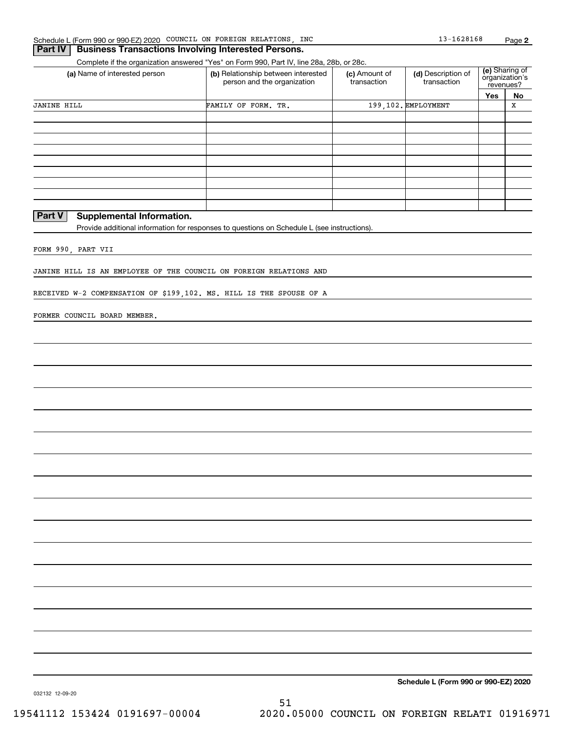| (a) Name of interested person                                       |                                                                                             | Complete if the organization answered "Yes" on Form 990, Part IV, line 28a, 28b, or 28c. |                                   |                                               |             |
|---------------------------------------------------------------------|---------------------------------------------------------------------------------------------|------------------------------------------------------------------------------------------|-----------------------------------|-----------------------------------------------|-------------|
|                                                                     | (b) Relationship between interested<br>person and the organization                          | (c) Amount of<br>transaction                                                             | (d) Description of<br>transaction | (e) Sharing of<br>organization's<br>revenues? |             |
|                                                                     |                                                                                             |                                                                                          |                                   | Yes                                           | <u>No</u>   |
| <b>JANINE HILL</b>                                                  | FAMILY OF FORM. TR.                                                                         |                                                                                          | 199, 102. EMPLOYMENT              |                                               | $\mathbf X$ |
|                                                                     |                                                                                             |                                                                                          |                                   |                                               |             |
|                                                                     |                                                                                             |                                                                                          |                                   |                                               |             |
|                                                                     |                                                                                             |                                                                                          |                                   |                                               |             |
|                                                                     |                                                                                             |                                                                                          |                                   |                                               |             |
|                                                                     |                                                                                             |                                                                                          |                                   |                                               |             |
|                                                                     |                                                                                             |                                                                                          |                                   |                                               |             |
|                                                                     |                                                                                             |                                                                                          |                                   |                                               |             |
|                                                                     |                                                                                             |                                                                                          |                                   |                                               |             |
| Part V<br><b>Supplemental Information.</b>                          |                                                                                             |                                                                                          |                                   |                                               |             |
|                                                                     | Provide additional information for responses to questions on Schedule L (see instructions). |                                                                                          |                                   |                                               |             |
|                                                                     |                                                                                             |                                                                                          |                                   |                                               |             |
| FORM 990, PART VII                                                  |                                                                                             |                                                                                          |                                   |                                               |             |
|                                                                     |                                                                                             |                                                                                          |                                   |                                               |             |
| JANINE HILL IS AN EMPLOYEE OF THE COUNCIL ON FOREIGN RELATIONS AND  |                                                                                             |                                                                                          |                                   |                                               |             |
|                                                                     |                                                                                             |                                                                                          |                                   |                                               |             |
| RECEIVED W-2 COMPENSATION OF \$199,102. MS. HILL IS THE SPOUSE OF A |                                                                                             |                                                                                          |                                   |                                               |             |
|                                                                     |                                                                                             |                                                                                          |                                   |                                               |             |
| FORMER COUNCIL BOARD MEMBER.                                        |                                                                                             |                                                                                          |                                   |                                               |             |
|                                                                     |                                                                                             |                                                                                          |                                   |                                               |             |
|                                                                     |                                                                                             |                                                                                          |                                   |                                               |             |
|                                                                     |                                                                                             |                                                                                          |                                   |                                               |             |
|                                                                     |                                                                                             |                                                                                          |                                   |                                               |             |
|                                                                     |                                                                                             |                                                                                          |                                   |                                               |             |
|                                                                     |                                                                                             |                                                                                          |                                   |                                               |             |
|                                                                     |                                                                                             |                                                                                          |                                   |                                               |             |
|                                                                     |                                                                                             |                                                                                          |                                   |                                               |             |
|                                                                     |                                                                                             |                                                                                          |                                   |                                               |             |
|                                                                     |                                                                                             |                                                                                          |                                   |                                               |             |
|                                                                     |                                                                                             |                                                                                          |                                   |                                               |             |
|                                                                     |                                                                                             |                                                                                          |                                   |                                               |             |
|                                                                     |                                                                                             |                                                                                          |                                   |                                               |             |
|                                                                     |                                                                                             |                                                                                          |                                   |                                               |             |
|                                                                     |                                                                                             |                                                                                          |                                   |                                               |             |
|                                                                     |                                                                                             |                                                                                          |                                   |                                               |             |
|                                                                     |                                                                                             |                                                                                          |                                   |                                               |             |
|                                                                     |                                                                                             |                                                                                          |                                   |                                               |             |
|                                                                     |                                                                                             |                                                                                          |                                   |                                               |             |
|                                                                     |                                                                                             |                                                                                          |                                   |                                               |             |
|                                                                     |                                                                                             |                                                                                          |                                   |                                               |             |
|                                                                     |                                                                                             |                                                                                          |                                   |                                               |             |
|                                                                     |                                                                                             |                                                                                          |                                   |                                               |             |
|                                                                     |                                                                                             |                                                                                          |                                   |                                               |             |
|                                                                     |                                                                                             |                                                                                          |                                   |                                               |             |
|                                                                     |                                                                                             |                                                                                          |                                   |                                               |             |
|                                                                     |                                                                                             |                                                                                          |                                   |                                               |             |
|                                                                     |                                                                                             |                                                                                          |                                   |                                               |             |
|                                                                     |                                                                                             |                                                                                          |                                   |                                               |             |
|                                                                     |                                                                                             |                                                                                          |                                   |                                               |             |
|                                                                     |                                                                                             |                                                                                          |                                   |                                               |             |
|                                                                     |                                                                                             |                                                                                          |                                   |                                               |             |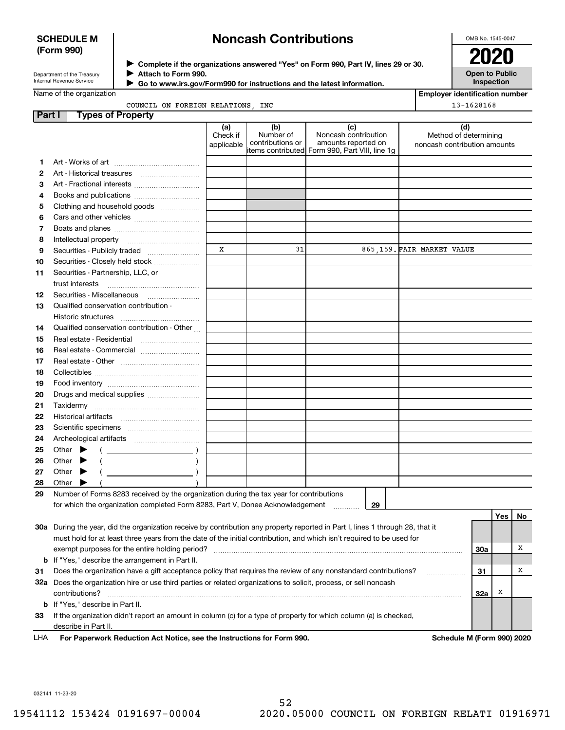### **SCHEDULE M (Form 990)**

# **Noncash Contributions**

OMB No. 1545-0047

| Department of the Treasury |
|----------------------------|
| Internal Revenue Service   |

**Complete if the organizations answered "Yes" on Form 990, Part IV, lines 29 or 30.** <sup>J</sup>**2020 Attach to Form 990.** J

**Open to Public Inspection**

|  | Name of the organization |
|--|--------------------------|
|  |                          |

 **Go to www.irs.gov/Form990 for instructions and the latest information.** J

| of the organization |  |                                  |  |
|---------------------|--|----------------------------------|--|
|                     |  | COUNCIL ON FOREIGN RELATIONS INC |  |

**Employer identification number**  $\overline{8}$ 

|  | 13-162816 |
|--|-----------|

| Part I   | <b>Types of Property</b>                                                                                                       |                 |                  |                                                 |                              |            |     |    |
|----------|--------------------------------------------------------------------------------------------------------------------------------|-----------------|------------------|-------------------------------------------------|------------------------------|------------|-----|----|
|          |                                                                                                                                | (a)<br>Check if | (b)<br>Number of | (c)<br>Noncash contribution                     | (d)<br>Method of determining |            |     |    |
|          |                                                                                                                                | applicable      | contributions or | amounts reported on                             | noncash contribution amounts |            |     |    |
|          |                                                                                                                                |                 |                  | items contributed  Form 990, Part VIII, line 1g |                              |            |     |    |
| 1        |                                                                                                                                |                 |                  |                                                 |                              |            |     |    |
| 2        |                                                                                                                                |                 |                  |                                                 |                              |            |     |    |
| з        | Art - Fractional interests                                                                                                     |                 |                  |                                                 |                              |            |     |    |
| 4        | Books and publications                                                                                                         |                 |                  |                                                 |                              |            |     |    |
| 5        | Clothing and household goods                                                                                                   |                 |                  |                                                 |                              |            |     |    |
| 6        |                                                                                                                                |                 |                  |                                                 |                              |            |     |    |
| 7        |                                                                                                                                |                 |                  |                                                 |                              |            |     |    |
| 8        |                                                                                                                                | x               | 31               |                                                 |                              |            |     |    |
| 9        | Securities - Publicly traded                                                                                                   |                 |                  |                                                 | 865,159. FAIR MARKET VALUE   |            |     |    |
| 10       | Securities - Closely held stock                                                                                                |                 |                  |                                                 |                              |            |     |    |
| 11       | Securities - Partnership, LLC, or                                                                                              |                 |                  |                                                 |                              |            |     |    |
|          | trust interests                                                                                                                |                 |                  |                                                 |                              |            |     |    |
| 12       |                                                                                                                                |                 |                  |                                                 |                              |            |     |    |
| 13       | Qualified conservation contribution -                                                                                          |                 |                  |                                                 |                              |            |     |    |
|          | Historic structures<br>Qualified conservation contribution - Other                                                             |                 |                  |                                                 |                              |            |     |    |
| 14       | Real estate - Residential                                                                                                      |                 |                  |                                                 |                              |            |     |    |
| 15       |                                                                                                                                |                 |                  |                                                 |                              |            |     |    |
| 16       | Real estate - Commercial                                                                                                       |                 |                  |                                                 |                              |            |     |    |
| 17<br>18 |                                                                                                                                |                 |                  |                                                 |                              |            |     |    |
|          |                                                                                                                                |                 |                  |                                                 |                              |            |     |    |
| 19<br>20 | Drugs and medical supplies                                                                                                     |                 |                  |                                                 |                              |            |     |    |
| 21       |                                                                                                                                |                 |                  |                                                 |                              |            |     |    |
| 22       |                                                                                                                                |                 |                  |                                                 |                              |            |     |    |
| 23       |                                                                                                                                |                 |                  |                                                 |                              |            |     |    |
| 24       |                                                                                                                                |                 |                  |                                                 |                              |            |     |    |
| 25       | Other $\blacktriangleright$                                                                                                    |                 |                  |                                                 |                              |            |     |    |
| 26       | $\overline{\phantom{a}}$ ( $\overline{\phantom{a}}$ )<br>Other                                                                 |                 |                  |                                                 |                              |            |     |    |
| 27       | $\overline{\phantom{a}}$ )<br>Other                                                                                            |                 |                  |                                                 |                              |            |     |    |
| 28       | Other                                                                                                                          |                 |                  |                                                 |                              |            |     |    |
| 29       | Number of Forms 8283 received by the organization during the tax year for contributions                                        |                 |                  |                                                 |                              |            |     |    |
|          | for which the organization completed Form 8283, Part V, Donee Acknowledgement                                                  |                 |                  | 29                                              |                              |            |     |    |
|          |                                                                                                                                |                 |                  |                                                 |                              |            | Yes | No |
|          | 30a During the year, did the organization receive by contribution any property reported in Part I, lines 1 through 28, that it |                 |                  |                                                 |                              |            |     |    |
|          | must hold for at least three years from the date of the initial contribution, and which isn't required to be used for          |                 |                  |                                                 |                              |            |     |    |
|          | exempt purposes for the entire holding period?                                                                                 |                 |                  |                                                 |                              | <b>30a</b> |     | Х  |
|          | <b>b</b> If "Yes," describe the arrangement in Part II.                                                                        |                 |                  |                                                 |                              |            |     |    |
| 31       | Does the organization have a gift acceptance policy that requires the review of any nonstandard contributions?                 |                 |                  |                                                 |                              | 31         |     | Χ  |
|          | 32a Does the organization hire or use third parties or related organizations to solicit, process, or sell noncash              |                 |                  |                                                 |                              |            |     |    |
|          | contributions?                                                                                                                 |                 |                  |                                                 |                              | 32a        | x   |    |
|          | <b>b</b> If "Yes," describe in Part II.                                                                                        |                 |                  |                                                 |                              |            |     |    |

**33**If the organization didn't report an amount in column (c) for a type of property for which column (a) is checked, describe in Part II.

**For Paperwork Reduction Act Notice, see the Instructions for Form 990. Schedule M (Form 990) 2020** LHA

032141 11-23-20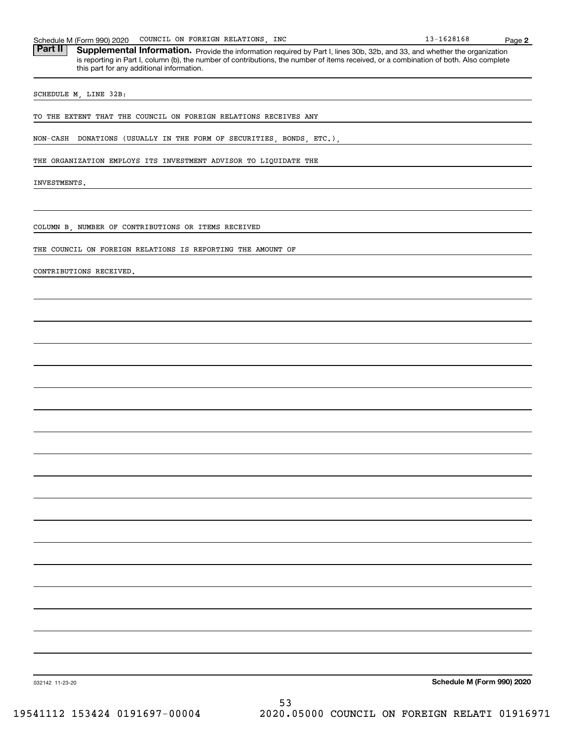| TO THE EXTENT THAT THE COUNCIL ON FOREIGN RELATIONS RECEIVES ANY     |
|----------------------------------------------------------------------|
| NON-CASH DONATIONS (USUALLY IN THE FORM OF SECURITIES, BONDS, ETC.), |
| THE ORGANIZATION EMPLOYS ITS INVESTMENT ADVISOR TO LIQUIDATE THE     |
| INVESTMENTS.                                                         |
|                                                                      |
| COLUMN B, NUMBER OF CONTRIBUTIONS OR ITEMS RECEIVED                  |
| THE COUNCIL ON FOREIGN RELATIONS IS REPORTING THE AMOUNT OF          |
| CONTRIBUTIONS RECEIVED.                                              |
|                                                                      |
|                                                                      |
|                                                                      |
|                                                                      |
|                                                                      |
|                                                                      |
|                                                                      |
|                                                                      |
|                                                                      |
|                                                                      |
|                                                                      |
|                                                                      |
|                                                                      |
|                                                                      |
|                                                                      |
|                                                                      |
|                                                                      |
|                                                                      |
|                                                                      |
|                                                                      |
|                                                                      |
| Schedule M (Form 990) 2020<br>032142 11-23-20                        |

Part II | Supplemental Information. Provide the information required by Part I, lines 30b, 32b, and 33, and whether the organization is reporting in Part I, column (b), the number of contributions, the number of items received, or a combination of both. Also complete this part for any additional information.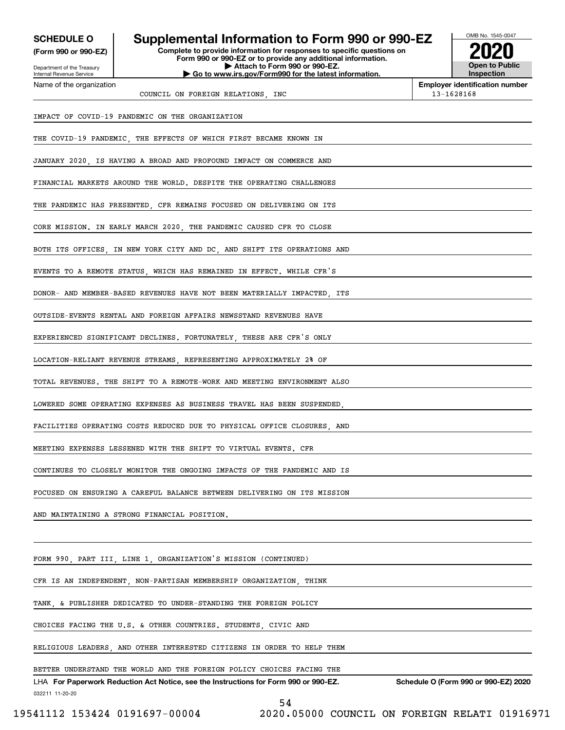| <b>SCHEDULE O</b><br>(Form 990 or 990-EZ)                              | Supplemental Information to Form 990 or 990-EZ<br>Complete to provide information for responses to specific questions on<br>Form 990 or 990-EZ or to provide any additional information. |  | OMB No. 1545-0047                          |  |  |  |
|------------------------------------------------------------------------|------------------------------------------------------------------------------------------------------------------------------------------------------------------------------------------|--|--------------------------------------------|--|--|--|
| Department of the Treasury<br>Internal Revenue Service                 | Attach to Form 990 or 990-EZ.<br>Go to www.irs.gov/Form990 for the latest information.                                                                                                   |  | <b>Open to Public</b><br><b>Inspection</b> |  |  |  |
| Name of the organization                                               |                                                                                                                                                                                          |  | <b>Employer identification number</b>      |  |  |  |
|                                                                        | COUNCIL ON FOREIGN RELATIONS, INC                                                                                                                                                        |  | 13-1628168                                 |  |  |  |
|                                                                        | IMPACT OF COVID-19 PANDEMIC ON THE ORGANIZATION                                                                                                                                          |  |                                            |  |  |  |
|                                                                        | THE COVID-19 PANDEMIC, THE EFFECTS OF WHICH FIRST BECAME KNOWN IN                                                                                                                        |  |                                            |  |  |  |
|                                                                        | JANUARY 2020, IS HAVING A BROAD AND PROFOUND IMPACT ON COMMERCE AND                                                                                                                      |  |                                            |  |  |  |
|                                                                        | FINANCIAL MARKETS AROUND THE WORLD. DESPITE THE OPERATING CHALLENGES                                                                                                                     |  |                                            |  |  |  |
|                                                                        | THE PANDEMIC HAS PRESENTED, CFR REMAINS FOCUSED ON DELIVERING ON ITS                                                                                                                     |  |                                            |  |  |  |
|                                                                        | CORE MISSION. IN EARLY MARCH 2020, THE PANDEMIC CAUSED CFR TO CLOSE                                                                                                                      |  |                                            |  |  |  |
|                                                                        | BOTH ITS OFFICES, IN NEW YORK CITY AND DC, AND SHIFT ITS OPERATIONS AND                                                                                                                  |  |                                            |  |  |  |
|                                                                        | EVENTS TO A REMOTE STATUS, WHICH HAS REMAINED IN EFFECT. WHILE CFR'S                                                                                                                     |  |                                            |  |  |  |
|                                                                        | DONOR- AND MEMBER-BASED REVENUES HAVE NOT BEEN MATERIALLY IMPACTED ITS                                                                                                                   |  |                                            |  |  |  |
|                                                                        | OUTSIDE-EVENTS RENTAL AND FOREIGN AFFAIRS NEWSSTAND REVENUES HAVE                                                                                                                        |  |                                            |  |  |  |
|                                                                        | EXPERIENCED SIGNIFICANT DECLINES. FORTUNATELY, THESE ARE CFR'S ONLY                                                                                                                      |  |                                            |  |  |  |
|                                                                        | LOCATION-RELIANT REVENUE STREAMS, REPRESENTING APPROXIMATELY 2% OF                                                                                                                       |  |                                            |  |  |  |
|                                                                        | TOTAL REVENUES. THE SHIFT TO A REMOTE-WORK AND MEETING ENVIRONMENT ALSO                                                                                                                  |  |                                            |  |  |  |
|                                                                        | LOWERED SOME OPERATING EXPENSES AS BUSINESS TRAVEL HAS BEEN SUSPENDED,                                                                                                                   |  |                                            |  |  |  |
|                                                                        | FACILITIES OPERATING COSTS REDUCED DUE TO PHYSICAL OFFICE CLOSURES AND                                                                                                                   |  |                                            |  |  |  |
|                                                                        | MEETING EXPENSES LESSENED WITH THE SHIFT TO VIRTUAL EVENTS. CFR                                                                                                                          |  |                                            |  |  |  |
|                                                                        | CONTINUES TO CLOSELY MONITOR THE ONGOING IMPACTS OF THE PANDEMIC AND IS                                                                                                                  |  |                                            |  |  |  |
|                                                                        | FOCUSED ON ENSURING A CAREFUL BALANCE BETWEEN DELIVERING ON ITS MISSION                                                                                                                  |  |                                            |  |  |  |
|                                                                        | AND MAINTAINING A STRONG FINANCIAL POSITION.                                                                                                                                             |  |                                            |  |  |  |
|                                                                        |                                                                                                                                                                                          |  |                                            |  |  |  |
|                                                                        | FORM 990, PART III, LINE 1, ORGANIZATION'S MISSION (CONTINUED)                                                                                                                           |  |                                            |  |  |  |
|                                                                        | CFR IS AN INDEPENDENT, NON-PARTISAN MEMBERSHIP ORGANIZATION, THINK                                                                                                                       |  |                                            |  |  |  |
|                                                                        | TANK, & PUBLISHER DEDICATED TO UNDER-STANDING THE FOREIGN POLICY                                                                                                                         |  |                                            |  |  |  |
|                                                                        | CHOICES FACING THE U.S. & OTHER COUNTRIES. STUDENTS, CIVIC AND                                                                                                                           |  |                                            |  |  |  |
| RELIGIOUS LEADERS, AND OTHER INTERESTED CITIZENS IN ORDER TO HELP THEM |                                                                                                                                                                                          |  |                                            |  |  |  |

BETTER UNDERSTAND THE WORLD AND THE FOREIGN POLICY CHOICES FACING THE

032211 11-20-20 LHA For Paperwork Reduction Act Notice, see the Instructions for Form 990 or 990-EZ. Schedule O (Form 990 or 990-EZ) 2020 54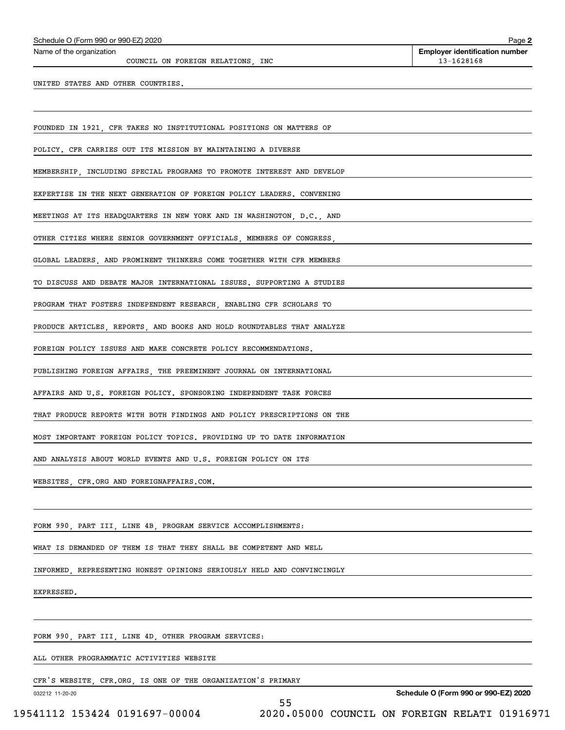COUNCIL ON FOREIGN RELATIONS, INC 13-1628168

UNITED STATES AND OTHER COUNTRIES.

FOUNDED IN 1921, CFR TAKES NO INSTITUTIONAL POSITIONS ON MATTERS OF

POLICY. CFR CARRIES OUT ITS MISSION BY MAINTAINING A DIVERSE

MEMBERSHIP, INCLUDING SPECIAL PROGRAMS TO PROMOTE INTEREST AND DEVELOP

EXPERTISE IN THE NEXT GENERATION OF FOREIGN POLICY LEADERS. CONVENING

MEETINGS AT ITS HEADQUARTERS IN NEW YORK AND IN WASHINGTON, D.C., AND

OTHER CITIES WHERE SENIOR GOVERNMENT OFFICIALS, MEMBERS OF CONGRESS,

GLOBAL LEADERS, AND PROMINENT THINKERS COME TOGETHER WITH CFR MEMBERS

TO DISCUSS AND DEBATE MAJOR INTERNATIONAL ISSUES. SUPPORTING A STUDIES

PROGRAM THAT FOSTERS INDEPENDENT RESEARCH, ENABLING CFR SCHOLARS TO

PRODUCE ARTICLES, REPORTS, AND BOOKS AND HOLD ROUNDTABLES THAT ANALYZE

FOREIGN POLICY ISSUES AND MAKE CONCRETE POLICY RECOMMENDATIONS.

PUBLISHING FOREIGN AFFAIRS, THE PREEMINENT JOURNAL ON INTERNATIONAL

AFFAIRS AND U.S. FOREIGN POLICY. SPONSORING INDEPENDENT TASK FORCES

THAT PRODUCE REPORTS WITH BOTH FINDINGS AND POLICY PRESCRIPTIONS ON THE

MOST IMPORTANT FOREIGN POLICY TOPICS. PROVIDING UP TO DATE INFORMATION

AND ANALYSIS ABOUT WORLD EVENTS AND U.S. FOREIGN POLICY ON ITS

WEBSITES, CFR.ORG AND FOREIGNAFFAIRS.COM.

FORM 990, PART III, LINE 4B, PROGRAM SERVICE ACCOMPLISHMENTS:

WHAT IS DEMANDED OF THEM IS THAT THEY SHALL BE COMPETENT AND WELL

INFORMED, REPRESENTING HONEST OPINIONS SERIOUSLY HELD AND CONVINCINGLY

EXPRESSED.

FORM 990, PART III, LINE 4D, OTHER PROGRAM SERVICES:

ALL OTHER PROGRAMMATIC ACTIVITIES WEBSITE

CFR'S WEBSITE, CFR.ORG, IS ONE OF THE ORGANIZATION'S PRIMARY

032212 11-20-20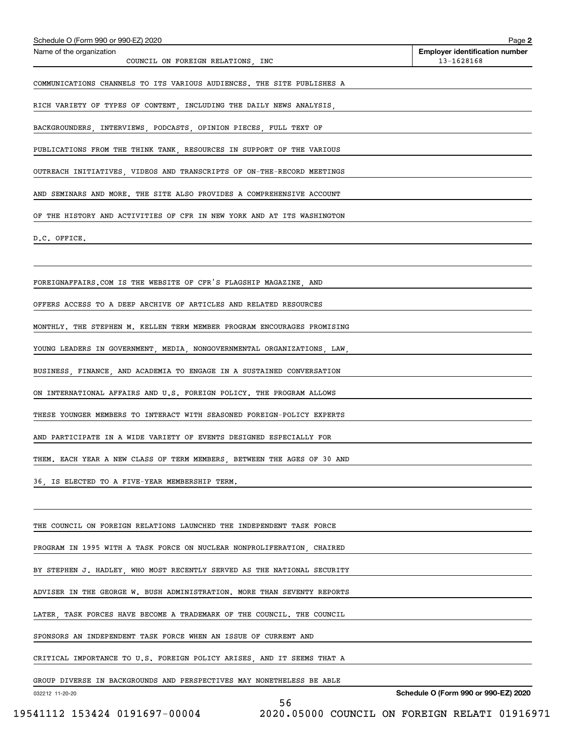| Schedule O (Form 990 or 990-EZ) 2020<br>Name of the organization        | Page 2<br><b>Employer identification number</b> |
|-------------------------------------------------------------------------|-------------------------------------------------|
| COUNCIL ON FOREIGN RELATIONS, INC                                       | 13-1628168                                      |
| COMMUNICATIONS CHANNELS TO ITS VARIOUS AUDIENCES. THE SITE PUBLISHES A  |                                                 |
| RICH VARIETY OF TYPES OF CONTENT, INCLUDING THE DAILY NEWS ANALYSIS,    |                                                 |
| BACKGROUNDERS, INTERVIEWS, PODCASTS, OPINION PIECES, FULL TEXT OF       |                                                 |
| PUBLICATIONS FROM THE THINK TANK, RESOURCES IN SUPPORT OF THE VARIOUS   |                                                 |
| OUTREACH INITIATIVES, VIDEOS AND TRANSCRIPTS OF ON-THE-RECORD MEETINGS  |                                                 |
| AND SEMINARS AND MORE. THE SITE ALSO PROVIDES A COMPREHENSIVE ACCOUNT   |                                                 |
| OF THE HISTORY AND ACTIVITIES OF CFR IN NEW YORK AND AT ITS WASHINGTON  |                                                 |
| D.C. OFFICE.                                                            |                                                 |
|                                                                         |                                                 |
| FOREIGNAFFAIRS. COM IS THE WEBSITE OF CFR'S FLAGSHIP MAGAZINE, AND      |                                                 |
| OFFERS ACCESS TO A DEEP ARCHIVE OF ARTICLES AND RELATED RESOURCES       |                                                 |
| MONTHLY. THE STEPHEN M. KELLEN TERM MEMBER PROGRAM ENCOURAGES PROMISING |                                                 |
| YOUNG LEADERS IN GOVERNMENT, MEDIA, NONGOVERNMENTAL ORGANIZATIONS, LAW, |                                                 |
| BUSINESS, FINANCE, AND ACADEMIA TO ENGAGE IN A SUSTAINED CONVERSATION   |                                                 |
| ON INTERNATIONAL AFFAIRS AND U.S. FOREIGN POLICY. THE PROGRAM ALLOWS    |                                                 |
| THESE YOUNGER MEMBERS TO INTERACT WITH SEASONED FOREIGN-POLICY EXPERTS  |                                                 |
| AND PARTICIPATE IN A WIDE VARIETY OF EVENTS DESIGNED ESPECIALLY FOR     |                                                 |
| THEM. EACH YEAR A NEW CLASS OF TERM MEMBERS, BETWEEN THE AGES OF 30 AND |                                                 |
| 36, IS ELECTED TO A FIVE-YEAR MEMBERSHIP TERM.                          |                                                 |
|                                                                         |                                                 |
| THE COUNCIL ON FOREIGN RELATIONS LAUNCHED THE INDEPENDENT TASK FORCE    |                                                 |
| PROGRAM IN 1995 WITH A TASK FORCE ON NUCLEAR NONPROLIFERATION, CHAIRED  |                                                 |
| BY STEPHEN J. HADLEY, WHO MOST RECENTLY SERVED AS THE NATIONAL SECURITY |                                                 |
| ADVISER IN THE GEORGE W. BUSH ADMINISTRATION. MORE THAN SEVENTY REPORTS |                                                 |
| LATER, TASK FORCES HAVE BECOME A TRADEMARK OF THE COUNCIL. THE COUNCIL  |                                                 |
| SPONSORS AN INDEPENDENT TASK FORCE WHEN AN ISSUE OF CURRENT AND         |                                                 |
| CRITICAL IMPORTANCE TO U.S. FOREIGN POLICY ARISES, AND IT SEEMS THAT A  |                                                 |
| GROUP DIVERSE IN BACKGROUNDS AND PERSPECTIVES MAY NONETHELESS BE ABLE   |                                                 |
| 032212 11-20-20<br>56                                                   | Schedule O (Form 990 or 990-EZ) 2020            |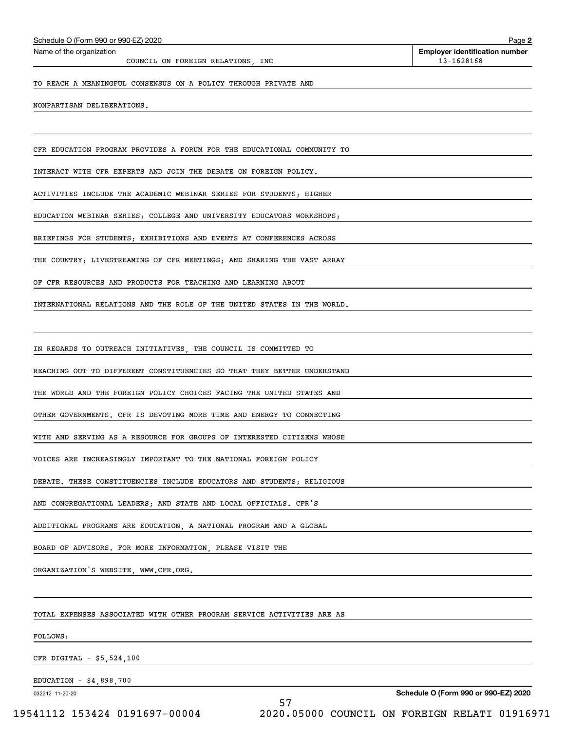COUNCIL ON FOREIGN RELATIONS, INC 13-1628168

TO REACH A MEANINGFUL CONSENSUS ON A POLICY THROUGH PRIVATE AND

NONPARTISAN DELIBERATIONS.

CFR EDUCATION PROGRAM PROVIDES A FORUM FOR THE EDUCATIONAL COMMUNITY TO

INTERACT WITH CFR EXPERTS AND JOIN THE DEBATE ON FOREIGN POLICY.

ACTIVITIES INCLUDE THE ACADEMIC WEBINAR SERIES FOR STUDENTS; HIGHER

EDUCATION WEBINAR SERIES; COLLEGE AND UNIVERSITY EDUCATORS WORKSHOPS;

BRIEFINGS FOR STUDENTS; EXHIBITIONS AND EVENTS AT CONFERENCES ACROSS

THE COUNTRY; LIVESTREAMING OF CFR MEETINGS; AND SHARING THE VAST ARRAY

OF CFR RESOURCES AND PRODUCTS FOR TEACHING AND LEARNING ABOUT

INTERNATIONAL RELATIONS AND THE ROLE OF THE UNITED STATES IN THE WORLD.

IN REGARDS TO OUTREACH INITIATIVES, THE COUNCIL IS COMMITTED TO

REACHING OUT TO DIFFERENT CONSTITUENCIES SO THAT THEY BETTER UNDERSTAND

THE WORLD AND THE FOREIGN POLICY CHOICES FACING THE UNITED STATES AND

OTHER GOVERNMENTS. CFR IS DEVOTING MORE TIME AND ENERGY TO CONNECTING

WITH AND SERVING AS A RESOURCE FOR GROUPS OF INTERESTED CITIZENS WHOSE

VOICES ARE INCREASINGLY IMPORTANT TO THE NATIONAL FOREIGN POLICY

DEBATE. THESE CONSTITUENCIES INCLUDE EDUCATORS AND STUDENTS; RELIGIOUS

AND CONGREGATIONAL LEADERS; AND STATE AND LOCAL OFFICIALS. CFR'S

ADDITIONAL PROGRAMS ARE EDUCATION, A NATIONAL PROGRAM AND A GLOBAL

BOARD OF ADVISORS. FOR MORE INFORMATION, PLEASE VISIT THE

ORGANIZATION'S WEBSITE, WWW.CFR.ORG.

TOTAL EXPENSES ASSOCIATED WITH OTHER PROGRAM SERVICE ACTIVITIES ARE AS

FOLLOWS:

CFR DIGITAL - \$5,524,100

EDUCATION - \$4,898,700

032212 11-20-20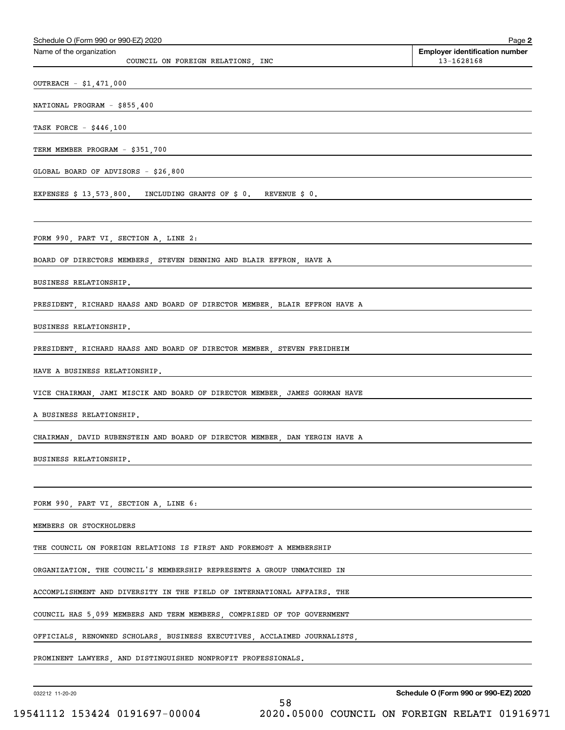| Schedule O (Form 990 or 990-EZ) 2020                                                                                               | Page 2                                              |
|------------------------------------------------------------------------------------------------------------------------------------|-----------------------------------------------------|
| Name of the organization<br>COUNCIL ON FOREIGN RELATIONS, INC                                                                      | <b>Employer identification number</b><br>13-1628168 |
| OUTREACH - \$1,471,000                                                                                                             |                                                     |
| NATIONAL PROGRAM - \$855,400                                                                                                       |                                                     |
| TASK FORCE - \$446,100                                                                                                             |                                                     |
| TERM MEMBER PROGRAM - \$351,700                                                                                                    |                                                     |
| GLOBAL BOARD OF ADVISORS - \$26,800<br><u> 1989 - Andrea Stadt Britain, amerikansk politik (* 1958)</u>                            |                                                     |
| EXPENSES \$ 13,573,800. INCLUDING GRANTS OF \$ 0. REVENUE \$ 0.                                                                    |                                                     |
|                                                                                                                                    |                                                     |
| FORM 990, PART VI, SECTION A, LINE 2:<br>the control of the control of the control of the control of the control of the control of |                                                     |
| BOARD OF DIRECTORS MEMBERS, STEVEN DENNING AND BLAIR EFFRON, HAVE A                                                                |                                                     |
| BUSINESS RELATIONSHIP.                                                                                                             |                                                     |
| PRESIDENT, RICHARD HAASS AND BOARD OF DIRECTOR MEMBER, BLAIR EFFRON HAVE A                                                         |                                                     |
| BUSINESS RELATIONSHIP.                                                                                                             |                                                     |
| PRESIDENT, RICHARD HAASS AND BOARD OF DIRECTOR MEMBER, STEVEN FREIDHEIM                                                            |                                                     |
| HAVE A BUSINESS RELATIONSHIP.                                                                                                      |                                                     |
| VICE CHAIRMAN, JAMI MISCIK AND BOARD OF DIRECTOR MEMBER, JAMES GORMAN HAVE                                                         |                                                     |
| A BUSINESS RELATIONSHIP.                                                                                                           |                                                     |
| CHAIRMAN, DAVID RUBENSTEIN AND BOARD OF DIRECTOR MEMBER, DAN YERGIN HAVE A                                                         |                                                     |
| BUSINESS RELATIONSHIP.                                                                                                             |                                                     |
|                                                                                                                                    |                                                     |
| FORM 990, PART VI, SECTION A, LINE 6:                                                                                              |                                                     |
| MEMBERS OR STOCKHOLDERS                                                                                                            |                                                     |
| THE COUNCIL ON FOREIGN RELATIONS IS FIRST AND FOREMOST A MEMBERSHIP                                                                |                                                     |
| ORGANIZATION. THE COUNCIL'S MEMBERSHIP REPRESENTS A GROUP UNMATCHED IN                                                             |                                                     |
| ACCOMPLISHMENT AND DIVERSITY IN THE FIELD OF INTERNATIONAL AFFAIRS. THE                                                            |                                                     |
| COUNCIL HAS 5,099 MEMBERS AND TERM MEMBERS, COMPRISED OF TOP GOVERNMENT                                                            |                                                     |
| OFFICIALS, RENOWNED SCHOLARS, BUSINESS EXECUTIVES, ACCLAIMED JOURNALISTS,                                                          |                                                     |
| PROMINENT LAWYERS, AND DISTINGUISHED NONPROFIT PROFESSIONALS.                                                                      |                                                     |

032212 11-20-20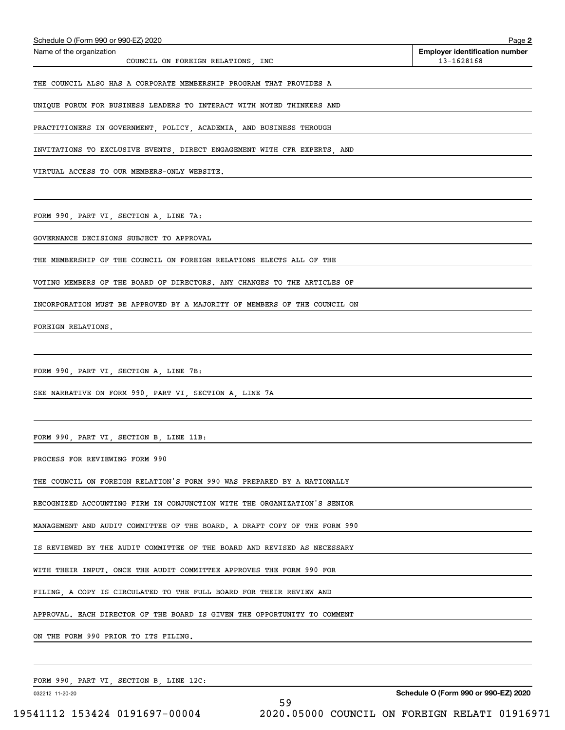| Schedule O (Form 990 or 990-EZ) 2020                                      | Page 2                                              |
|---------------------------------------------------------------------------|-----------------------------------------------------|
| Name of the organization<br>COUNCIL ON FOREIGN RELATIONS, INC             | <b>Employer identification number</b><br>13-1628168 |
|                                                                           |                                                     |
| THE COUNCIL ALSO HAS A CORPORATE MEMBERSHIP PROGRAM THAT PROVIDES A       |                                                     |
| UNIQUE FORUM FOR BUSINESS LEADERS TO INTERACT WITH NOTED THINKERS AND     |                                                     |
| PRACTITIONERS IN GOVERNMENT, POLICY, ACADEMIA, AND BUSINESS THROUGH       |                                                     |
| INVITATIONS TO EXCLUSIVE EVENTS, DIRECT ENGAGEMENT WITH CFR EXPERTS, AND  |                                                     |
| VIRTUAL ACCESS TO OUR MEMBERS-ONLY WEBSITE.                               |                                                     |
|                                                                           |                                                     |
| FORM 990, PART VI, SECTION A, LINE 7A:                                    |                                                     |
| GOVERNANCE DECISIONS SUBJECT TO APPROVAL                                  |                                                     |
| THE MEMBERSHIP OF THE COUNCIL ON FOREIGN RELATIONS ELECTS ALL OF THE      |                                                     |
|                                                                           |                                                     |
| VOTING MEMBERS OF THE BOARD OF DIRECTORS. ANY CHANGES TO THE ARTICLES OF  |                                                     |
| INCORPORATION MUST BE APPROVED BY A MAJORITY OF MEMBERS OF THE COUNCIL ON |                                                     |
| FOREIGN RELATIONS.                                                        |                                                     |
|                                                                           |                                                     |
| FORM 990, PART VI, SECTION A, LINE 7B:                                    |                                                     |
| SEE NARRATIVE ON FORM 990, PART VI, SECTION A, LINE 7A                    |                                                     |
|                                                                           |                                                     |
| FORM 990, PART VI, SECTION B, LINE 11B:                                   |                                                     |
| PROCESS FOR REVIEWING FORM 990                                            |                                                     |
| THE COUNCIL ON FOREIGN RELATION'S FORM 990 WAS PREPARED BY A NATIONALLY   |                                                     |
| RECOGNIZED ACCOUNTING FIRM IN CONJUNCTION WITH THE ORGANIZATION'S SENIOR  |                                                     |
| MANAGEMENT AND AUDIT COMMITTEE OF THE BOARD. A DRAFT COPY OF THE FORM 990 |                                                     |
| IS REVIEWED BY THE AUDIT COMMITTEE OF THE BOARD AND REVISED AS NECESSARY  |                                                     |
| WITH THEIR INPUT. ONCE THE AUDIT COMMITTEE APPROVES THE FORM 990 FOR      |                                                     |
| FILING, A COPY IS CIRCULATED TO THE FULL BOARD FOR THEIR REVIEW AND       |                                                     |
| APPROVAL. EACH DIRECTOR OF THE BOARD IS GIVEN THE OPPORTUNITY TO COMMENT  |                                                     |
| ON THE FORM 990 PRIOR TO ITS FILING.                                      |                                                     |
|                                                                           |                                                     |
|                                                                           |                                                     |

FORM 990, PART VI, SECTION B, LINE 12C:

032212 11-20-20

**Schedule O (Form 990 or 990-EZ) 2020**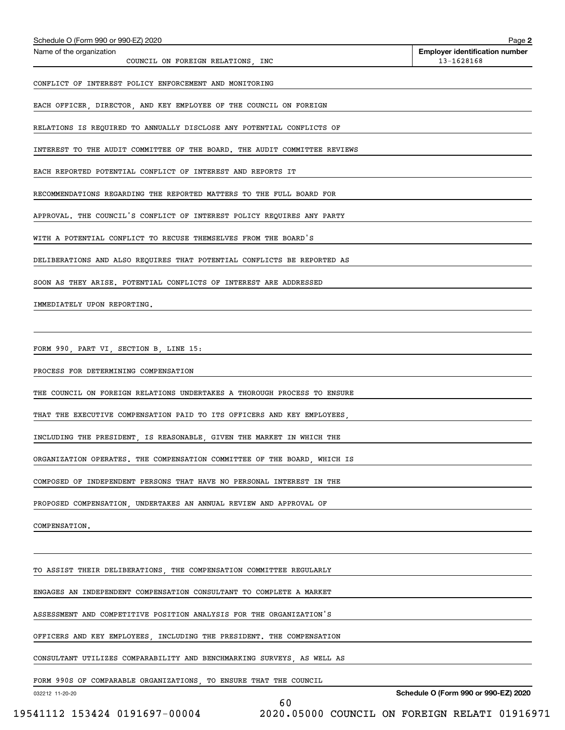| Schedule O (Form 990 or 990-EZ) 2020                                                                                                                                                                                                                                                                                                                                                                                                   | Page 2                                                 |
|----------------------------------------------------------------------------------------------------------------------------------------------------------------------------------------------------------------------------------------------------------------------------------------------------------------------------------------------------------------------------------------------------------------------------------------|--------------------------------------------------------|
| Name of the organization<br>COUNCIL ON FOREIGN RELATIONS, INC                                                                                                                                                                                                                                                                                                                                                                          | <b>Employer identification number</b><br>13-1628168    |
| CONFLICT OF INTEREST POLICY ENFORCEMENT AND MONITORING                                                                                                                                                                                                                                                                                                                                                                                 |                                                        |
| EACH OFFICER, DIRECTOR, AND KEY EMPLOYEE OF THE COUNCIL ON FOREIGN                                                                                                                                                                                                                                                                                                                                                                     |                                                        |
| RELATIONS IS REQUIRED TO ANNUALLY DISCLOSE ANY POTENTIAL CONFLICTS OF                                                                                                                                                                                                                                                                                                                                                                  |                                                        |
| INTEREST TO THE AUDIT COMMITTEE OF THE BOARD. THE AUDIT COMMITTEE REVIEWS                                                                                                                                                                                                                                                                                                                                                              |                                                        |
| EACH REPORTED POTENTIAL CONFLICT OF INTEREST AND REPORTS IT                                                                                                                                                                                                                                                                                                                                                                            |                                                        |
| RECOMMENDATIONS REGARDING THE REPORTED MATTERS TO THE FULL BOARD FOR                                                                                                                                                                                                                                                                                                                                                                   |                                                        |
| APPROVAL. THE COUNCIL'S CONFLICT OF INTEREST POLICY REQUIRES ANY PARTY                                                                                                                                                                                                                                                                                                                                                                 |                                                        |
| WITH A POTENTIAL CONFLICT TO RECUSE THEMSELVES FROM THE BOARD'S                                                                                                                                                                                                                                                                                                                                                                        |                                                        |
| DELIBERATIONS AND ALSO REQUIRES THAT POTENTIAL CONFLICTS BE REPORTED AS                                                                                                                                                                                                                                                                                                                                                                |                                                        |
| SOON AS THEY ARISE. POTENTIAL CONFLICTS OF INTEREST ARE ADDRESSED                                                                                                                                                                                                                                                                                                                                                                      |                                                        |
| IMMEDIATELY UPON REPORTING.                                                                                                                                                                                                                                                                                                                                                                                                            |                                                        |
|                                                                                                                                                                                                                                                                                                                                                                                                                                        |                                                        |
| FORM 990, PART VI, SECTION B, LINE 15:                                                                                                                                                                                                                                                                                                                                                                                                 |                                                        |
| PROCESS FOR DETERMINING COMPENSATION                                                                                                                                                                                                                                                                                                                                                                                                   |                                                        |
| THE COUNCIL ON FOREIGN RELATIONS UNDERTAKES A THOROUGH PROCESS TO ENSURE                                                                                                                                                                                                                                                                                                                                                               |                                                        |
| THAT THE EXECUTIVE COMPENSATION PAID TO ITS OFFICERS AND KEY EMPLOYEES,                                                                                                                                                                                                                                                                                                                                                                |                                                        |
| INCLUDING THE PRESIDENT, IS REASONABLE, GIVEN THE MARKET IN WHICH THE                                                                                                                                                                                                                                                                                                                                                                  |                                                        |
| ORGANIZATION OPERATES. THE COMPENSATION COMMITTEE OF THE BOARD, WHICH IS                                                                                                                                                                                                                                                                                                                                                               |                                                        |
| COMPOSED OF INDEPENDENT PERSONS THAT HAVE NO PERSONAL INTEREST IN THE                                                                                                                                                                                                                                                                                                                                                                  |                                                        |
| PROPOSED COMPENSATION, UNDERTAKES AN ANNUAL REVIEW AND APPROVAL OF                                                                                                                                                                                                                                                                                                                                                                     |                                                        |
| COMPENSATION.                                                                                                                                                                                                                                                                                                                                                                                                                          |                                                        |
|                                                                                                                                                                                                                                                                                                                                                                                                                                        |                                                        |
| TO ASSIST THEIR DELIBERATIONS, THE COMPENSATION COMMITTEE REGULARLY                                                                                                                                                                                                                                                                                                                                                                    |                                                        |
| ENGAGES AN INDEPENDENT COMPENSATION CONSULTANT TO COMPLETE A MARKET                                                                                                                                                                                                                                                                                                                                                                    |                                                        |
| ASSESSMENT AND COMPETITIVE POSITION ANALYSIS FOR THE ORGANIZATION'S                                                                                                                                                                                                                                                                                                                                                                    |                                                        |
| OFFICERS AND KEY EMPLOYEES, INCLUDING THE PRESIDENT. THE COMPENSATION                                                                                                                                                                                                                                                                                                                                                                  |                                                        |
| CONSULTANT UTILIZES COMPARABILITY AND BENCHMARKING SURVEYS, AS WELL AS                                                                                                                                                                                                                                                                                                                                                                 |                                                        |
| FORM 990S OF COMPARABLE ORGANIZATIONS, TO ENSURE THAT THE COUNCIL                                                                                                                                                                                                                                                                                                                                                                      |                                                        |
| 032212 11-20-20<br>60<br>$\frac{1}{111110}$ 1 $\frac{1}{10101}$ 0101607 00001<br>0.000<br>$\wedge$ $\wedge$ $\wedge$ $\wedge$ $\wedge$ $\wedge$ $\wedge$ $\wedge$ $\wedge$ $\wedge$ $\wedge$ $\wedge$ $\wedge$ $\wedge$ $\wedge$ $\wedge$ $\wedge$ $\wedge$ $\wedge$ $\wedge$ $\wedge$ $\wedge$ $\wedge$ $\wedge$ $\wedge$ $\wedge$ $\wedge$ $\wedge$ $\wedge$ $\wedge$ $\wedge$ $\wedge$ $\wedge$ $\wedge$ $\wedge$ $\wedge$ $\wedge$ | Schedule O (Form 990 or 990-EZ) 2020<br>$\overline{C}$ |

 <sup>19541112 153424 0191697-00004 2020.05000</sup> COUNCIL ON FOREIGN RELATI 01916971